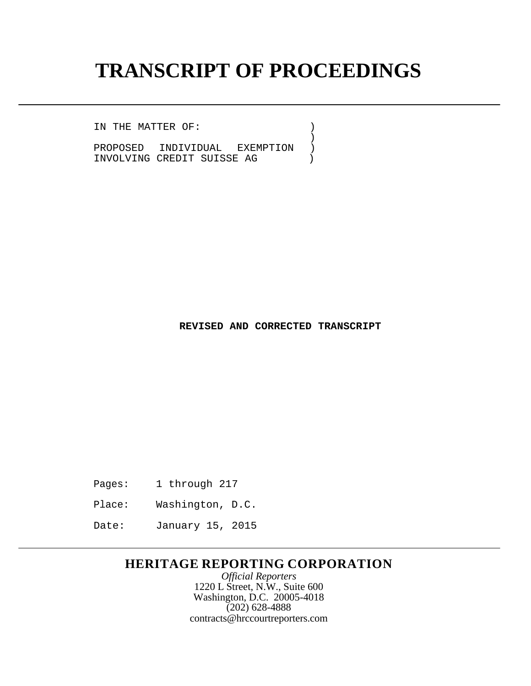## **TRANSCRIPT OF PROCEEDINGS**

 $\left(\begin{array}{c} 1 \\ 1 \end{array}\right)$ 

IN THE MATTER OF:  $)$ 

PROPOSED INDIVIDUAL EXEMPTION )<br>INVOLVING CREDIT SUISSE AG INVOLVING CREDIT SUISSE AG )

**REVISED AND CORRECTED TRANSCRIPT**

- Pages: 1 through 217
- Place: Washington, D.C.
- Date: January 15, 2015

## **HERITAGE REPORTING CORPORATION**

*Official Reporters* 1220 L Street, N.W., Suite 600 Washington, D.C. 20005-4018  $(202)$  628-4888 [contracts@hrccourtreporters.com](mailto:contracts@hrccourtreporters.com)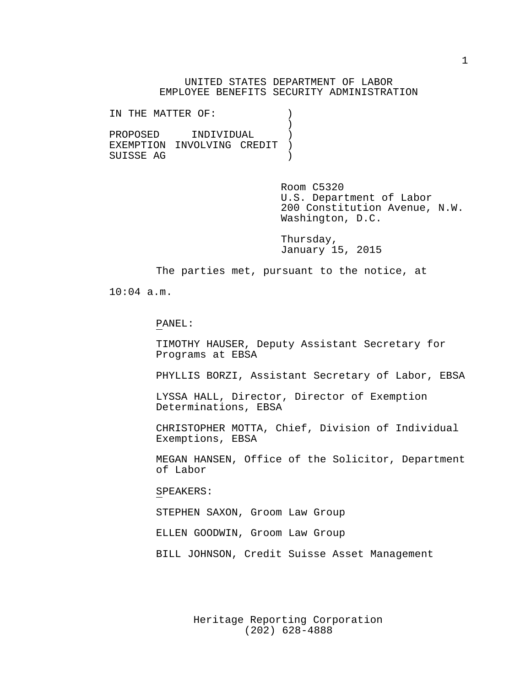UNITED STATES DEPARTMENT OF LABOR EMPLOYEE BENEFITS SECURITY ADMINISTRATION

IN THE MATTER OF:  $)$  $\left\{ \begin{array}{c} 1 \\ 2 \end{array} \right\}$ PROPOSED INDIVIDUAL )<br>EXEMPTION INVOLVING CREDIT ) EXEMPTION INVOLVING CREDIT )<br>SUISSE AG SUISSE AG )

> Room C5320 U.S. Department of Labor 200 Constitution Avenue, N.W. Washington, D.C.

Thursday, January 15, 2015

The parties met, pursuant to the notice, at

10:04 a.m.

PANEL:

TIMOTHY HAUSER, Deputy Assistant Secretary for Programs at EBSA

PHYLLIS BORZI, Assistant Secretary of Labor, EBSA

LYSSA HALL, Director, Director of Exemption Determinations, EBSA

CHRISTOPHER MOTTA, Chief, Division of Individual Exemptions, EBSA

MEGAN HANSEN, Office of the Solicitor, Department of Labor

SPEAKERS:

STEPHEN SAXON, Groom Law Group

ELLEN GOODWIN, Groom Law Group

BILL JOHNSON, Credit Suisse Asset Management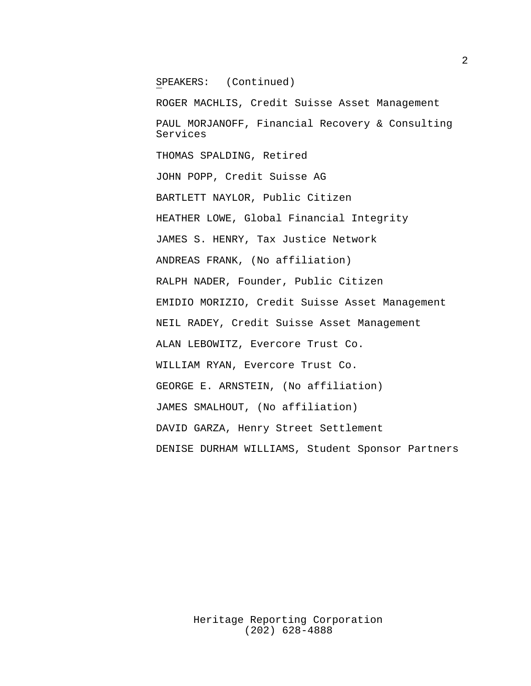SPEAKERS: (Continued)

ROGER MACHLIS, Credit Suisse Asset Management PAUL MORJANOFF, Financial Recovery & Consulting Services THOMAS SPALDING, Retired JOHN POPP, Credit Suisse AG BARTLETT NAYLOR, Public Citizen HEATHER LOWE, Global Financial Integrity JAMES S. HENRY, Tax Justice Network ANDREAS FRANK, (No affiliation) RALPH NADER, Founder, Public Citizen EMIDIO MORIZIO, Credit Suisse Asset Management NEIL RADEY, Credit Suisse Asset Management ALAN LEBOWITZ, Evercore Trust Co. WILLIAM RYAN, Evercore Trust Co. GEORGE E. ARNSTEIN, (No affiliation) JAMES SMALHOUT, (No affiliation) DAVID GARZA, Henry Street Settlement DENISE DURHAM WILLIAMS, Student Sponsor Partners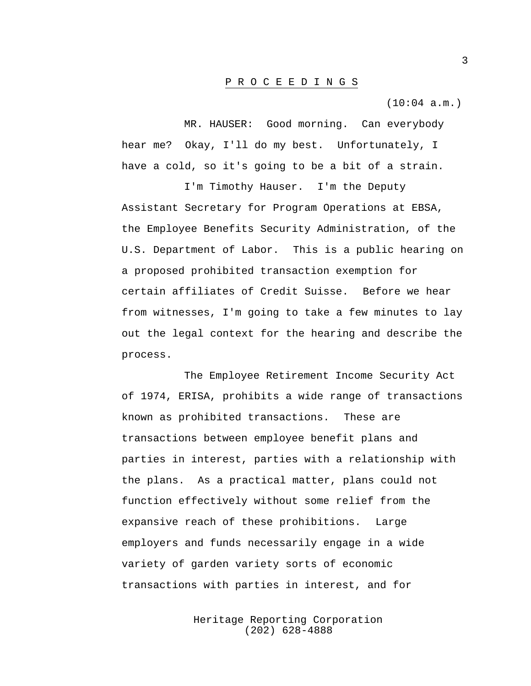## P R O C E E D I N G S

(10:04 a.m.)

MR. HAUSER: Good morning. Can everybody hear me? Okay, I'll do my best. Unfortunately, I have a cold, so it's going to be a bit of a strain.

I'm Timothy Hauser. I'm the Deputy Assistant Secretary for Program Operations at EBSA, the Employee Benefits Security Administration, of the U.S. Department of Labor. This is a public hearing on a proposed prohibited transaction exemption for certain affiliates of Credit Suisse. Before we hear from witnesses, I'm going to take a few minutes to lay out the legal context for the hearing and describe the process.

The Employee Retirement Income Security Act of 1974, ERISA, prohibits a wide range of transactions known as prohibited transactions. These are transactions between employee benefit plans and parties in interest, parties with a relationship with the plans. As a practical matter, plans could not function effectively without some relief from the expansive reach of these prohibitions. Large employers and funds necessarily engage in a wide variety of garden variety sorts of economic transactions with parties in interest, and for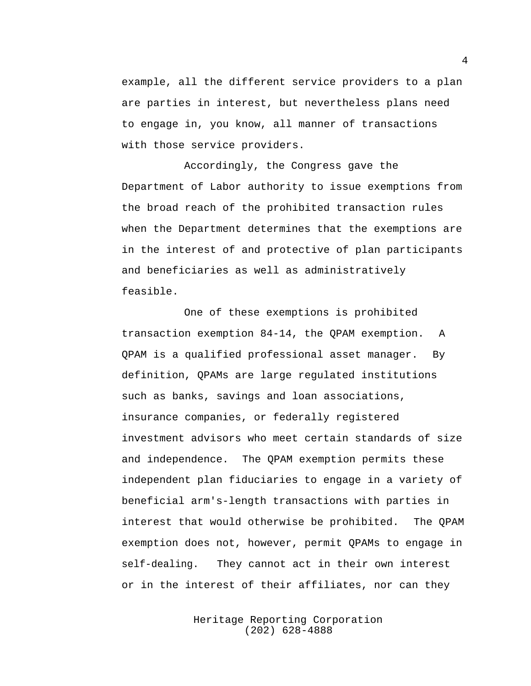example, all the different service providers to a plan are parties in interest, but nevertheless plans need to engage in, you know, all manner of transactions with those service providers.

Accordingly, the Congress gave the Department of Labor authority to issue exemptions from the broad reach of the prohibited transaction rules when the Department determines that the exemptions are in the interest of and protective of plan participants and beneficiaries as well as administratively feasible.

One of these exemptions is prohibited transaction exemption 84-14, the QPAM exemption. A QPAM is a qualified professional asset manager. By definition, QPAMs are large regulated institutions such as banks, savings and loan associations, insurance companies, or federally registered investment advisors who meet certain standards of size and independence. The QPAM exemption permits these independent plan fiduciaries to engage in a variety of beneficial arm's-length transactions with parties in interest that would otherwise be prohibited. The QPAM exemption does not, however, permit QPAMs to engage in self-dealing. They cannot act in their own interest or in the interest of their affiliates, nor can they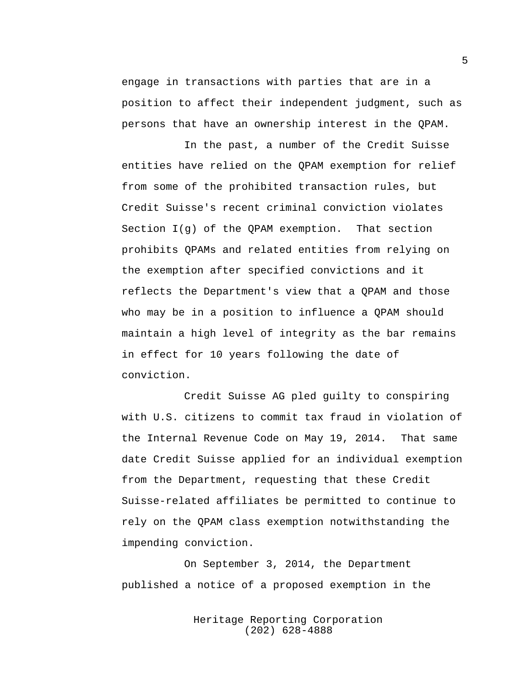engage in transactions with parties that are in a position to affect their independent judgment, such as persons that have an ownership interest in the QPAM.

In the past, a number of the Credit Suisse entities have relied on the QPAM exemption for relief from some of the prohibited transaction rules, but Credit Suisse's recent criminal conviction violates Section I(g) of the QPAM exemption. That section prohibits QPAMs and related entities from relying on the exemption after specified convictions and it reflects the Department's view that a QPAM and those who may be in a position to influence a QPAM should maintain a high level of integrity as the bar remains in effect for 10 years following the date of conviction.

Credit Suisse AG pled guilty to conspiring with U.S. citizens to commit tax fraud in violation of the Internal Revenue Code on May 19, 2014. That same date Credit Suisse applied for an individual exemption from the Department, requesting that these Credit Suisse-related affiliates be permitted to continue to rely on the QPAM class exemption notwithstanding the impending conviction.

On September 3, 2014, the Department published a notice of a proposed exemption in the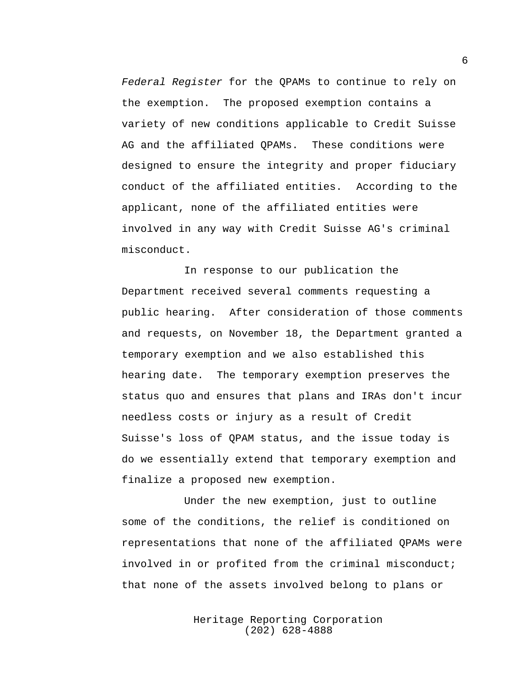*Federal Register* for the QPAMs to continue to rely on the exemption. The proposed exemption contains a variety of new conditions applicable to Credit Suisse AG and the affiliated QPAMs. These conditions were designed to ensure the integrity and proper fiduciary conduct of the affiliated entities. According to the applicant, none of the affiliated entities were involved in any way with Credit Suisse AG's criminal misconduct.

In response to our publication the Department received several comments requesting a public hearing. After consideration of those comments and requests, on November 18, the Department granted a temporary exemption and we also established this hearing date. The temporary exemption preserves the status quo and ensures that plans and IRAs don't incur needless costs or injury as a result of Credit Suisse's loss of QPAM status, and the issue today is do we essentially extend that temporary exemption and finalize a proposed new exemption.

Under the new exemption, just to outline some of the conditions, the relief is conditioned on representations that none of the affiliated QPAMs were involved in or profited from the criminal misconduct; that none of the assets involved belong to plans or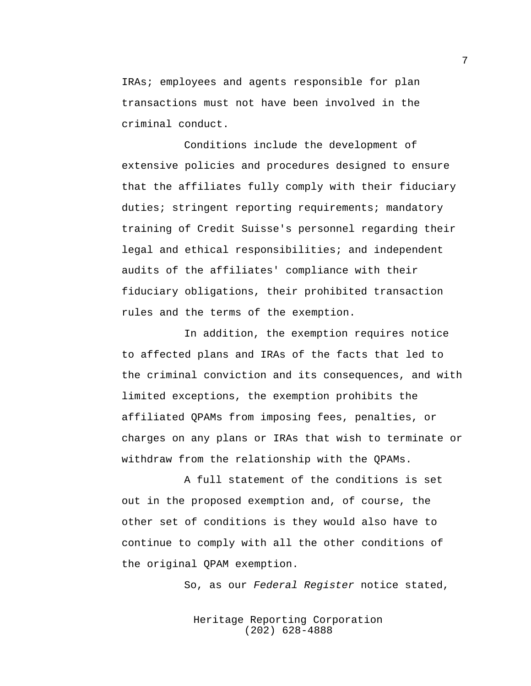IRAs; employees and agents responsible for plan transactions must not have been involved in the criminal conduct.

Conditions include the development of extensive policies and procedures designed to ensure that the affiliates fully comply with their fiduciary duties; stringent reporting requirements; mandatory training of Credit Suisse's personnel regarding their legal and ethical responsibilities; and independent audits of the affiliates' compliance with their fiduciary obligations, their prohibited transaction rules and the terms of the exemption.

In addition, the exemption requires notice to affected plans and IRAs of the facts that led to the criminal conviction and its consequences, and with limited exceptions, the exemption prohibits the affiliated QPAMs from imposing fees, penalties, or charges on any plans or IRAs that wish to terminate or withdraw from the relationship with the QPAMs.

A full statement of the conditions is set out in the proposed exemption and, of course, the other set of conditions is they would also have to continue to comply with all the other conditions of the original QPAM exemption.

So, as our *Federal Register* notice stated,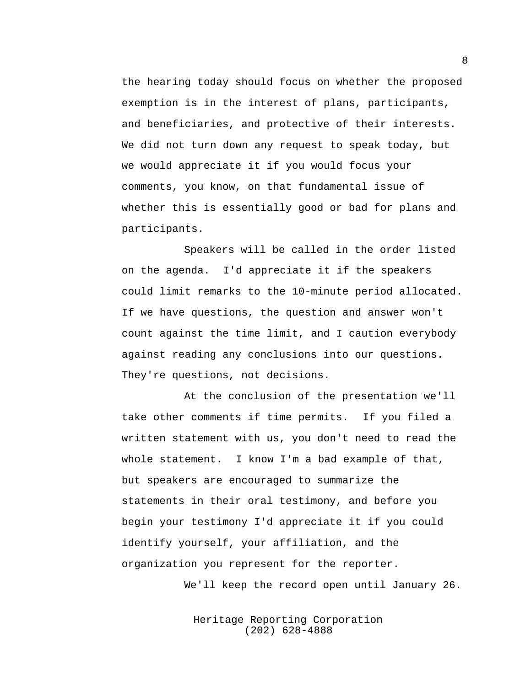the hearing today should focus on whether the proposed exemption is in the interest of plans, participants, and beneficiaries, and protective of their interests. We did not turn down any request to speak today, but we would appreciate it if you would focus your comments, you know, on that fundamental issue of whether this is essentially good or bad for plans and participants.

Speakers will be called in the order listed on the agenda. I'd appreciate it if the speakers could limit remarks to the 10-minute period allocated. If we have questions, the question and answer won't count against the time limit, and I caution everybody against reading any conclusions into our questions. They're questions, not decisions.

At the conclusion of the presentation we'll take other comments if time permits. If you filed a written statement with us, you don't need to read the whole statement. I know I'm a bad example of that, but speakers are encouraged to summarize the statements in their oral testimony, and before you begin your testimony I'd appreciate it if you could identify yourself, your affiliation, and the organization you represent for the reporter.

We'll keep the record open until January 26.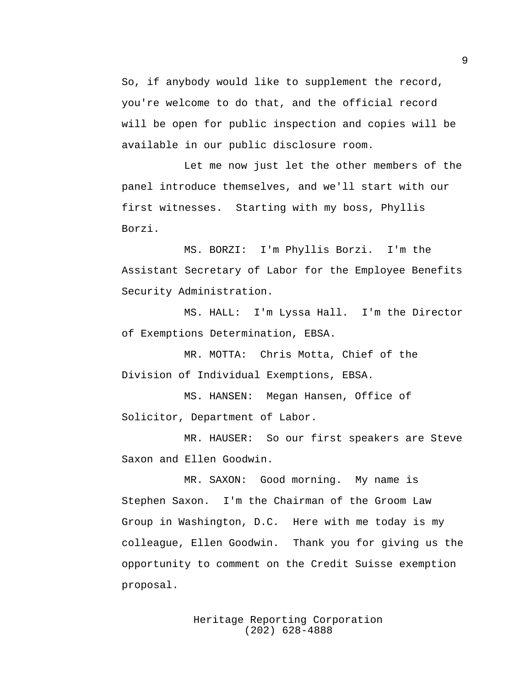So, if anybody would like to supplement the record, you're welcome to do that, and the official record will be open for public inspection and copies will be available in our public disclosure room.

Let me now just let the other members of the panel introduce themselves, and we'll start with our first witnesses. Starting with my boss, Phyllis Borzi.

MS. BORZI: I'm Phyllis Borzi. I'm the Assistant Secretary of Labor for the Employee Benefits Security Administration.

MS. HALL: I'm Lyssa Hall. I'm the Director of Exemptions Determination, EBSA.

MR. MOTTA: Chris Motta, Chief of the Division of Individual Exemptions, EBSA.

MS. HANSEN: Megan Hansen, Office of Solicitor, Department of Labor.

MR. HAUSER: So our first speakers are Steve Saxon and Ellen Goodwin.

MR. SAXON: Good morning. My name is Stephen Saxon. I'm the Chairman of the Groom Law Group in Washington, D.C. Here with me today is my colleague, Ellen Goodwin. Thank you for giving us the opportunity to comment on the Credit Suisse exemption proposal.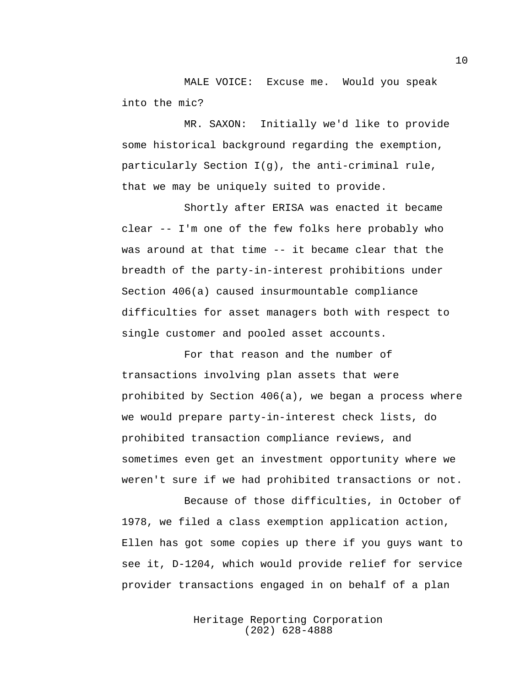MALE VOICE: Excuse me. Would you speak into the mic?

MR. SAXON: Initially we'd like to provide some historical background regarding the exemption, particularly Section I(g), the anti-criminal rule, that we may be uniquely suited to provide.

Shortly after ERISA was enacted it became clear -- I'm one of the few folks here probably who was around at that time -- it became clear that the breadth of the party-in-interest prohibitions under Section 406(a) caused insurmountable compliance difficulties for asset managers both with respect to single customer and pooled asset accounts.

For that reason and the number of transactions involving plan assets that were prohibited by Section 406(a), we began a process where we would prepare party-in-interest check lists, do prohibited transaction compliance reviews, and sometimes even get an investment opportunity where we weren't sure if we had prohibited transactions or not.

Because of those difficulties, in October of 1978, we filed a class exemption application action, Ellen has got some copies up there if you guys want to see it, D-1204, which would provide relief for service provider transactions engaged in on behalf of a plan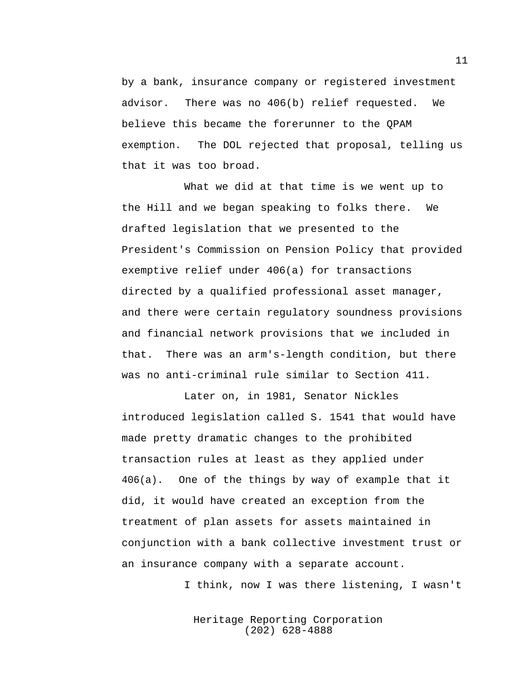by a bank, insurance company or registered investment advisor. There was no 406(b) relief requested. We believe this became the forerunner to the QPAM exemption. The DOL rejected that proposal, telling us that it was too broad.

What we did at that time is we went up to the Hill and we began speaking to folks there. We drafted legislation that we presented to the President's Commission on Pension Policy that provided exemptive relief under 406(a) for transactions directed by a qualified professional asset manager, and there were certain regulatory soundness provisions and financial network provisions that we included in that. There was an arm's-length condition, but there was no anti-criminal rule similar to Section 411.

Later on, in 1981, Senator Nickles introduced legislation called S. 1541 that would have made pretty dramatic changes to the prohibited transaction rules at least as they applied under 406(a). One of the things by way of example that it did, it would have created an exception from the treatment of plan assets for assets maintained in conjunction with a bank collective investment trust or an insurance company with a separate account.

I think, now I was there listening, I wasn't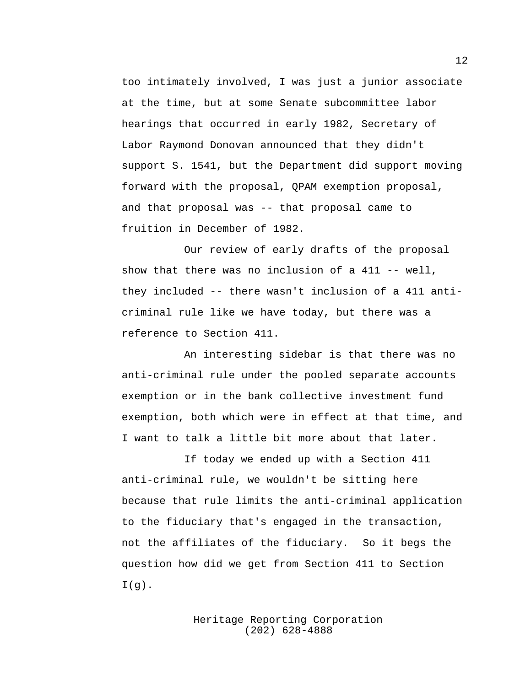too intimately involved, I was just a junior associate at the time, but at some Senate subcommittee labor hearings that occurred in early 1982, Secretary of Labor Raymond Donovan announced that they didn't support S. 1541, but the Department did support moving forward with the proposal, QPAM exemption proposal, and that proposal was -- that proposal came to fruition in December of 1982.

Our review of early drafts of the proposal show that there was no inclusion of a 411 -- well, they included -- there wasn't inclusion of a 411 anticriminal rule like we have today, but there was a reference to Section 411.

An interesting sidebar is that there was no anti-criminal rule under the pooled separate accounts exemption or in the bank collective investment fund exemption, both which were in effect at that time, and I want to talk a little bit more about that later.

If today we ended up with a Section 411 anti-criminal rule, we wouldn't be sitting here because that rule limits the anti-criminal application to the fiduciary that's engaged in the transaction, not the affiliates of the fiduciary. So it begs the question how did we get from Section 411 to Section  $I(g)$ .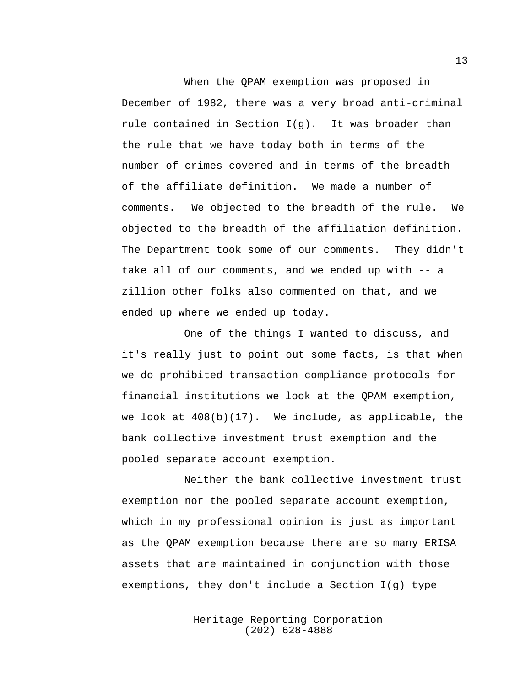When the QPAM exemption was proposed in December of 1982, there was a very broad anti-criminal rule contained in Section  $I(q)$ . It was broader than the rule that we have today both in terms of the number of crimes covered and in terms of the breadth of the affiliate definition. We made a number of comments. We objected to the breadth of the rule. We objected to the breadth of the affiliation definition. The Department took some of our comments. They didn't take all of our comments, and we ended up with -- a zillion other folks also commented on that, and we ended up where we ended up today.

One of the things I wanted to discuss, and it's really just to point out some facts, is that when we do prohibited transaction compliance protocols for financial institutions we look at the QPAM exemption, we look at  $408(b)(17)$ . We include, as applicable, the bank collective investment trust exemption and the pooled separate account exemption.

Neither the bank collective investment trust exemption nor the pooled separate account exemption, which in my professional opinion is just as important as the QPAM exemption because there are so many ERISA assets that are maintained in conjunction with those exemptions, they don't include a Section I(g) type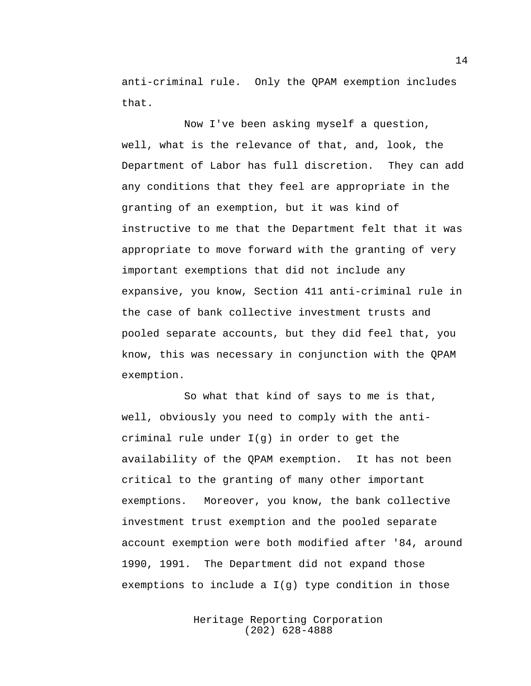anti-criminal rule. Only the QPAM exemption includes that.

Now I've been asking myself a question, well, what is the relevance of that, and, look, the Department of Labor has full discretion. They can add any conditions that they feel are appropriate in the granting of an exemption, but it was kind of instructive to me that the Department felt that it was appropriate to move forward with the granting of very important exemptions that did not include any expansive, you know, Section 411 anti-criminal rule in the case of bank collective investment trusts and pooled separate accounts, but they did feel that, you know, this was necessary in conjunction with the QPAM exemption.

So what that kind of says to me is that, well, obviously you need to comply with the anticriminal rule under I(g) in order to get the availability of the QPAM exemption. It has not been critical to the granting of many other important exemptions. Moreover, you know, the bank collective investment trust exemption and the pooled separate account exemption were both modified after '84, around 1990, 1991. The Department did not expand those exemptions to include a  $I(q)$  type condition in those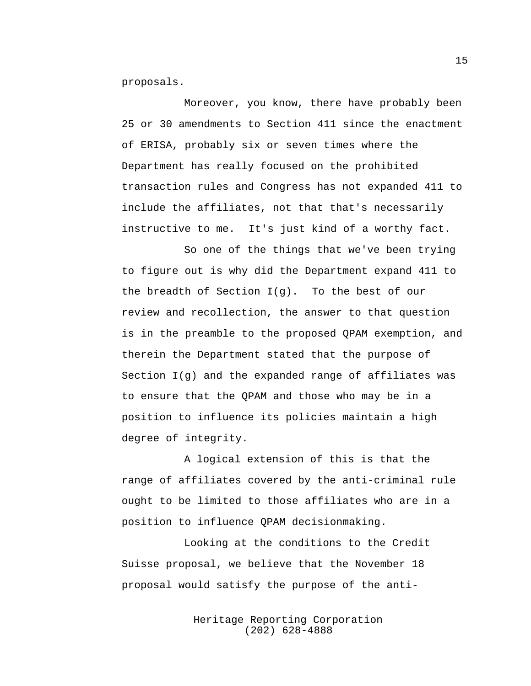proposals.

Moreover, you know, there have probably been 25 or 30 amendments to Section 411 since the enactment of ERISA, probably six or seven times where the Department has really focused on the prohibited transaction rules and Congress has not expanded 411 to include the affiliates, not that that's necessarily instructive to me. It's just kind of a worthy fact.

So one of the things that we've been trying to figure out is why did the Department expand 411 to the breadth of Section I(g). To the best of our review and recollection, the answer to that question is in the preamble to the proposed QPAM exemption, and therein the Department stated that the purpose of Section I(g) and the expanded range of affiliates was to ensure that the QPAM and those who may be in a position to influence its policies maintain a high degree of integrity.

A logical extension of this is that the range of affiliates covered by the anti-criminal rule ought to be limited to those affiliates who are in a position to influence QPAM decisionmaking.

Looking at the conditions to the Credit Suisse proposal, we believe that the November 18 proposal would satisfy the purpose of the anti-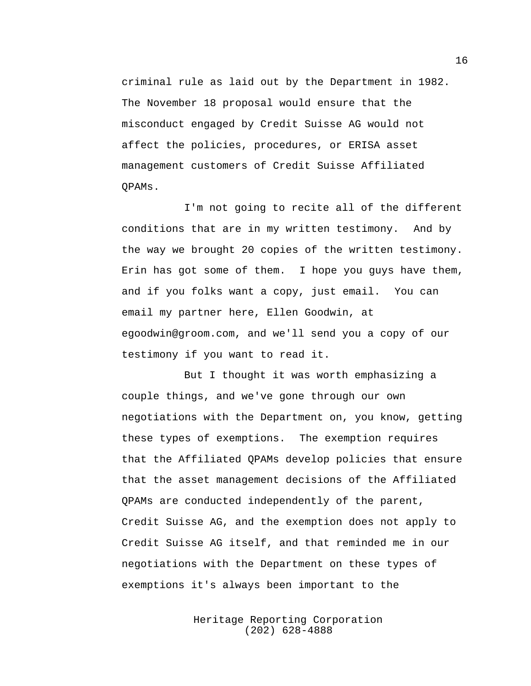criminal rule as laid out by the Department in 1982. The November 18 proposal would ensure that the misconduct engaged by Credit Suisse AG would not affect the policies, procedures, or ERISA asset management customers of Credit Suisse Affiliated QPAMs.

I'm not going to recite all of the different conditions that are in my written testimony. And by the way we brought 20 copies of the written testimony. Erin has got some of them. I hope you guys have them, and if you folks want a copy, just email. You can email my partner here, Ellen Goodwin, a[t](mailto:egoodwin@groom.com) [egoodwin@groom.com,](mailto:egoodwin@groom.com) and we'll send you a copy of our testimony if you want to read it.

But I thought it was worth emphasizing a couple things, and we've gone through our own negotiations with the Department on, you know, getting these types of exemptions. The exemption requires that the Affiliated QPAMs develop policies that ensure that the asset management decisions of the Affiliated QPAMs are conducted independently of the parent, Credit Suisse AG, and the exemption does not apply to Credit Suisse AG itself, and that reminded me in our negotiations with the Department on these types of exemptions it's always been important to the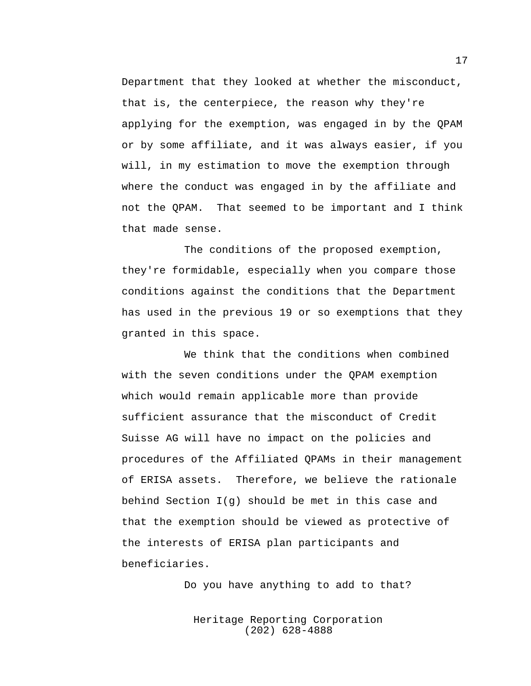Department that they looked at whether the misconduct, that is, the centerpiece, the reason why they're applying for the exemption, was engaged in by the QPAM or by some affiliate, and it was always easier, if you will, in my estimation to move the exemption through where the conduct was engaged in by the affiliate and not the QPAM. That seemed to be important and I think that made sense.

The conditions of the proposed exemption, they're formidable, especially when you compare those conditions against the conditions that the Department has used in the previous 19 or so exemptions that they granted in this space.

We think that the conditions when combined with the seven conditions under the QPAM exemption which would remain applicable more than provide sufficient assurance that the misconduct of Credit Suisse AG will have no impact on the policies and procedures of the Affiliated QPAMs in their management of ERISA assets. Therefore, we believe the rationale behind Section  $I(q)$  should be met in this case and that the exemption should be viewed as protective of the interests of ERISA plan participants and beneficiaries.

Do you have anything to add to that?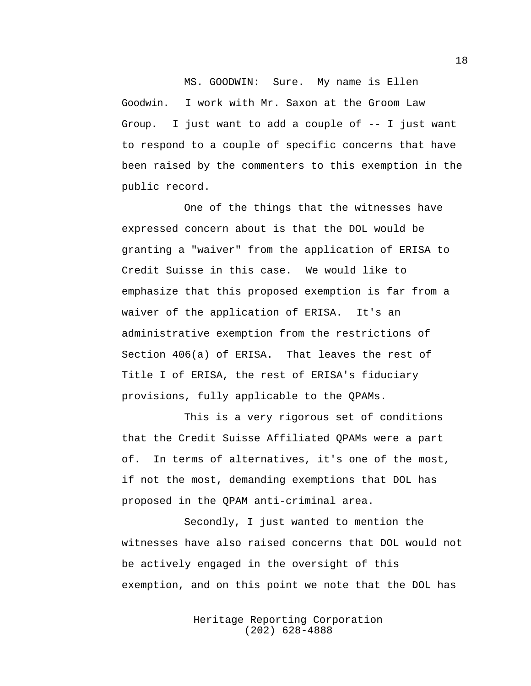MS. GOODWIN: Sure. My name is Ellen Goodwin. I work with Mr. Saxon at the Groom Law Group. I just want to add a couple of -- I just want to respond to a couple of specific concerns that have been raised by the commenters to this exemption in the public record.

One of the things that the witnesses have expressed concern about is that the DOL would be granting a "waiver" from the application of ERISA to Credit Suisse in this case. We would like to emphasize that this proposed exemption is far from a waiver of the application of ERISA. It's an administrative exemption from the restrictions of Section 406(a) of ERISA. That leaves the rest of Title I of ERISA, the rest of ERISA's fiduciary provisions, fully applicable to the QPAMs.

This is a very rigorous set of conditions that the Credit Suisse Affiliated QPAMs were a part of. In terms of alternatives, it's one of the most, if not the most, demanding exemptions that DOL has proposed in the QPAM anti-criminal area.

Secondly, I just wanted to mention the witnesses have also raised concerns that DOL would not be actively engaged in the oversight of this exemption, and on this point we note that the DOL has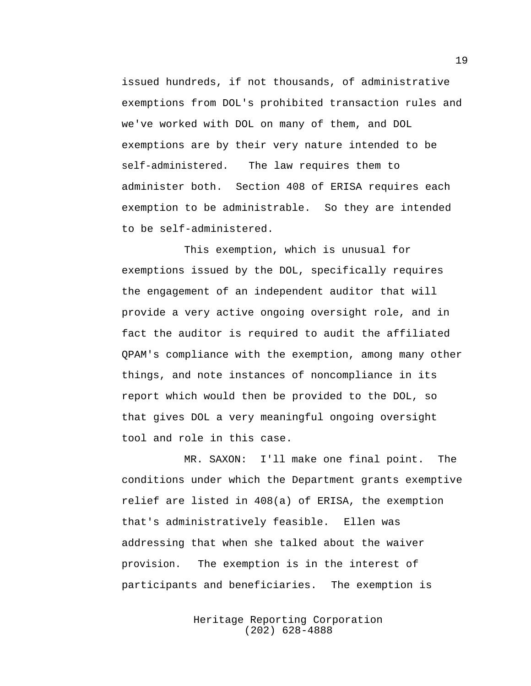issued hundreds, if not thousands, of administrative exemptions from DOL's prohibited transaction rules and we've worked with DOL on many of them, and DOL exemptions are by their very nature intended to be self-administered. The law requires them to administer both. Section 408 of ERISA requires each exemption to be administrable. So they are intended to be self-administered.

This exemption, which is unusual for exemptions issued by the DOL, specifically requires the engagement of an independent auditor that will provide a very active ongoing oversight role, and in fact the auditor is required to audit the affiliated QPAM's compliance with the exemption, among many other things, and note instances of noncompliance in its report which would then be provided to the DOL, so that gives DOL a very meaningful ongoing oversight tool and role in this case.

MR. SAXON: I'll make one final point. The conditions under which the Department grants exemptive relief are listed in 408(a) of ERISA, the exemption that's administratively feasible. Ellen was addressing that when she talked about the waiver provision. The exemption is in the interest of participants and beneficiaries. The exemption is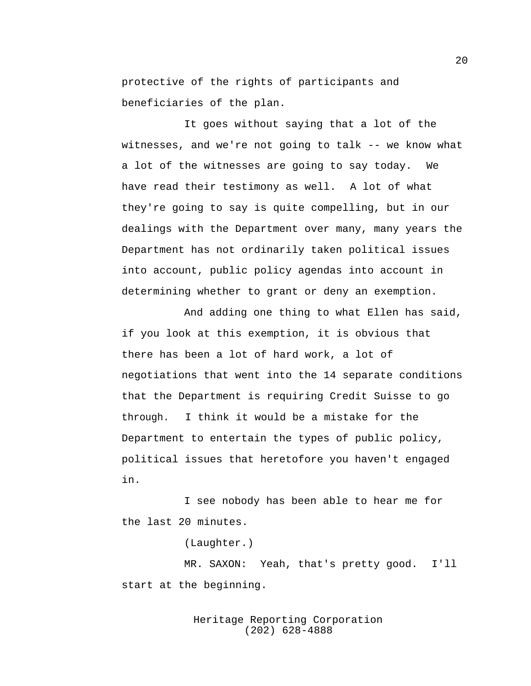protective of the rights of participants and beneficiaries of the plan.

It goes without saying that a lot of the witnesses, and we're not going to talk -- we know what a lot of the witnesses are going to say today. We have read their testimony as well. A lot of what they're going to say is quite compelling, but in our dealings with the Department over many, many years the Department has not ordinarily taken political issues into account, public policy agendas into account in determining whether to grant or deny an exemption.

And adding one thing to what Ellen has said, if you look at this exemption, it is obvious that there has been a lot of hard work, a lot of negotiations that went into the 14 separate conditions that the Department is requiring Credit Suisse to go through. I think it would be a mistake for the Department to entertain the types of public policy, political issues that heretofore you haven't engaged in.

I see nobody has been able to hear me for the last 20 minutes.

(Laughter.)

MR. SAXON: Yeah, that's pretty good. I'll start at the beginning.

## Heritage Reporting Corporation (202) 628-4888

20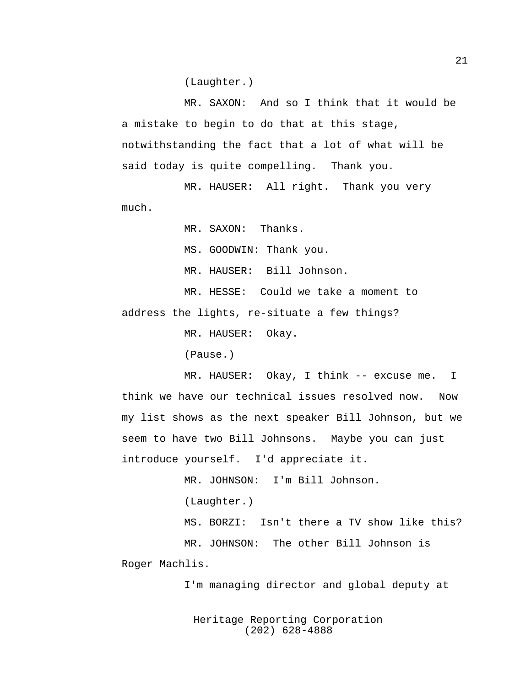(Laughter.)

MR. SAXON: And so I think that it would be a mistake to begin to do that at this stage, notwithstanding the fact that a lot of what will be said today is quite compelling. Thank you.

MR. HAUSER: All right. Thank you very much.

MR. SAXON: Thanks.

MS. GOODWIN: Thank you.

MR. HAUSER: Bill Johnson.

MR. HESSE: Could we take a moment to address the lights, re-situate a few things?

MR. HAUSER: Okay.

(Pause.)

MR. HAUSER: Okay, I think -- excuse me. I think we have our technical issues resolved now. Now my list shows as the next speaker Bill Johnson, but we seem to have two Bill Johnsons. Maybe you can just introduce yourself. I'd appreciate it.

MR. JOHNSON: I'm Bill Johnson.

(Laughter.)

MS. BORZI: Isn't there a TV show like this? MR. JOHNSON: The other Bill Johnson is

Roger Machlis.

I'm managing director and global deputy at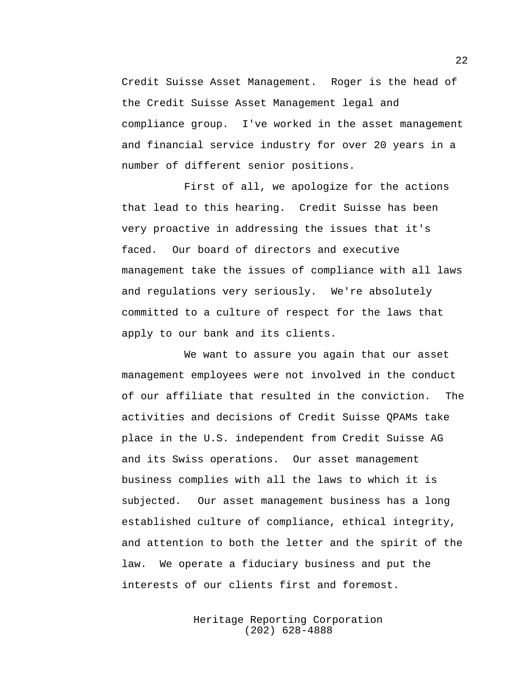Credit Suisse Asset Management. Roger is the head of the Credit Suisse Asset Management legal and compliance group. I've worked in the asset management and financial service industry for over 20 years in a number of different senior positions.

First of all, we apologize for the actions that lead to this hearing. Credit Suisse has been very proactive in addressing the issues that it's faced. Our board of directors and executive management take the issues of compliance with all laws and regulations very seriously. We're absolutely committed to a culture of respect for the laws that apply to our bank and its clients.

We want to assure you again that our asset management employees were not involved in the conduct of our affiliate that resulted in the conviction. The activities and decisions of Credit Suisse QPAMs take place in the U.S. independent from Credit Suisse AG and its Swiss operations. Our asset management business complies with all the laws to which it is subjected. Our asset management business has a long established culture of compliance, ethical integrity, and attention to both the letter and the spirit of the law. We operate a fiduciary business and put the interests of our clients first and foremost.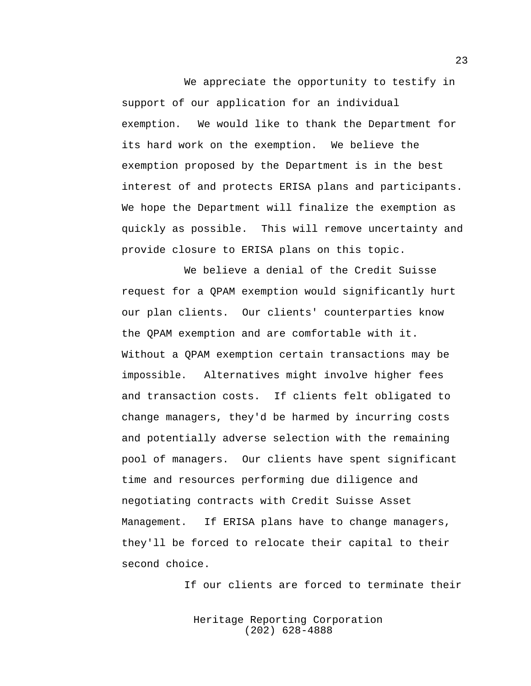We appreciate the opportunity to testify in support of our application for an individual exemption. We would like to thank the Department for its hard work on the exemption. We believe the exemption proposed by the Department is in the best interest of and protects ERISA plans and participants. We hope the Department will finalize the exemption as quickly as possible. This will remove uncertainty and provide closure to ERISA plans on this topic.

We believe a denial of the Credit Suisse request for a QPAM exemption would significantly hurt our plan clients. Our clients' counterparties know the QPAM exemption and are comfortable with it. Without a QPAM exemption certain transactions may be impossible. Alternatives might involve higher fees and transaction costs. If clients felt obligated to change managers, they'd be harmed by incurring costs and potentially adverse selection with the remaining pool of managers. Our clients have spent significant time and resources performing due diligence and negotiating contracts with Credit Suisse Asset Management. If ERISA plans have to change managers, they'll be forced to relocate their capital to their second choice.

If our clients are forced to terminate their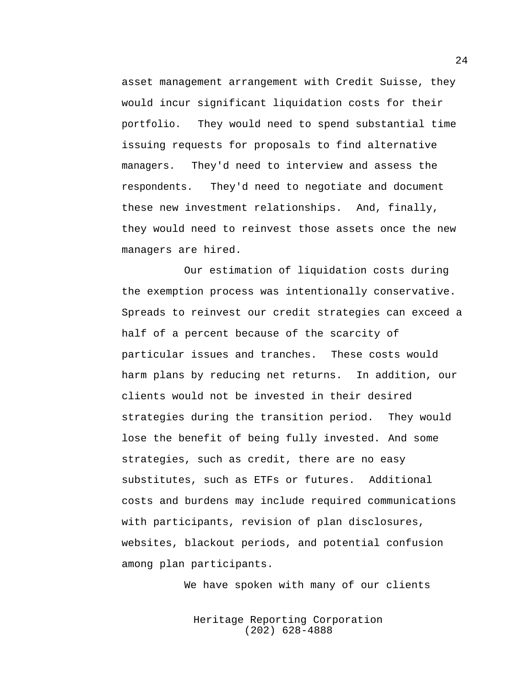asset management arrangement with Credit Suisse, they would incur significant liquidation costs for their portfolio. They would need to spend substantial time issuing requests for proposals to find alternative managers. They'd need to interview and assess the respondents. They'd need to negotiate and document these new investment relationships. And, finally, they would need to reinvest those assets once the new managers are hired.

Our estimation of liquidation costs during the exemption process was intentionally conservative. Spreads to reinvest our credit strategies can exceed a half of a percent because of the scarcity of particular issues and tranches. These costs would harm plans by reducing net returns. In addition, our clients would not be invested in their desired strategies during the transition period. They would lose the benefit of being fully invested. And some strategies, such as credit, there are no easy substitutes, such as ETFs or futures. Additional costs and burdens may include required communications with participants, revision of plan disclosures, websites, blackout periods, and potential confusion among plan participants.

We have spoken with many of our clients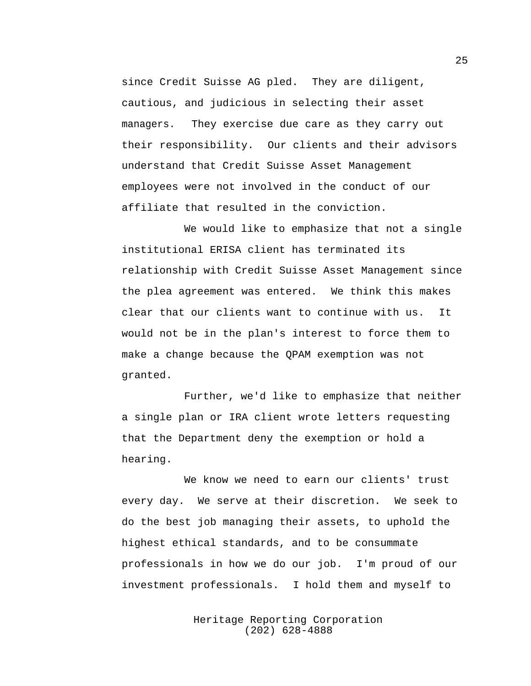since Credit Suisse AG pled. They are diligent, cautious, and judicious in selecting their asset managers. They exercise due care as they carry out their responsibility. Our clients and their advisors understand that Credit Suisse Asset Management employees were not involved in the conduct of our affiliate that resulted in the conviction.

We would like to emphasize that not a single institutional ERISA client has terminated its relationship with Credit Suisse Asset Management since the plea agreement was entered. We think this makes clear that our clients want to continue with us. It would not be in the plan's interest to force them to make a change because the QPAM exemption was not granted.

Further, we'd like to emphasize that neither a single plan or IRA client wrote letters requesting that the Department deny the exemption or hold a hearing.

We know we need to earn our clients' trust every day. We serve at their discretion. We seek to do the best job managing their assets, to uphold the highest ethical standards, and to be consummate professionals in how we do our job. I'm proud of our investment professionals. I hold them and myself to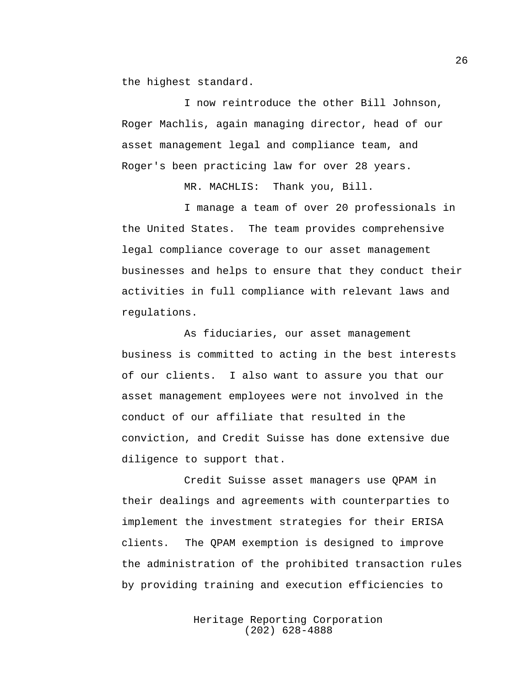the highest standard.

I now reintroduce the other Bill Johnson, Roger Machlis, again managing director, head of our asset management legal and compliance team, and Roger's been practicing law for over 28 years.

MR. MACHLIS: Thank you, Bill.

I manage a team of over 20 professionals in the United States. The team provides comprehensive legal compliance coverage to our asset management businesses and helps to ensure that they conduct their activities in full compliance with relevant laws and regulations.

As fiduciaries, our asset management business is committed to acting in the best interests of our clients. I also want to assure you that our asset management employees were not involved in the conduct of our affiliate that resulted in the conviction, and Credit Suisse has done extensive due diligence to support that.

Credit Suisse asset managers use QPAM in their dealings and agreements with counterparties to implement the investment strategies for their ERISA clients. The QPAM exemption is designed to improve the administration of the prohibited transaction rules by providing training and execution efficiencies to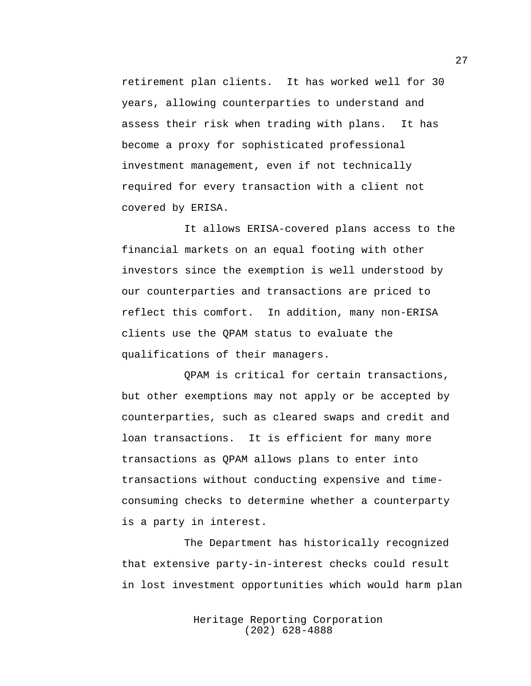retirement plan clients. It has worked well for 30 years, allowing counterparties to understand and assess their risk when trading with plans. It has become a proxy for sophisticated professional investment management, even if not technically required for every transaction with a client not covered by ERISA.

It allows ERISA-covered plans access to the financial markets on an equal footing with other investors since the exemption is well understood by our counterparties and transactions are priced to reflect this comfort. In addition, many non-ERISA clients use the QPAM status to evaluate the qualifications of their managers.

QPAM is critical for certain transactions, but other exemptions may not apply or be accepted by counterparties, such as cleared swaps and credit and loan transactions. It is efficient for many more transactions as QPAM allows plans to enter into transactions without conducting expensive and timeconsuming checks to determine whether a counterparty is a party in interest.

The Department has historically recognized that extensive party-in-interest checks could result in lost investment opportunities which would harm plan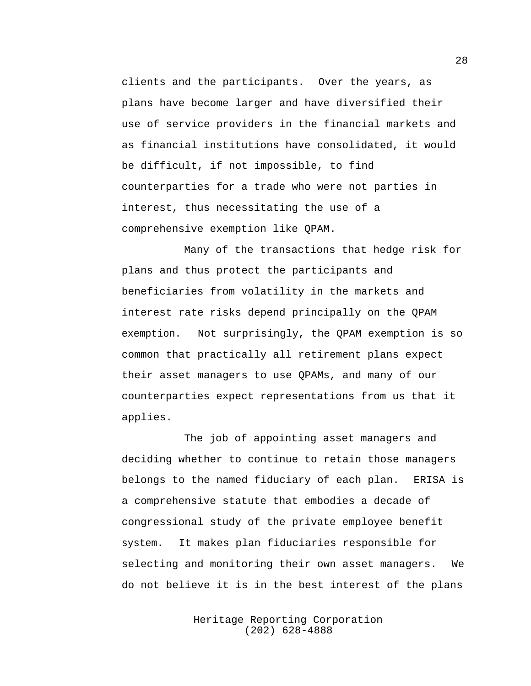clients and the participants. Over the years, as plans have become larger and have diversified their use of service providers in the financial markets and as financial institutions have consolidated, it would be difficult, if not impossible, to find counterparties for a trade who were not parties in interest, thus necessitating the use of a comprehensive exemption like QPAM.

Many of the transactions that hedge risk for plans and thus protect the participants and beneficiaries from volatility in the markets and interest rate risks depend principally on the QPAM exemption. Not surprisingly, the QPAM exemption is so common that practically all retirement plans expect their asset managers to use QPAMs, and many of our counterparties expect representations from us that it applies.

The job of appointing asset managers and deciding whether to continue to retain those managers belongs to the named fiduciary of each plan. ERISA is a comprehensive statute that embodies a decade of congressional study of the private employee benefit system. It makes plan fiduciaries responsible for selecting and monitoring their own asset managers. We do not believe it is in the best interest of the plans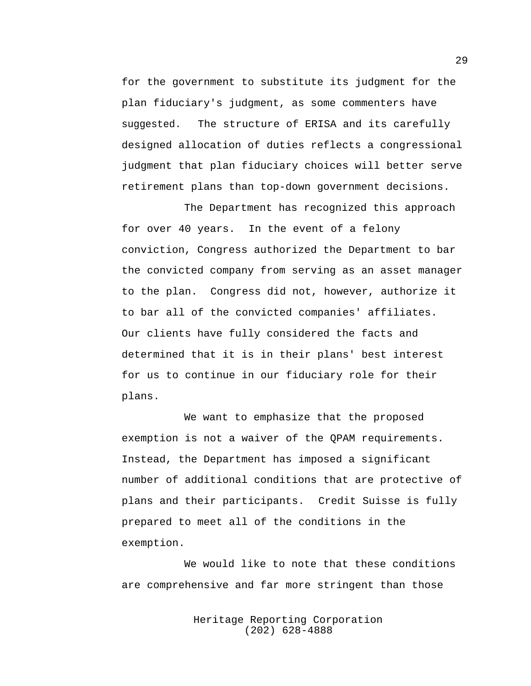for the government to substitute its judgment for the plan fiduciary's judgment, as some commenters have suggested. The structure of ERISA and its carefully designed allocation of duties reflects a congressional judgment that plan fiduciary choices will better serve retirement plans than top-down government decisions.

The Department has recognized this approach for over 40 years. In the event of a felony conviction, Congress authorized the Department to bar the convicted company from serving as an asset manager to the plan. Congress did not, however, authorize it to bar all of the convicted companies' affiliates. Our clients have fully considered the facts and determined that it is in their plans' best interest for us to continue in our fiduciary role for their plans.

We want to emphasize that the proposed exemption is not a waiver of the QPAM requirements. Instead, the Department has imposed a significant number of additional conditions that are protective of plans and their participants. Credit Suisse is fully prepared to meet all of the conditions in the exemption.

We would like to note that these conditions are comprehensive and far more stringent than those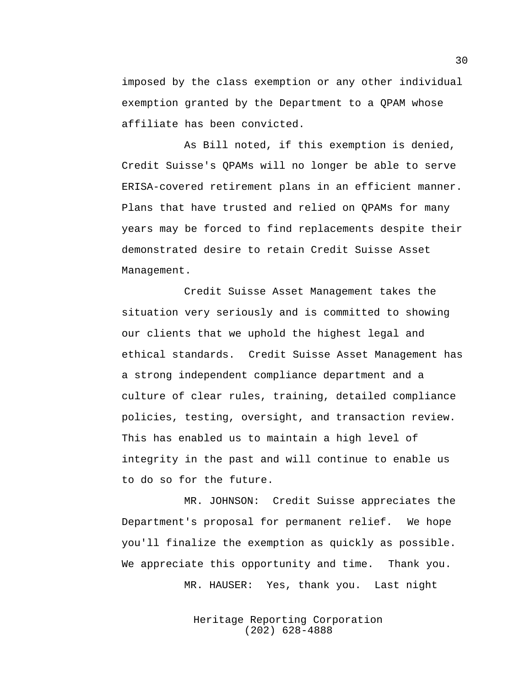imposed by the class exemption or any other individual exemption granted by the Department to a QPAM whose affiliate has been convicted.

As Bill noted, if this exemption is denied, Credit Suisse's QPAMs will no longer be able to serve ERISA-covered retirement plans in an efficient manner. Plans that have trusted and relied on QPAMs for many years may be forced to find replacements despite their demonstrated desire to retain Credit Suisse Asset Management.

Credit Suisse Asset Management takes the situation very seriously and is committed to showing our clients that we uphold the highest legal and ethical standards. Credit Suisse Asset Management has a strong independent compliance department and a culture of clear rules, training, detailed compliance policies, testing, oversight, and transaction review. This has enabled us to maintain a high level of integrity in the past and will continue to enable us to do so for the future.

MR. JOHNSON: Credit Suisse appreciates the Department's proposal for permanent relief. We hope you'll finalize the exemption as quickly as possible. We appreciate this opportunity and time. Thank you.

MR. HAUSER: Yes, thank you. Last night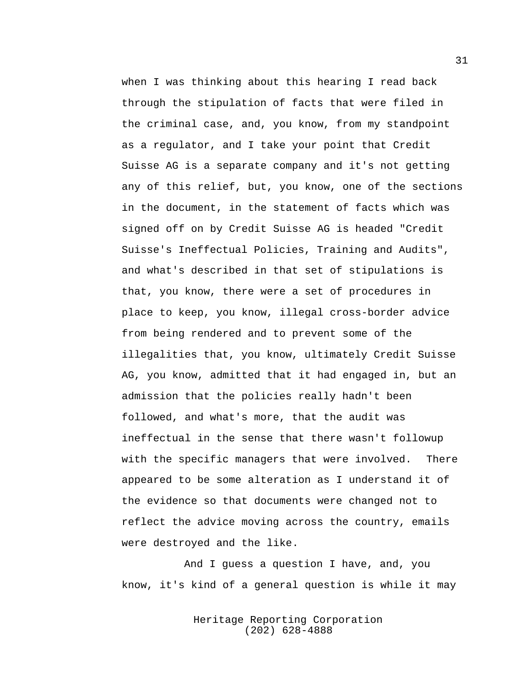when I was thinking about this hearing I read back through the stipulation of facts that were filed in the criminal case, and, you know, from my standpoint as a regulator, and I take your point that Credit Suisse AG is a separate company and it's not getting any of this relief, but, you know, one of the sections in the document, in the statement of facts which was signed off on by Credit Suisse AG is headed "Credit Suisse's Ineffectual Policies, Training and Audits", and what's described in that set of stipulations is that, you know, there were a set of procedures in place to keep, you know, illegal cross-border advice from being rendered and to prevent some of the illegalities that, you know, ultimately Credit Suisse AG, you know, admitted that it had engaged in, but an admission that the policies really hadn't been followed, and what's more, that the audit was ineffectual in the sense that there wasn't followup with the specific managers that were involved. There appeared to be some alteration as I understand it of the evidence so that documents were changed not to reflect the advice moving across the country, emails were destroyed and the like.

And I guess a question I have, and, you know, it's kind of a general question is while it may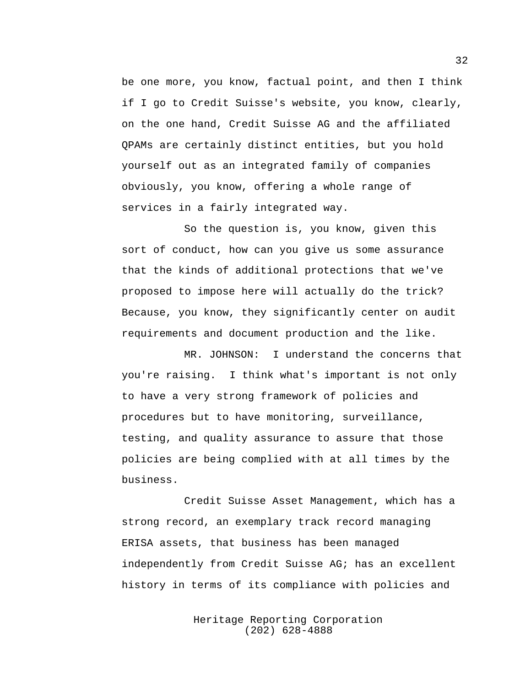be one more, you know, factual point, and then I think if I go to Credit Suisse's website, you know, clearly, on the one hand, Credit Suisse AG and the affiliated QPAMs are certainly distinct entities, but you hold yourself out as an integrated family of companies obviously, you know, offering a whole range of services in a fairly integrated way.

So the question is, you know, given this sort of conduct, how can you give us some assurance that the kinds of additional protections that we've proposed to impose here will actually do the trick? Because, you know, they significantly center on audit requirements and document production and the like.

MR. JOHNSON: I understand the concerns that you're raising. I think what's important is not only to have a very strong framework of policies and procedures but to have monitoring, surveillance, testing, and quality assurance to assure that those policies are being complied with at all times by the business.

Credit Suisse Asset Management, which has a strong record, an exemplary track record managing ERISA assets, that business has been managed independently from Credit Suisse AG; has an excellent history in terms of its compliance with policies and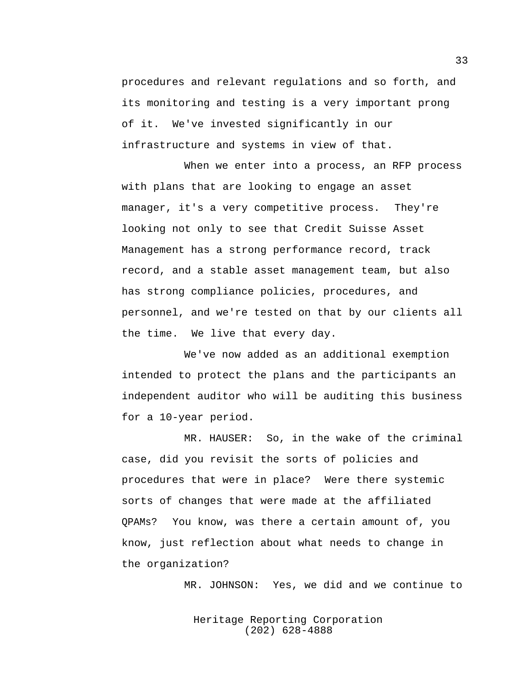procedures and relevant regulations and so forth, and its monitoring and testing is a very important prong of it. We've invested significantly in our infrastructure and systems in view of that.

When we enter into a process, an RFP process with plans that are looking to engage an asset manager, it's a very competitive process. They're looking not only to see that Credit Suisse Asset Management has a strong performance record, track record, and a stable asset management team, but also has strong compliance policies, procedures, and personnel, and we're tested on that by our clients all the time. We live that every day.

We've now added as an additional exemption intended to protect the plans and the participants an independent auditor who will be auditing this business for a 10-year period.

MR. HAUSER: So, in the wake of the criminal case, did you revisit the sorts of policies and procedures that were in place? Were there systemic sorts of changes that were made at the affiliated QPAMs? You know, was there a certain amount of, you know, just reflection about what needs to change in the organization?

MR. JOHNSON: Yes, we did and we continue to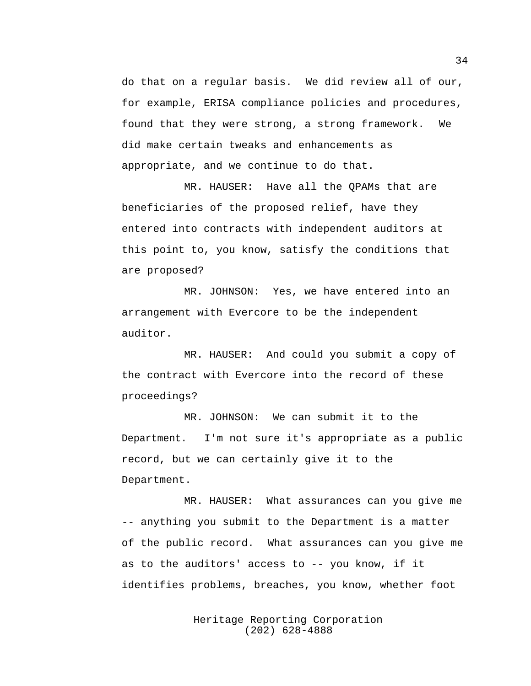do that on a regular basis. We did review all of our, for example, ERISA compliance policies and procedures, found that they were strong, a strong framework. We did make certain tweaks and enhancements as appropriate, and we continue to do that.

MR. HAUSER: Have all the QPAMs that are beneficiaries of the proposed relief, have they entered into contracts with independent auditors at this point to, you know, satisfy the conditions that are proposed?

MR. JOHNSON: Yes, we have entered into an arrangement with Evercore to be the independent auditor.

MR. HAUSER: And could you submit a copy of the contract with Evercore into the record of these proceedings?

MR. JOHNSON: We can submit it to the Department. I'm not sure it's appropriate as a public record, but we can certainly give it to the Department.

MR. HAUSER: What assurances can you give me -- anything you submit to the Department is a matter of the public record. What assurances can you give me as to the auditors' access to -- you know, if it identifies problems, breaches, you know, whether foot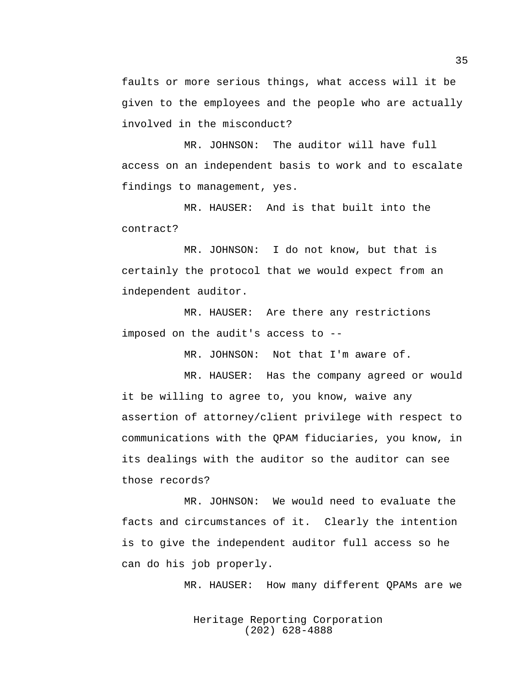faults or more serious things, what access will it be given to the employees and the people who are actually involved in the misconduct?

MR. JOHNSON: The auditor will have full access on an independent basis to work and to escalate findings to management, yes.

MR. HAUSER: And is that built into the contract?

MR. JOHNSON: I do not know, but that is certainly the protocol that we would expect from an independent auditor.

MR. HAUSER: Are there any restrictions imposed on the audit's access to --

MR. JOHNSON: Not that I'm aware of.

MR. HAUSER: Has the company agreed or would it be willing to agree to, you know, waive any assertion of attorney/client privilege with respect to communications with the QPAM fiduciaries, you know, in its dealings with the auditor so the auditor can see those records?

MR. JOHNSON: We would need to evaluate the facts and circumstances of it. Clearly the intention is to give the independent auditor full access so he can do his job properly.

MR. HAUSER: How many different QPAMs are we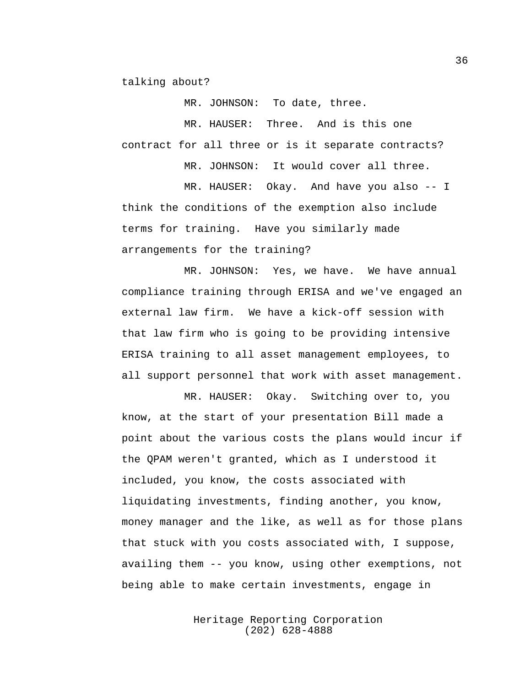talking about?

MR. JOHNSON: To date, three.

MR. HAUSER: Three. And is this one contract for all three or is it separate contracts?

MR. JOHNSON: It would cover all three.

MR. HAUSER: Okay. And have you also -- I think the conditions of the exemption also include terms for training. Have you similarly made arrangements for the training?

MR. JOHNSON: Yes, we have. We have annual compliance training through ERISA and we've engaged an external law firm. We have a kick-off session with that law firm who is going to be providing intensive ERISA training to all asset management employees, to all support personnel that work with asset management.

MR. HAUSER: Okay. Switching over to, you know, at the start of your presentation Bill made a point about the various costs the plans would incur if the QPAM weren't granted, which as I understood it included, you know, the costs associated with liquidating investments, finding another, you know, money manager and the like, as well as for those plans that stuck with you costs associated with, I suppose, availing them -- you know, using other exemptions, not being able to make certain investments, engage in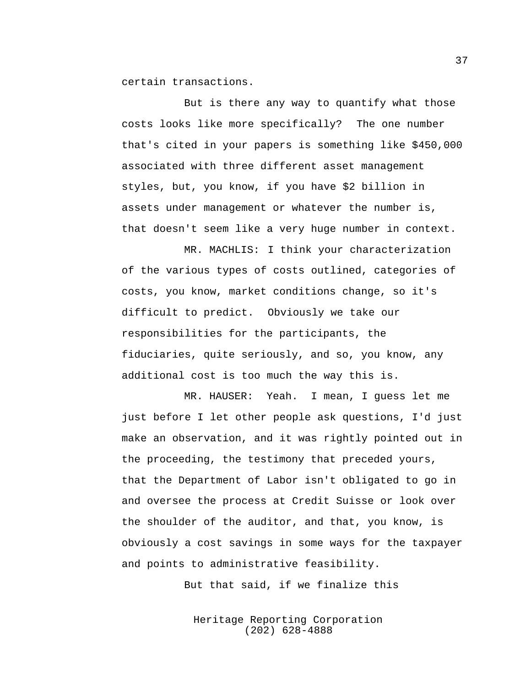certain transactions.

But is there any way to quantify what those costs looks like more specifically? The one number that's cited in your papers is something like \$450,000 associated with three different asset management styles, but, you know, if you have \$2 billion in assets under management or whatever the number is, that doesn't seem like a very huge number in context.

MR. MACHLIS: I think your characterization of the various types of costs outlined, categories of costs, you know, market conditions change, so it's difficult to predict. Obviously we take our responsibilities for the participants, the fiduciaries, quite seriously, and so, you know, any additional cost is too much the way this is.

MR. HAUSER: Yeah. I mean, I guess let me just before I let other people ask questions, I'd just make an observation, and it was rightly pointed out in the proceeding, the testimony that preceded yours, that the Department of Labor isn't obligated to go in and oversee the process at Credit Suisse or look over the shoulder of the auditor, and that, you know, is obviously a cost savings in some ways for the taxpayer and points to administrative feasibility.

But that said, if we finalize this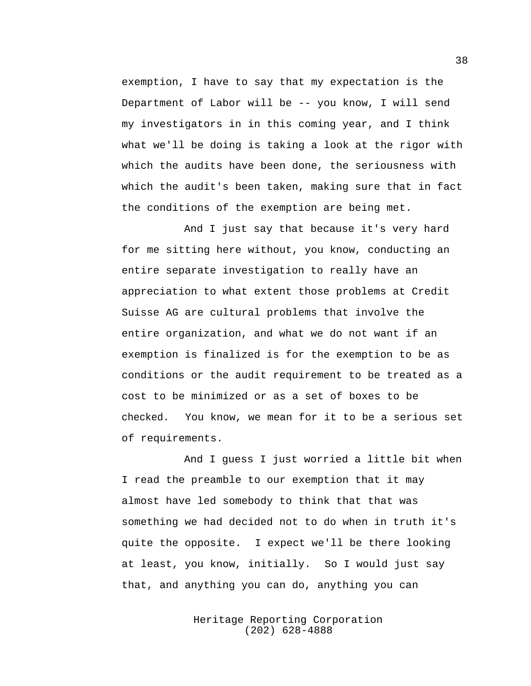exemption, I have to say that my expectation is the Department of Labor will be -- you know, I will send my investigators in in this coming year, and I think what we'll be doing is taking a look at the rigor with which the audits have been done, the seriousness with which the audit's been taken, making sure that in fact the conditions of the exemption are being met.

And I just say that because it's very hard for me sitting here without, you know, conducting an entire separate investigation to really have an appreciation to what extent those problems at Credit Suisse AG are cultural problems that involve the entire organization, and what we do not want if an exemption is finalized is for the exemption to be as conditions or the audit requirement to be treated as a cost to be minimized or as a set of boxes to be checked. You know, we mean for it to be a serious set of requirements.

And I guess I just worried a little bit when I read the preamble to our exemption that it may almost have led somebody to think that that was something we had decided not to do when in truth it's quite the opposite. I expect we'll be there looking at least, you know, initially. So I would just say that, and anything you can do, anything you can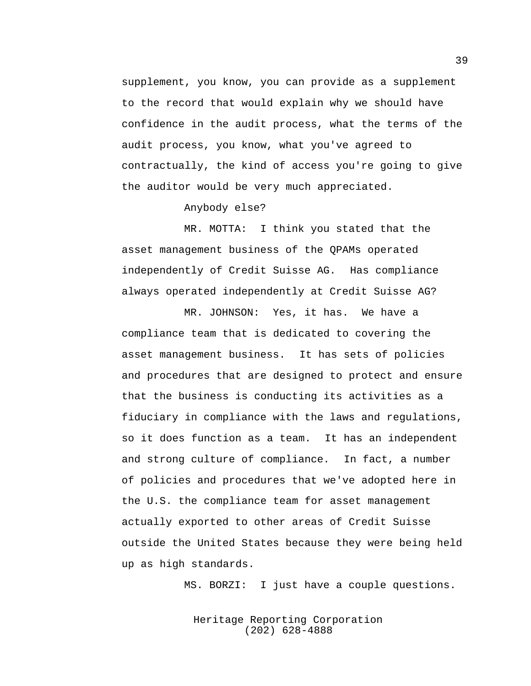supplement, you know, you can provide as a supplement to the record that would explain why we should have confidence in the audit process, what the terms of the audit process, you know, what you've agreed to contractually, the kind of access you're going to give the auditor would be very much appreciated.

Anybody else?

MR. MOTTA: I think you stated that the asset management business of the QPAMs operated independently of Credit Suisse AG. Has compliance always operated independently at Credit Suisse AG?

MR. JOHNSON: Yes, it has. We have a compliance team that is dedicated to covering the asset management business. It has sets of policies and procedures that are designed to protect and ensure that the business is conducting its activities as a fiduciary in compliance with the laws and regulations, so it does function as a team. It has an independent and strong culture of compliance. In fact, a number of policies and procedures that we've adopted here in the U.S. the compliance team for asset management actually exported to other areas of Credit Suisse outside the United States because they were being held up as high standards.

MS. BORZI: I just have a couple questions.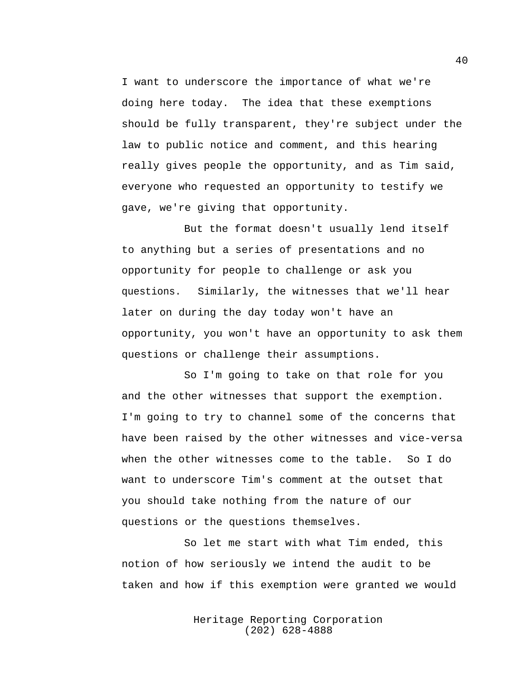I want to underscore the importance of what we're doing here today. The idea that these exemptions should be fully transparent, they're subject under the law to public notice and comment, and this hearing really gives people the opportunity, and as Tim said, everyone who requested an opportunity to testify we gave, we're giving that opportunity.

But the format doesn't usually lend itself to anything but a series of presentations and no opportunity for people to challenge or ask you questions. Similarly, the witnesses that we'll hear later on during the day today won't have an opportunity, you won't have an opportunity to ask them questions or challenge their assumptions.

So I'm going to take on that role for you and the other witnesses that support the exemption. I'm going to try to channel some of the concerns that have been raised by the other witnesses and vice-versa when the other witnesses come to the table. So I do want to underscore Tim's comment at the outset that you should take nothing from the nature of our questions or the questions themselves.

So let me start with what Tim ended, this notion of how seriously we intend the audit to be taken and how if this exemption were granted we would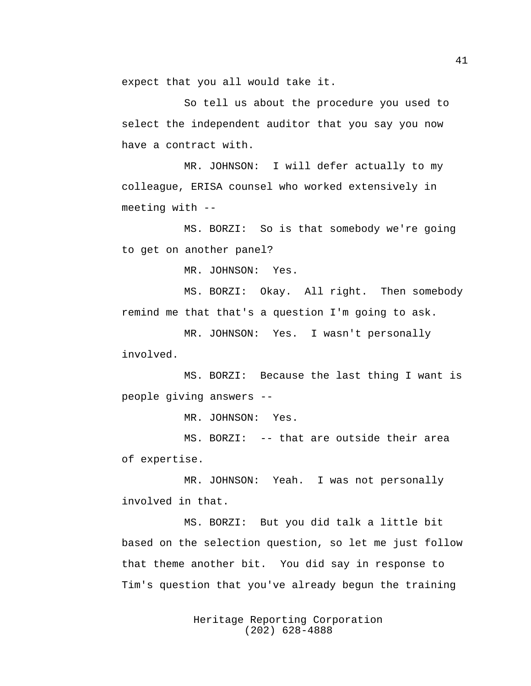expect that you all would take it.

So tell us about the procedure you used to select the independent auditor that you say you now have a contract with.

MR. JOHNSON: I will defer actually to my colleague, ERISA counsel who worked extensively in meeting with --

MS. BORZI: So is that somebody we're going to get on another panel?

MR. JOHNSON: Yes.

MS. BORZI: Okay. All right. Then somebody remind me that that's a question I'm going to ask.

MR. JOHNSON: Yes. I wasn't personally involved.

MS. BORZI: Because the last thing I want is people giving answers --

MR. JOHNSON: Yes.

MS. BORZI: -- that are outside their area of expertise.

MR. JOHNSON: Yeah. I was not personally involved in that.

MS. BORZI: But you did talk a little bit based on the selection question, so let me just follow that theme another bit. You did say in response to Tim's question that you've already begun the training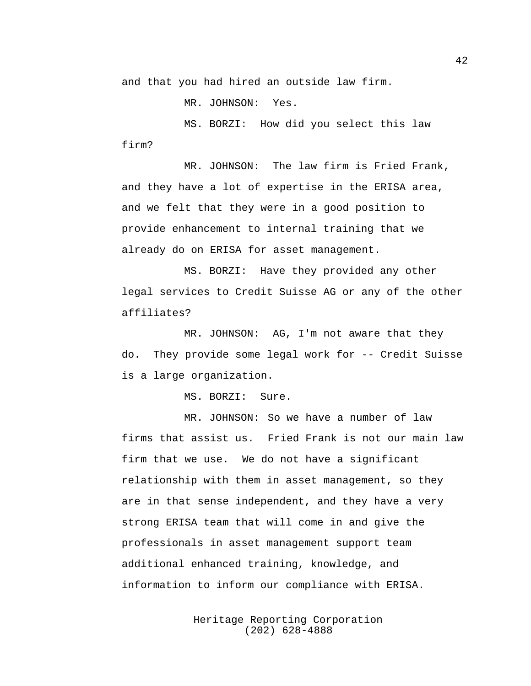and that you had hired an outside law firm.

MR. JOHNSON: Yes.

MS. BORZI: How did you select this law firm?

MR. JOHNSON: The law firm is Fried Frank, and they have a lot of expertise in the ERISA area, and we felt that they were in a good position to provide enhancement to internal training that we already do on ERISA for asset management.

MS. BORZI: Have they provided any other legal services to Credit Suisse AG or any of the other affiliates?

MR. JOHNSON: AG, I'm not aware that they do. They provide some legal work for -- Credit Suisse is a large organization.

MS. BORZI: Sure.

MR. JOHNSON: So we have a number of law firms that assist us. Fried Frank is not our main law firm that we use. We do not have a significant relationship with them in asset management, so they are in that sense independent, and they have a very strong ERISA team that will come in and give the professionals in asset management support team additional enhanced training, knowledge, and information to inform our compliance with ERISA.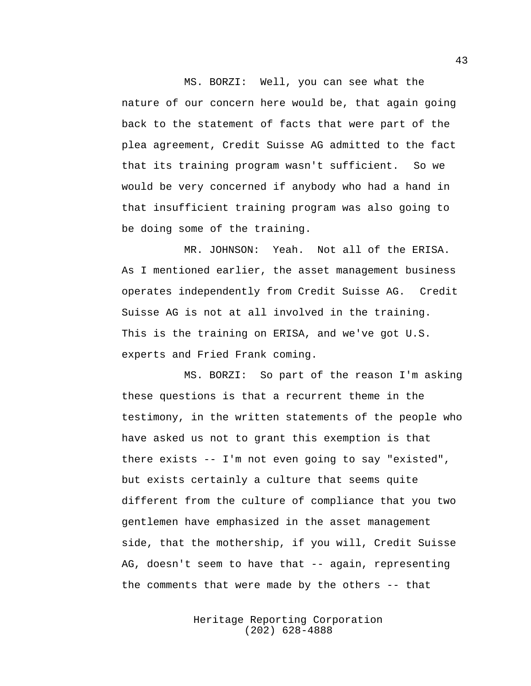MS. BORZI: Well, you can see what the nature of our concern here would be, that again going back to the statement of facts that were part of the plea agreement, Credit Suisse AG admitted to the fact that its training program wasn't sufficient. So we would be very concerned if anybody who had a hand in that insufficient training program was also going to be doing some of the training.

MR. JOHNSON: Yeah. Not all of the ERISA. As I mentioned earlier, the asset management business operates independently from Credit Suisse AG. Credit Suisse AG is not at all involved in the training. This is the training on ERISA, and we've got U.S. experts and Fried Frank coming.

MS. BORZI: So part of the reason I'm asking these questions is that a recurrent theme in the testimony, in the written statements of the people who have asked us not to grant this exemption is that there exists -- I'm not even going to say "existed", but exists certainly a culture that seems quite different from the culture of compliance that you two gentlemen have emphasized in the asset management side, that the mothership, if you will, Credit Suisse AG, doesn't seem to have that -- again, representing the comments that were made by the others -- that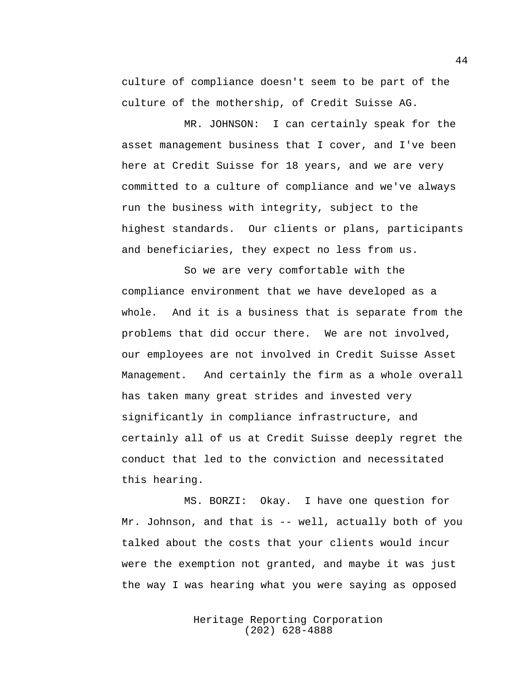culture of compliance doesn't seem to be part of the culture of the mothership, of Credit Suisse AG.

MR. JOHNSON: I can certainly speak for the asset management business that I cover, and I've been here at Credit Suisse for 18 years, and we are very committed to a culture of compliance and we've always run the business with integrity, subject to the highest standards. Our clients or plans, participants and beneficiaries, they expect no less from us.

So we are very comfortable with the compliance environment that we have developed as a whole. And it is a business that is separate from the problems that did occur there. We are not involved, our employees are not involved in Credit Suisse Asset Management. And certainly the firm as a whole overall has taken many great strides and invested very significantly in compliance infrastructure, and certainly all of us at Credit Suisse deeply regret the conduct that led to the conviction and necessitated this hearing.

MS. BORZI: Okay. I have one question for Mr. Johnson, and that is -- well, actually both of you talked about the costs that your clients would incur were the exemption not granted, and maybe it was just the way I was hearing what you were saying as opposed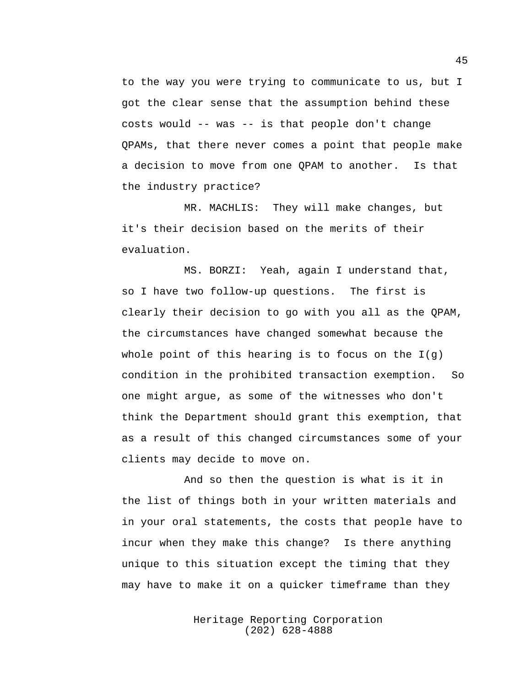to the way you were trying to communicate to us, but I got the clear sense that the assumption behind these costs would -- was -- is that people don't change QPAMs, that there never comes a point that people make a decision to move from one QPAM to another. Is that the industry practice?

MR. MACHLIS: They will make changes, but it's their decision based on the merits of their evaluation.

MS. BORZI: Yeah, again I understand that, so I have two follow-up questions. The first is clearly their decision to go with you all as the QPAM, the circumstances have changed somewhat because the whole point of this hearing is to focus on the  $I(q)$ condition in the prohibited transaction exemption. So one might argue, as some of the witnesses who don't think the Department should grant this exemption, that as a result of this changed circumstances some of your clients may decide to move on.

And so then the question is what is it in the list of things both in your written materials and in your oral statements, the costs that people have to incur when they make this change? Is there anything unique to this situation except the timing that they may have to make it on a quicker timeframe than they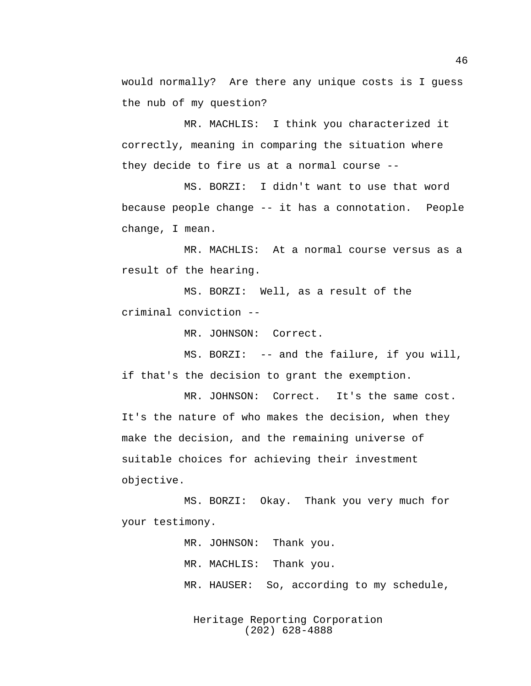would normally? Are there any unique costs is I guess the nub of my question?

MR. MACHLIS: I think you characterized it correctly, meaning in comparing the situation where they decide to fire us at a normal course --

MS. BORZI: I didn't want to use that word because people change -- it has a connotation. People change, I mean.

MR. MACHLIS: At a normal course versus as a result of the hearing.

MS. BORZI: Well, as a result of the criminal conviction --

MR. JOHNSON: Correct.

MS. BORZI: -- and the failure, if you will, if that's the decision to grant the exemption.

MR. JOHNSON: Correct. It's the same cost. It's the nature of who makes the decision, when they make the decision, and the remaining universe of suitable choices for achieving their investment objective.

MS. BORZI: Okay. Thank you very much for your testimony.

> MR. JOHNSON: Thank you. MR. MACHLIS: Thank you. MR. HAUSER: So, according to my schedule,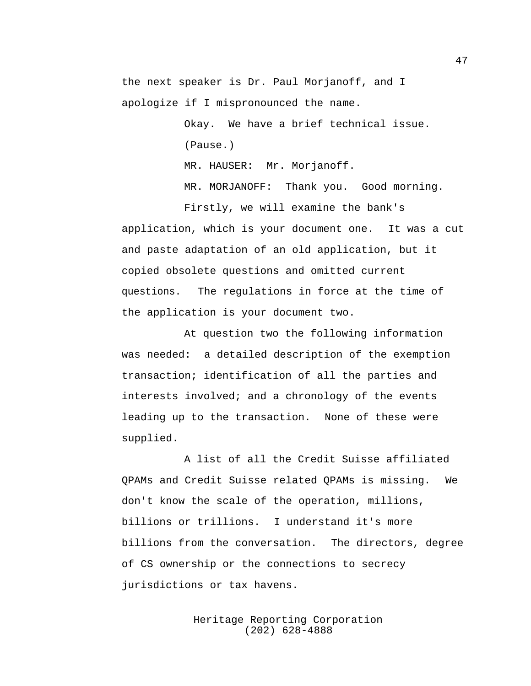the next speaker is Dr. Paul Morjanoff, and I apologize if I mispronounced the name.

> Okay. We have a brief technical issue. (Pause.) MR. HAUSER: Mr. Morjanoff.

MR. MORJANOFF: Thank you. Good morning.

application, which is your document one. It was a cut and paste adaptation of an old application, but it copied obsolete questions and omitted current questions. The regulations in force at the time of the application is your document two.

Firstly, we will examine the bank's

At question two the following information was needed: a detailed description of the exemption transaction; identification of all the parties and interests involved; and a chronology of the events leading up to the transaction. None of these were supplied.

A list of all the Credit Suisse affiliated QPAMs and Credit Suisse related QPAMs is missing. We don't know the scale of the operation, millions, billions or trillions. I understand it's more billions from the conversation. The directors, degree of CS ownership or the connections to secrecy jurisdictions or tax havens.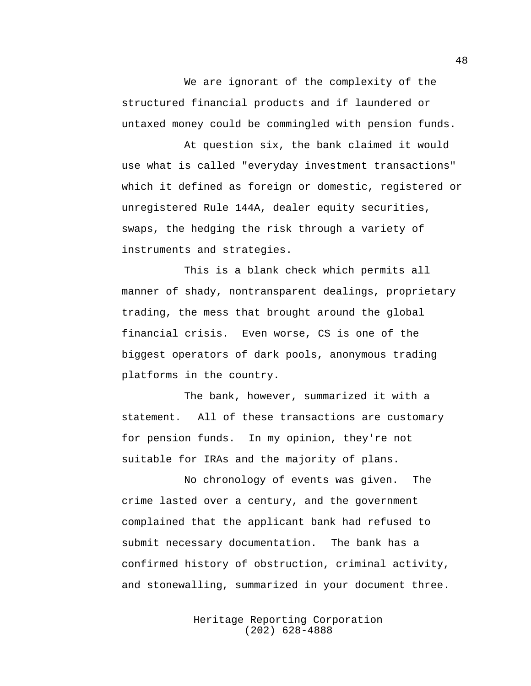We are ignorant of the complexity of the structured financial products and if laundered or untaxed money could be commingled with pension funds.

At question six, the bank claimed it would use what is called "everyday investment transactions" which it defined as foreign or domestic, registered or unregistered Rule 144A, dealer equity securities, swaps, the hedging the risk through a variety of instruments and strategies.

This is a blank check which permits all manner of shady, nontransparent dealings, proprietary trading, the mess that brought around the global financial crisis. Even worse, CS is one of the biggest operators of dark pools, anonymous trading platforms in the country.

The bank, however, summarized it with a statement. All of these transactions are customary for pension funds. In my opinion, they're not suitable for IRAs and the majority of plans.

No chronology of events was given. The crime lasted over a century, and the government complained that the applicant bank had refused to submit necessary documentation. The bank has a confirmed history of obstruction, criminal activity, and stonewalling, summarized in your document three.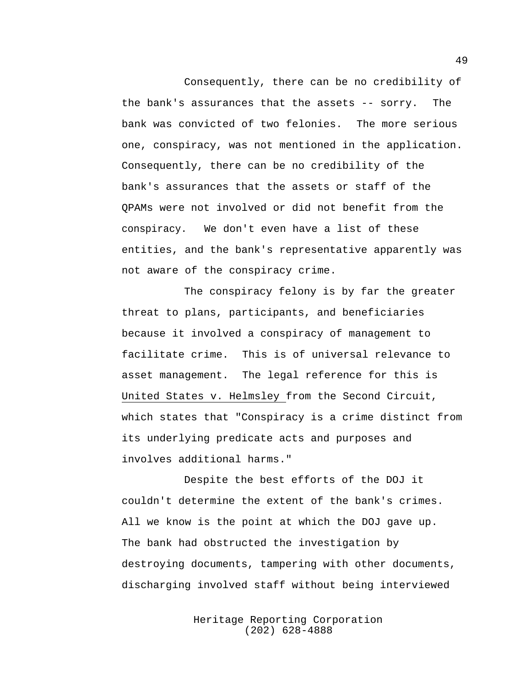Consequently, there can be no credibility of the bank's assurances that the assets -- sorry. The bank was convicted of two felonies. The more serious one, conspiracy, was not mentioned in the application. Consequently, there can be no credibility of the bank's assurances that the assets or staff of the QPAMs were not involved or did not benefit from the conspiracy. We don't even have a list of these entities, and the bank's representative apparently was not aware of the conspiracy crime.

The conspiracy felony is by far the greater threat to plans, participants, and beneficiaries because it involved a conspiracy of management to facilitate crime. This is of universal relevance to asset management. The legal reference for this is United States v. Helmsley from the Second Circuit, which states that "Conspiracy is a crime distinct from its underlying predicate acts and purposes and involves additional harms."

Despite the best efforts of the DOJ it couldn't determine the extent of the bank's crimes. All we know is the point at which the DOJ gave up. The bank had obstructed the investigation by destroying documents, tampering with other documents, discharging involved staff without being interviewed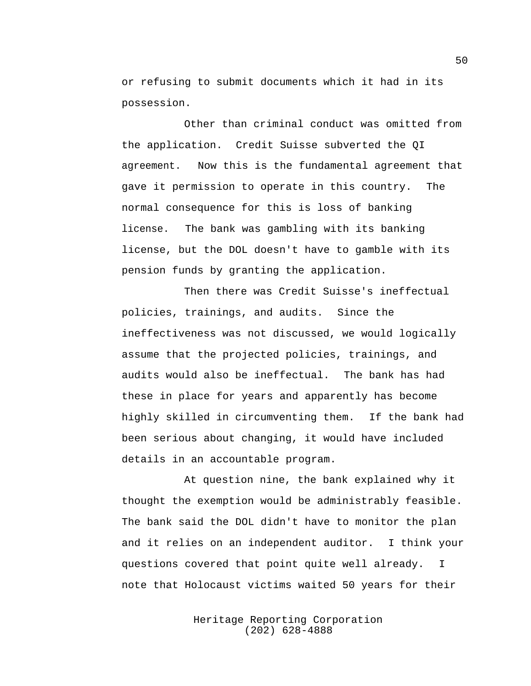or refusing to submit documents which it had in its possession.

Other than criminal conduct was omitted from the application. Credit Suisse subverted the QI agreement. Now this is the fundamental agreement that gave it permission to operate in this country. The normal consequence for this is loss of banking license. The bank was gambling with its banking license, but the DOL doesn't have to gamble with its pension funds by granting the application.

Then there was Credit Suisse's ineffectual policies, trainings, and audits. Since the ineffectiveness was not discussed, we would logically assume that the projected policies, trainings, and audits would also be ineffectual. The bank has had these in place for years and apparently has become highly skilled in circumventing them. If the bank had been serious about changing, it would have included details in an accountable program.

At question nine, the bank explained why it thought the exemption would be administrably feasible. The bank said the DOL didn't have to monitor the plan and it relies on an independent auditor. I think your questions covered that point quite well already. I note that Holocaust victims waited 50 years for their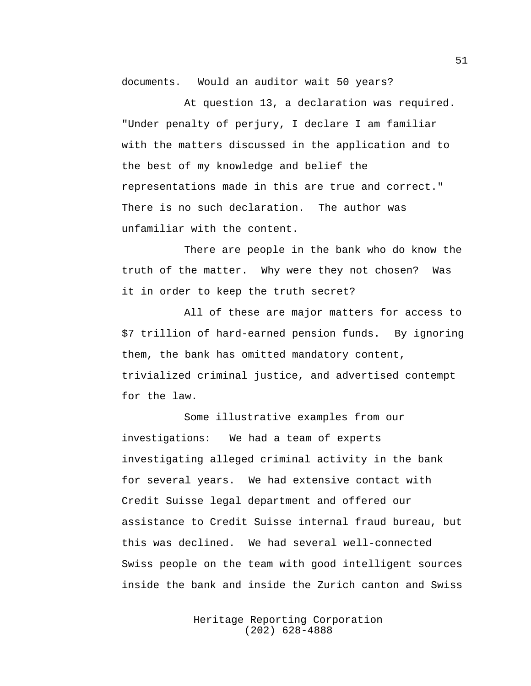documents. Would an auditor wait 50 years?

At question 13, a declaration was required. "Under penalty of perjury, I declare I am familiar with the matters discussed in the application and to the best of my knowledge and belief the representations made in this are true and correct." There is no such declaration. The author was unfamiliar with the content.

There are people in the bank who do know the truth of the matter. Why were they not chosen? Was it in order to keep the truth secret?

All of these are major matters for access to \$7 trillion of hard-earned pension funds. By ignoring them, the bank has omitted mandatory content, trivialized criminal justice, and advertised contempt for the law.

Some illustrative examples from our investigations: We had a team of experts investigating alleged criminal activity in the bank for several years. We had extensive contact with Credit Suisse legal department and offered our assistance to Credit Suisse internal fraud bureau, but this was declined. We had several well-connected Swiss people on the team with good intelligent sources inside the bank and inside the Zurich canton and Swiss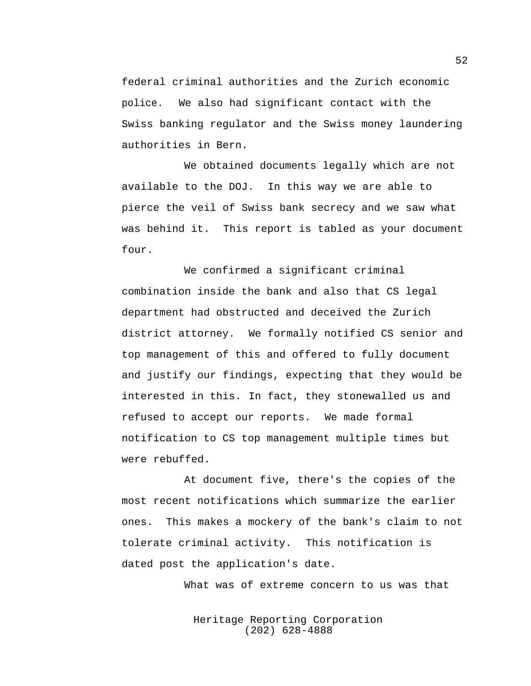federal criminal authorities and the Zurich economic police. We also had significant contact with the Swiss banking regulator and the Swiss money laundering authorities in Bern.

We obtained documents legally which are not available to the DOJ. In this way we are able to pierce the veil of Swiss bank secrecy and we saw what was behind it. This report is tabled as your document four.

We confirmed a significant criminal combination inside the bank and also that CS legal department had obstructed and deceived the Zurich district attorney. We formally notified CS senior and top management of this and offered to fully document and justify our findings, expecting that they would be interested in this. In fact, they stonewalled us and refused to accept our reports. We made formal notification to CS top management multiple times but were rebuffed.

At document five, there's the copies of the most recent notifications which summarize the earlier ones. This makes a mockery of the bank's claim to not tolerate criminal activity. This notification is dated post the application's date.

What was of extreme concern to us was that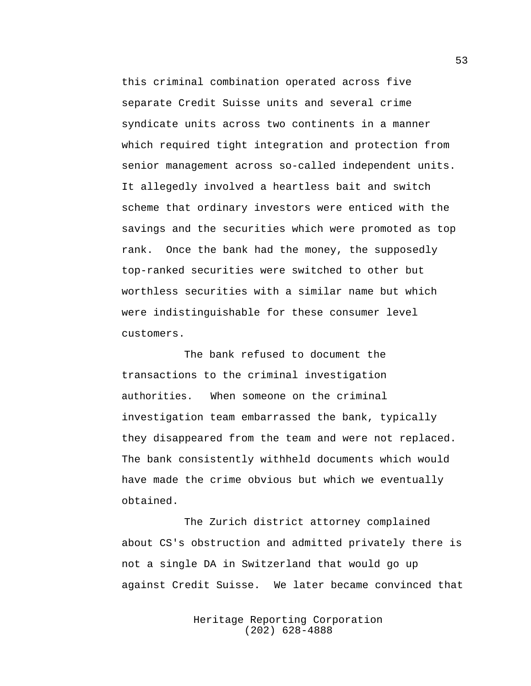this criminal combination operated across five separate Credit Suisse units and several crime syndicate units across two continents in a manner which required tight integration and protection from senior management across so-called independent units. It allegedly involved a heartless bait and switch scheme that ordinary investors were enticed with the savings and the securities which were promoted as top rank. Once the bank had the money, the supposedly top-ranked securities were switched to other but worthless securities with a similar name but which were indistinguishable for these consumer level customers.

The bank refused to document the transactions to the criminal investigation authorities. When someone on the criminal investigation team embarrassed the bank, typically they disappeared from the team and were not replaced. The bank consistently withheld documents which would have made the crime obvious but which we eventually obtained.

The Zurich district attorney complained about CS's obstruction and admitted privately there is not a single DA in Switzerland that would go up against Credit Suisse. We later became convinced that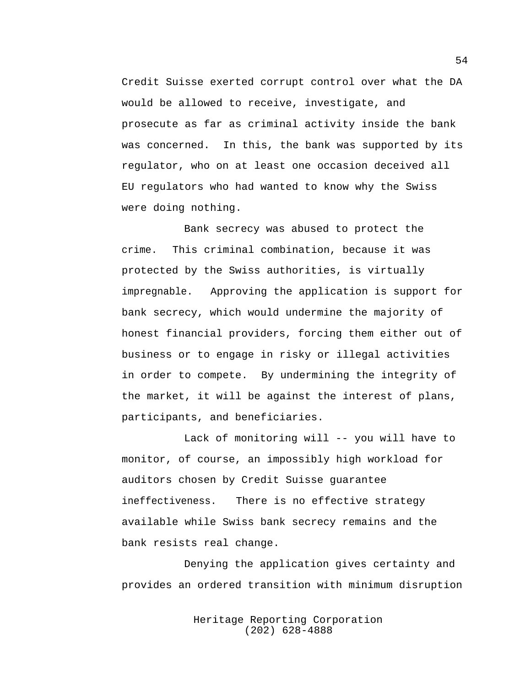Credit Suisse exerted corrupt control over what the DA would be allowed to receive, investigate, and prosecute as far as criminal activity inside the bank was concerned. In this, the bank was supported by its regulator, who on at least one occasion deceived all EU regulators who had wanted to know why the Swiss were doing nothing.

Bank secrecy was abused to protect the crime. This criminal combination, because it was protected by the Swiss authorities, is virtually impregnable. Approving the application is support for bank secrecy, which would undermine the majority of honest financial providers, forcing them either out of business or to engage in risky or illegal activities in order to compete. By undermining the integrity of the market, it will be against the interest of plans, participants, and beneficiaries.

Lack of monitoring will -- you will have to monitor, of course, an impossibly high workload for auditors chosen by Credit Suisse guarantee ineffectiveness. There is no effective strategy available while Swiss bank secrecy remains and the bank resists real change.

Denying the application gives certainty and provides an ordered transition with minimum disruption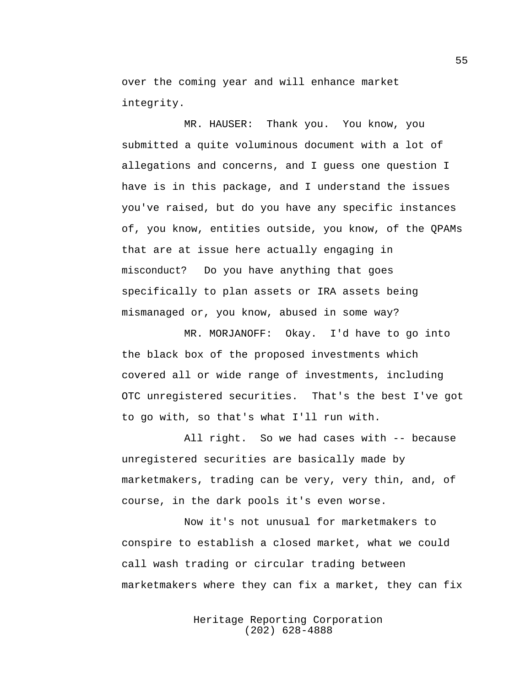over the coming year and will enhance market integrity.

MR. HAUSER: Thank you. You know, you submitted a quite voluminous document with a lot of allegations and concerns, and I guess one question I have is in this package, and I understand the issues you've raised, but do you have any specific instances of, you know, entities outside, you know, of the QPAMs that are at issue here actually engaging in misconduct? Do you have anything that goes specifically to plan assets or IRA assets being mismanaged or, you know, abused in some way?

MR. MORJANOFF: Okay. I'd have to go into the black box of the proposed investments which covered all or wide range of investments, including OTC unregistered securities. That's the best I've got to go with, so that's what I'll run with.

All right. So we had cases with -- because unregistered securities are basically made by marketmakers, trading can be very, very thin, and, of course, in the dark pools it's even worse.

Now it's not unusual for marketmakers to conspire to establish a closed market, what we could call wash trading or circular trading between marketmakers where they can fix a market, they can fix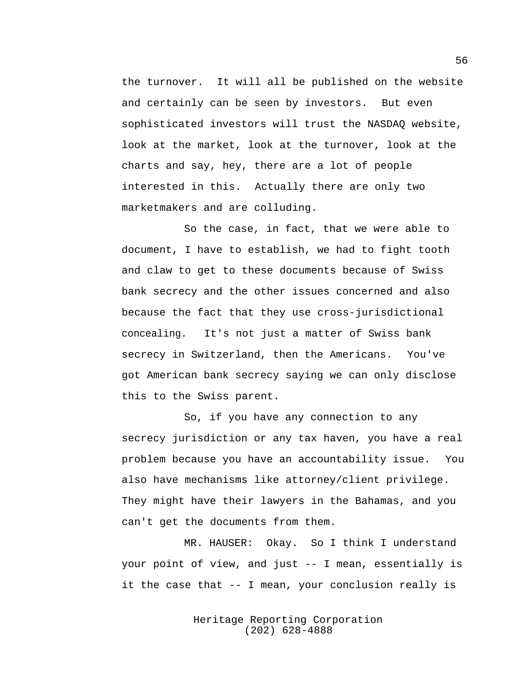the turnover. It will all be published on the website and certainly can be seen by investors. But even sophisticated investors will trust the NASDAQ website, look at the market, look at the turnover, look at the charts and say, hey, there are a lot of people interested in this. Actually there are only two marketmakers and are colluding.

So the case, in fact, that we were able to document, I have to establish, we had to fight tooth and claw to get to these documents because of Swiss bank secrecy and the other issues concerned and also because the fact that they use cross-jurisdictional concealing. It's not just a matter of Swiss bank secrecy in Switzerland, then the Americans. You've got American bank secrecy saying we can only disclose this to the Swiss parent.

So, if you have any connection to any secrecy jurisdiction or any tax haven, you have a real problem because you have an accountability issue. You also have mechanisms like attorney/client privilege. They might have their lawyers in the Bahamas, and you can't get the documents from them.

MR. HAUSER: Okay. So I think I understand your point of view, and just -- I mean, essentially is it the case that -- I mean, your conclusion really is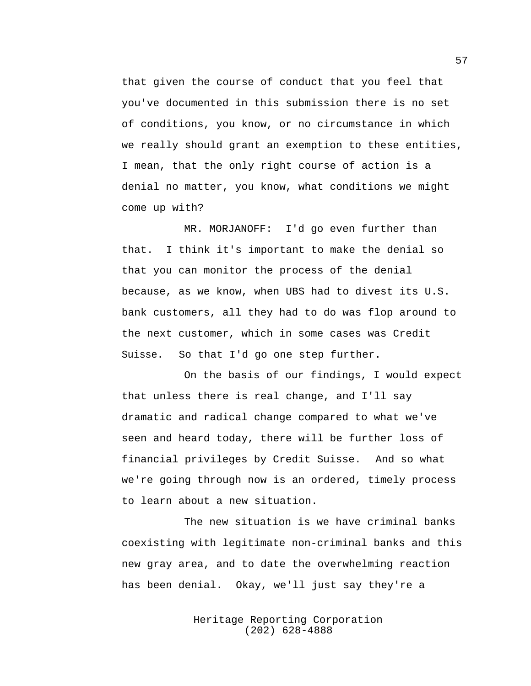that given the course of conduct that you feel that you've documented in this submission there is no set of conditions, you know, or no circumstance in which we really should grant an exemption to these entities, I mean, that the only right course of action is a denial no matter, you know, what conditions we might come up with?

MR. MORJANOFF: I'd go even further than that. I think it's important to make the denial so that you can monitor the process of the denial because, as we know, when UBS had to divest its U.S. bank customers, all they had to do was flop around to the next customer, which in some cases was Credit Suisse. So that I'd go one step further.

On the basis of our findings, I would expect that unless there is real change, and I'll say dramatic and radical change compared to what we've seen and heard today, there will be further loss of financial privileges by Credit Suisse. And so what we're going through now is an ordered, timely process to learn about a new situation.

The new situation is we have criminal banks coexisting with legitimate non-criminal banks and this new gray area, and to date the overwhelming reaction has been denial. Okay, we'll just say they're a

> Heritage Reporting Corporation (202) 628-4888

57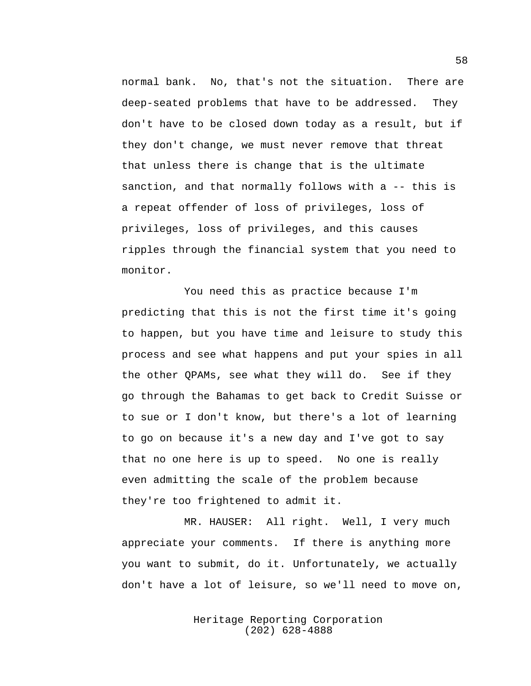normal bank. No, that's not the situation. There are deep-seated problems that have to be addressed. They don't have to be closed down today as a result, but if they don't change, we must never remove that threat that unless there is change that is the ultimate sanction, and that normally follows with a -- this is a repeat offender of loss of privileges, loss of privileges, loss of privileges, and this causes ripples through the financial system that you need to monitor.

You need this as practice because I'm predicting that this is not the first time it's going to happen, but you have time and leisure to study this process and see what happens and put your spies in all the other QPAMs, see what they will do. See if they go through the Bahamas to get back to Credit Suisse or to sue or I don't know, but there's a lot of learning to go on because it's a new day and I've got to say that no one here is up to speed. No one is really even admitting the scale of the problem because they're too frightened to admit it.

MR. HAUSER: All right. Well, I very much appreciate your comments. If there is anything more you want to submit, do it. Unfortunately, we actually don't have a lot of leisure, so we'll need to move on,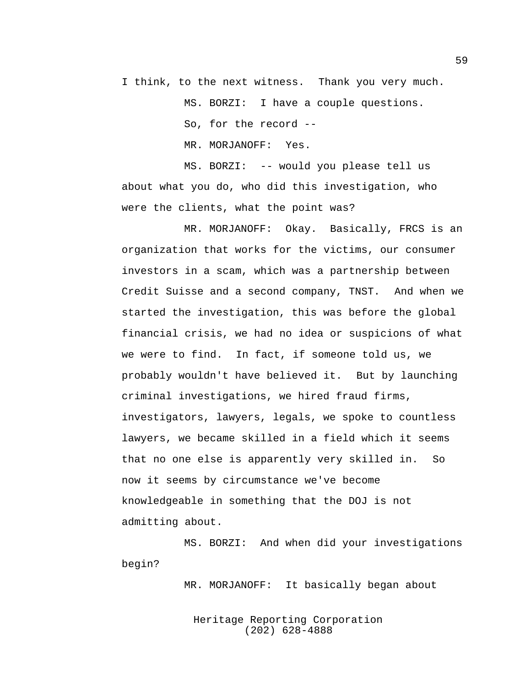I think, to the next witness. Thank you very much.

MS. BORZI: I have a couple questions.

So, for the record --

MR. MORJANOFF: Yes.

MS. BORZI: -- would you please tell us about what you do, who did this investigation, who were the clients, what the point was?

MR. MORJANOFF: Okay. Basically, FRCS is an organization that works for the victims, our consumer investors in a scam, which was a partnership between Credit Suisse and a second company, TNST. And when we started the investigation, this was before the global financial crisis, we had no idea or suspicions of what we were to find. In fact, if someone told us, we probably wouldn't have believed it. But by launching criminal investigations, we hired fraud firms, investigators, lawyers, legals, we spoke to countless lawyers, we became skilled in a field which it seems that no one else is apparently very skilled in. So now it seems by circumstance we've become knowledgeable in something that the DOJ is not admitting about.

MS. BORZI: And when did your investigations begin?

MR. MORJANOFF: It basically began about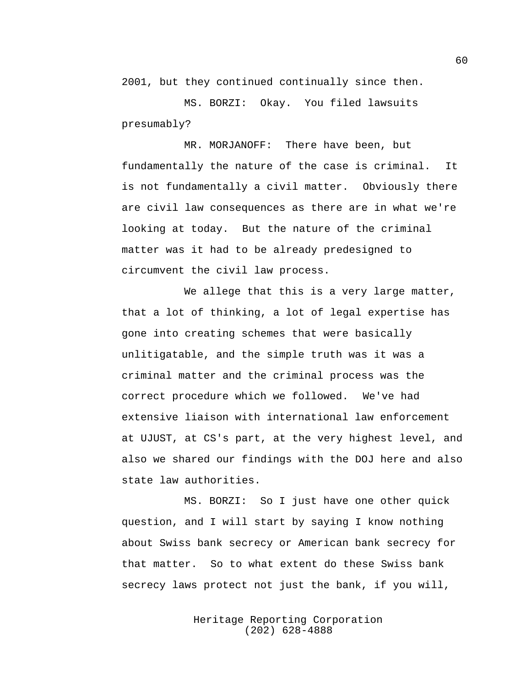2001, but they continued continually since then.

MS. BORZI: Okay. You filed lawsuits presumably?

MR. MORJANOFF: There have been, but fundamentally the nature of the case is criminal. It is not fundamentally a civil matter. Obviously there are civil law consequences as there are in what we're looking at today. But the nature of the criminal matter was it had to be already predesigned to circumvent the civil law process.

We allege that this is a very large matter, that a lot of thinking, a lot of legal expertise has gone into creating schemes that were basically unlitigatable, and the simple truth was it was a criminal matter and the criminal process was the correct procedure which we followed. We've had extensive liaison with international law enforcement at UJUST, at CS's part, at the very highest level, and also we shared our findings with the DOJ here and also state law authorities.

MS. BORZI: So I just have one other quick question, and I will start by saying I know nothing about Swiss bank secrecy or American bank secrecy for that matter. So to what extent do these Swiss bank secrecy laws protect not just the bank, if you will,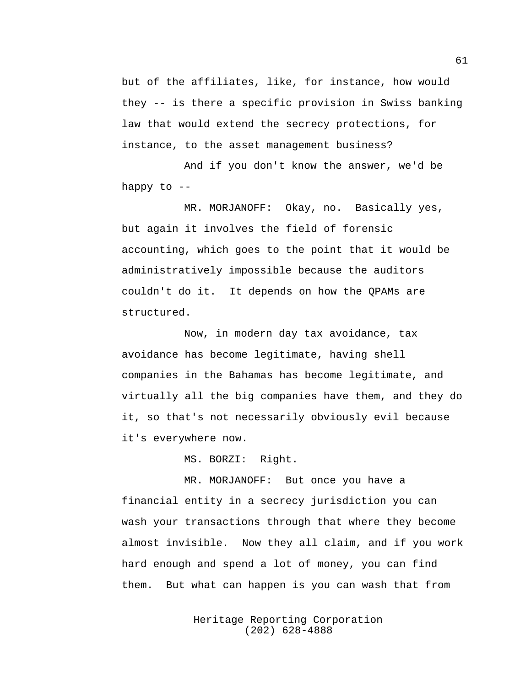but of the affiliates, like, for instance, how would they -- is there a specific provision in Swiss banking law that would extend the secrecy protections, for instance, to the asset management business?

And if you don't know the answer, we'd be happy to  $-$ 

MR. MORJANOFF: Okay, no. Basically yes, but again it involves the field of forensic accounting, which goes to the point that it would be administratively impossible because the auditors couldn't do it. It depends on how the QPAMs are structured.

Now, in modern day tax avoidance, tax avoidance has become legitimate, having shell companies in the Bahamas has become legitimate, and virtually all the big companies have them, and they do it, so that's not necessarily obviously evil because it's everywhere now.

MS. BORZI: Right.

MR. MORJANOFF: But once you have a financial entity in a secrecy jurisdiction you can wash your transactions through that where they become almost invisible. Now they all claim, and if you work hard enough and spend a lot of money, you can find them. But what can happen is you can wash that from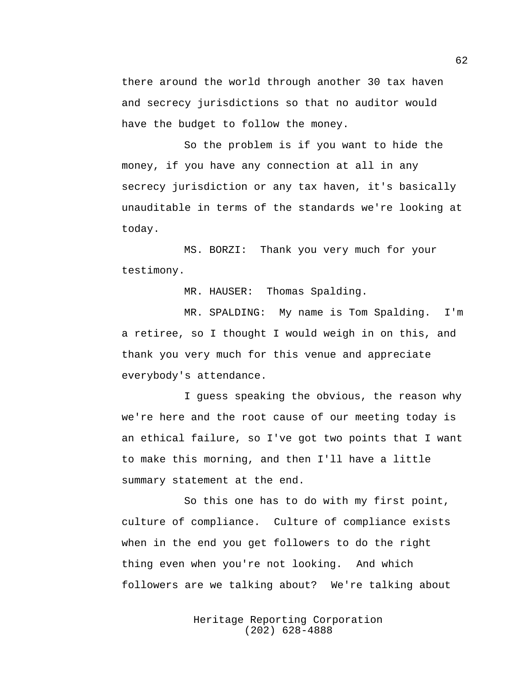there around the world through another 30 tax haven and secrecy jurisdictions so that no auditor would have the budget to follow the money.

So the problem is if you want to hide the money, if you have any connection at all in any secrecy jurisdiction or any tax haven, it's basically unauditable in terms of the standards we're looking at today.

MS. BORZI: Thank you very much for your testimony.

MR. HAUSER: Thomas Spalding.

MR. SPALDING: My name is Tom Spalding. I'm a retiree, so I thought I would weigh in on this, and thank you very much for this venue and appreciate everybody's attendance.

I guess speaking the obvious, the reason why we're here and the root cause of our meeting today is an ethical failure, so I've got two points that I want to make this morning, and then I'll have a little summary statement at the end.

So this one has to do with my first point, culture of compliance. Culture of compliance exists when in the end you get followers to do the right thing even when you're not looking. And which followers are we talking about? We're talking about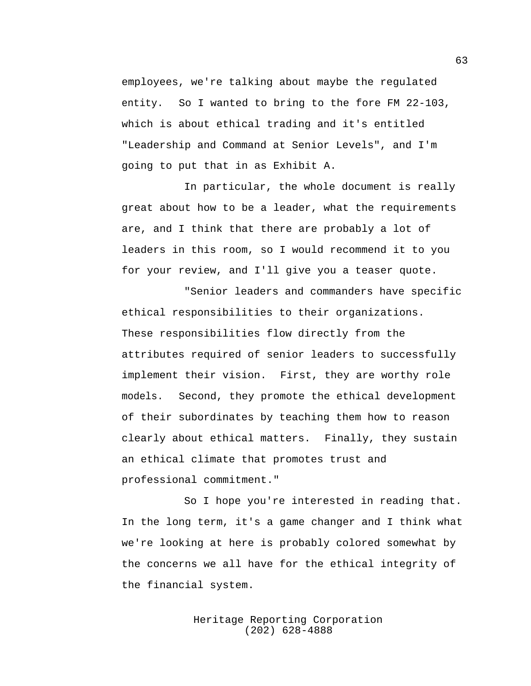employees, we're talking about maybe the regulated entity. So I wanted to bring to the fore FM 22-103, which is about ethical trading and it's entitled "Leadership and Command at Senior Levels", and I'm going to put that in as Exhibit A.

In particular, the whole document is really great about how to be a leader, what the requirements are, and I think that there are probably a lot of leaders in this room, so I would recommend it to you for your review, and I'll give you a teaser quote.

"Senior leaders and commanders have specific ethical responsibilities to their organizations. These responsibilities flow directly from the attributes required of senior leaders to successfully implement their vision. First, they are worthy role models. Second, they promote the ethical development of their subordinates by teaching them how to reason clearly about ethical matters. Finally, they sustain an ethical climate that promotes trust and professional commitment."

So I hope you're interested in reading that. In the long term, it's a game changer and I think what we're looking at here is probably colored somewhat by the concerns we all have for the ethical integrity of the financial system.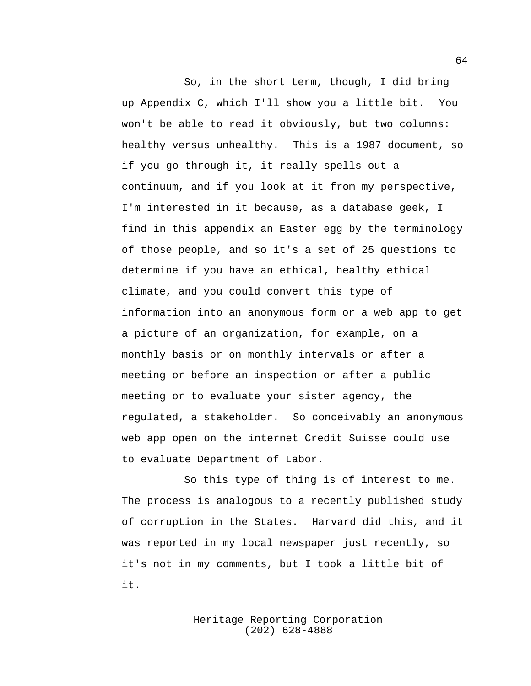So, in the short term, though, I did bring up Appendix C, which I'll show you a little bit. You won't be able to read it obviously, but two columns: healthy versus unhealthy. This is a 1987 document, so if you go through it, it really spells out a continuum, and if you look at it from my perspective, I'm interested in it because, as a database geek, I find in this appendix an Easter egg by the terminology of those people, and so it's a set of 25 questions to determine if you have an ethical, healthy ethical climate, and you could convert this type of information into an anonymous form or a web app to get a picture of an organization, for example, on a monthly basis or on monthly intervals or after a meeting or before an inspection or after a public meeting or to evaluate your sister agency, the regulated, a stakeholder. So conceivably an anonymous web app open on the internet Credit Suisse could use to evaluate Department of Labor.

So this type of thing is of interest to me. The process is analogous to a recently published study of corruption in the States. Harvard did this, and it was reported in my local newspaper just recently, so it's not in my comments, but I took a little bit of it.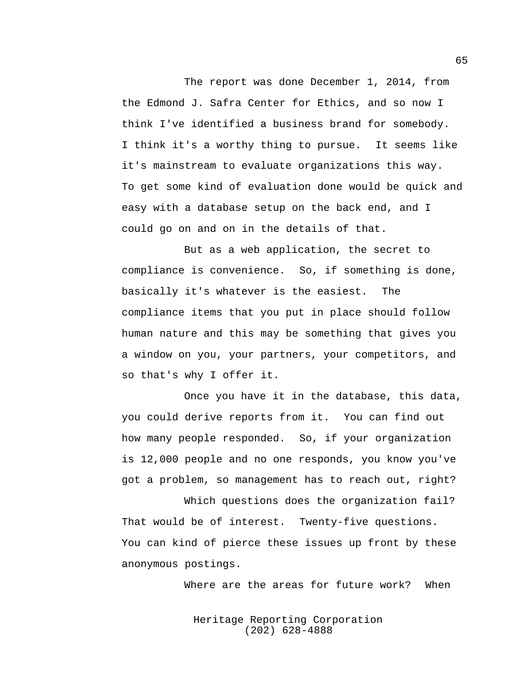The report was done December 1, 2014, from the Edmond J. Safra Center for Ethics, and so now I think I've identified a business brand for somebody. I think it's a worthy thing to pursue. It seems like it's mainstream to evaluate organizations this way. To get some kind of evaluation done would be quick and easy with a database setup on the back end, and I could go on and on in the details of that.

But as a web application, the secret to compliance is convenience. So, if something is done, basically it's whatever is the easiest. The compliance items that you put in place should follow human nature and this may be something that gives you a window on you, your partners, your competitors, and so that's why I offer it.

Once you have it in the database, this data, you could derive reports from it. You can find out how many people responded. So, if your organization is 12,000 people and no one responds, you know you've got a problem, so management has to reach out, right?

Which questions does the organization fail? That would be of interest. Twenty-five questions. You can kind of pierce these issues up front by these anonymous postings.

Where are the areas for future work? When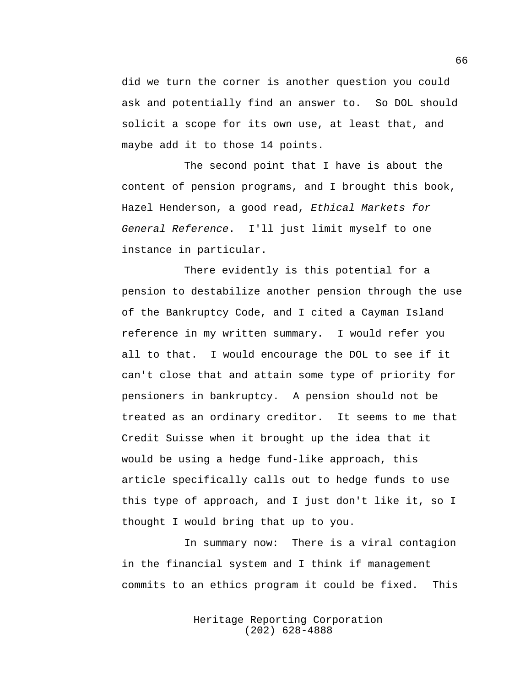did we turn the corner is another question you could ask and potentially find an answer to. So DOL should solicit a scope for its own use, at least that, and maybe add it to those 14 points.

The second point that I have is about the content of pension programs, and I brought this book, Hazel Henderson, a good read, *Ethical Markets for General Reference*. I'll just limit myself to one instance in particular.

There evidently is this potential for a pension to destabilize another pension through the use of the Bankruptcy Code, and I cited a Cayman Island reference in my written summary. I would refer you all to that. I would encourage the DOL to see if it can't close that and attain some type of priority for pensioners in bankruptcy. A pension should not be treated as an ordinary creditor. It seems to me that Credit Suisse when it brought up the idea that it would be using a hedge fund-like approach, this article specifically calls out to hedge funds to use this type of approach, and I just don't like it, so I thought I would bring that up to you.

In summary now: There is a viral contagion in the financial system and I think if management commits to an ethics program it could be fixed. This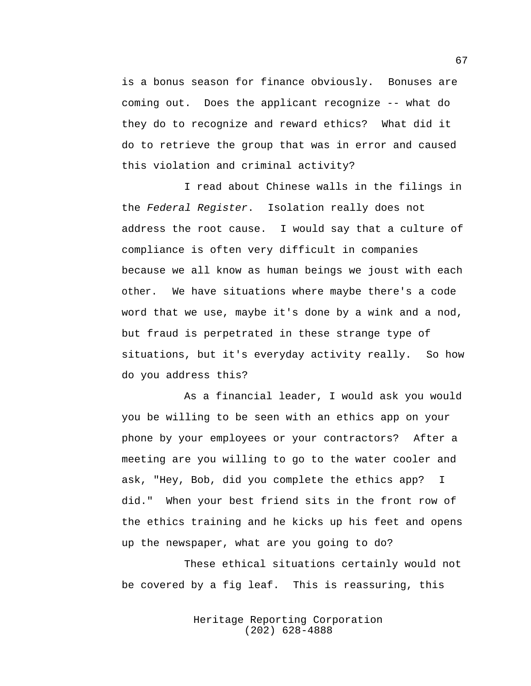is a bonus season for finance obviously. Bonuses are coming out. Does the applicant recognize -- what do they do to recognize and reward ethics? What did it do to retrieve the group that was in error and caused this violation and criminal activity?

I read about Chinese walls in the filings in the *Federal Register*. Isolation really does not address the root cause. I would say that a culture of compliance is often very difficult in companies because we all know as human beings we joust with each other. We have situations where maybe there's a code word that we use, maybe it's done by a wink and a nod, but fraud is perpetrated in these strange type of situations, but it's everyday activity really. So how do you address this?

As a financial leader, I would ask you would you be willing to be seen with an ethics app on your phone by your employees or your contractors? After a meeting are you willing to go to the water cooler and ask, "Hey, Bob, did you complete the ethics app? I did." When your best friend sits in the front row of the ethics training and he kicks up his feet and opens up the newspaper, what are you going to do?

These ethical situations certainly would not be covered by a fig leaf. This is reassuring, this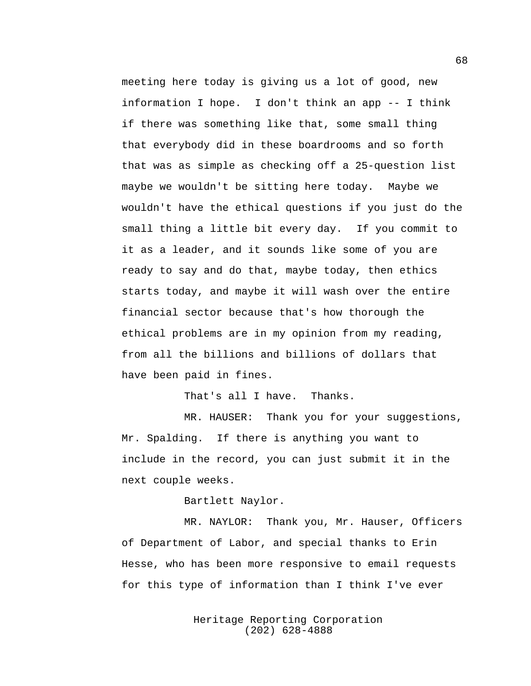meeting here today is giving us a lot of good, new information I hope. I don't think an app -- I think if there was something like that, some small thing that everybody did in these boardrooms and so forth that was as simple as checking off a 25-question list maybe we wouldn't be sitting here today. Maybe we wouldn't have the ethical questions if you just do the small thing a little bit every day. If you commit to it as a leader, and it sounds like some of you are ready to say and do that, maybe today, then ethics starts today, and maybe it will wash over the entire financial sector because that's how thorough the ethical problems are in my opinion from my reading, from all the billions and billions of dollars that have been paid in fines.

That's all I have. Thanks.

MR. HAUSER: Thank you for your suggestions, Mr. Spalding. If there is anything you want to include in the record, you can just submit it in the next couple weeks.

Bartlett Naylor.

MR. NAYLOR: Thank you, Mr. Hauser, Officers of Department of Labor, and special thanks to Erin Hesse, who has been more responsive to email requests for this type of information than I think I've ever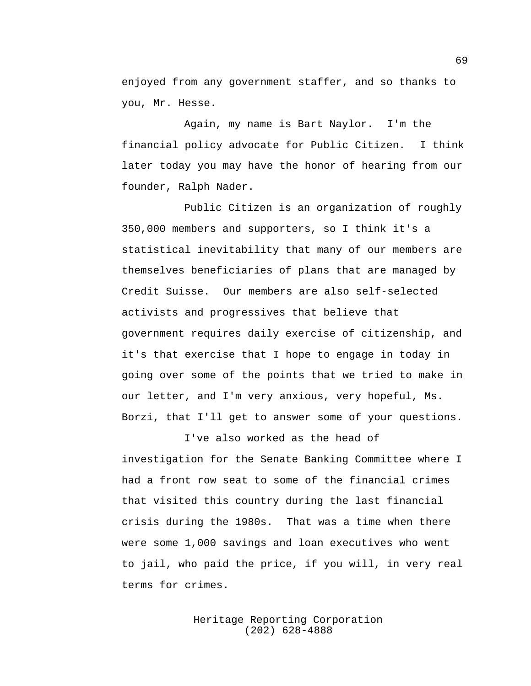enjoyed from any government staffer, and so thanks to you, Mr. Hesse.

Again, my name is Bart Naylor. I'm the financial policy advocate for Public Citizen. I think later today you may have the honor of hearing from our founder, Ralph Nader.

Public Citizen is an organization of roughly 350,000 members and supporters, so I think it's a statistical inevitability that many of our members are themselves beneficiaries of plans that are managed by Credit Suisse. Our members are also self-selected activists and progressives that believe that government requires daily exercise of citizenship, and it's that exercise that I hope to engage in today in going over some of the points that we tried to make in our letter, and I'm very anxious, very hopeful, Ms. Borzi, that I'll get to answer some of your questions.

I've also worked as the head of investigation for the Senate Banking Committee where I had a front row seat to some of the financial crimes that visited this country during the last financial crisis during the 1980s. That was a time when there were some 1,000 savings and loan executives who went to jail, who paid the price, if you will, in very real terms for crimes.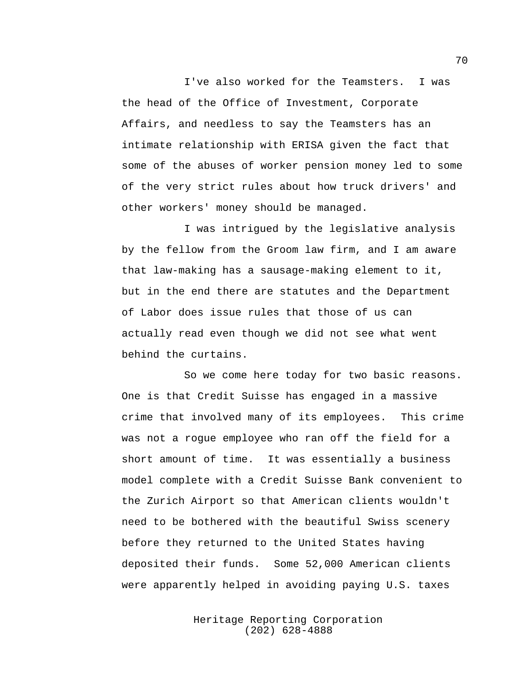I've also worked for the Teamsters. I was the head of the Office of Investment, Corporate Affairs, and needless to say the Teamsters has an intimate relationship with ERISA given the fact that some of the abuses of worker pension money led to some of the very strict rules about how truck drivers' and other workers' money should be managed.

I was intrigued by the legislative analysis by the fellow from the Groom law firm, and I am aware that law-making has a sausage-making element to it, but in the end there are statutes and the Department of Labor does issue rules that those of us can actually read even though we did not see what went behind the curtains.

So we come here today for two basic reasons. One is that Credit Suisse has engaged in a massive crime that involved many of its employees. This crime was not a rogue employee who ran off the field for a short amount of time. It was essentially a business model complete with a Credit Suisse Bank convenient to the Zurich Airport so that American clients wouldn't need to be bothered with the beautiful Swiss scenery before they returned to the United States having deposited their funds. Some 52,000 American clients were apparently helped in avoiding paying U.S. taxes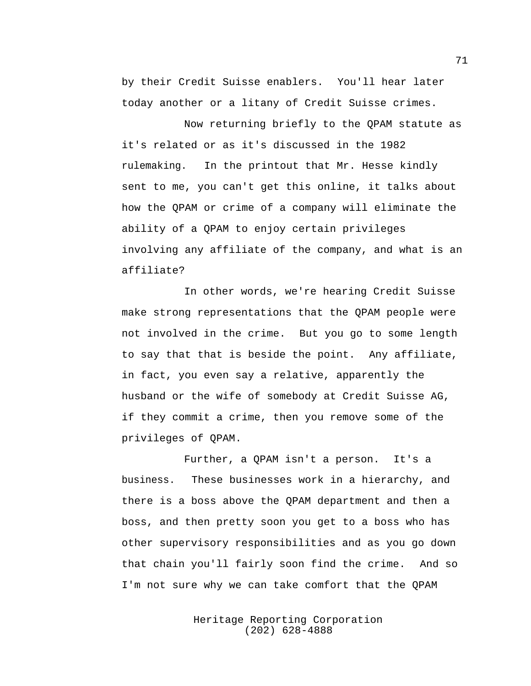by their Credit Suisse enablers. You'll hear later today another or a litany of Credit Suisse crimes.

Now returning briefly to the QPAM statute as it's related or as it's discussed in the 1982 rulemaking. In the printout that Mr. Hesse kindly sent to me, you can't get this online, it talks about how the QPAM or crime of a company will eliminate the ability of a QPAM to enjoy certain privileges involving any affiliate of the company, and what is an affiliate?

In other words, we're hearing Credit Suisse make strong representations that the QPAM people were not involved in the crime. But you go to some length to say that that is beside the point. Any affiliate, in fact, you even say a relative, apparently the husband or the wife of somebody at Credit Suisse AG, if they commit a crime, then you remove some of the privileges of QPAM.

Further, a QPAM isn't a person. It's a business. These businesses work in a hierarchy, and there is a boss above the QPAM department and then a boss, and then pretty soon you get to a boss who has other supervisory responsibilities and as you go down that chain you'll fairly soon find the crime. And so I'm not sure why we can take comfort that the QPAM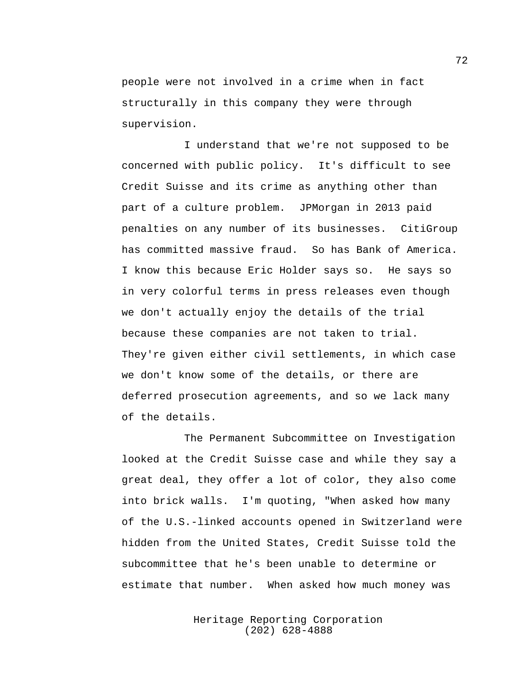people were not involved in a crime when in fact structurally in this company they were through supervision.

I understand that we're not supposed to be concerned with public policy. It's difficult to see Credit Suisse and its crime as anything other than part of a culture problem. JPMorgan in 2013 paid penalties on any number of its businesses. CitiGroup has committed massive fraud. So has Bank of America. I know this because Eric Holder says so. He says so in very colorful terms in press releases even though we don't actually enjoy the details of the trial because these companies are not taken to trial. They're given either civil settlements, in which case we don't know some of the details, or there are deferred prosecution agreements, and so we lack many of the details.

The Permanent Subcommittee on Investigation looked at the Credit Suisse case and while they say a great deal, they offer a lot of color, they also come into brick walls. I'm quoting, "When asked how many of the U.S.-linked accounts opened in Switzerland were hidden from the United States, Credit Suisse told the subcommittee that he's been unable to determine or estimate that number. When asked how much money was

> Heritage Reporting Corporation (202) 628-4888

72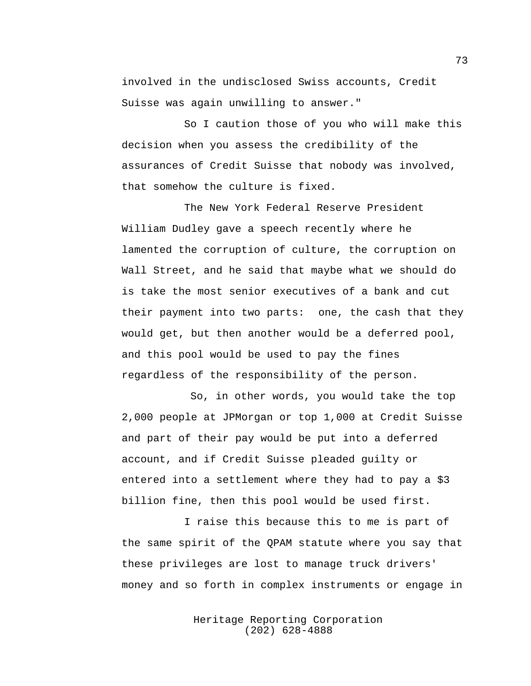involved in the undisclosed Swiss accounts, Credit Suisse was again unwilling to answer."

So I caution those of you who will make this decision when you assess the credibility of the assurances of Credit Suisse that nobody was involved, that somehow the culture is fixed.

The New York Federal Reserve President William Dudley gave a speech recently where he lamented the corruption of culture, the corruption on Wall Street, and he said that maybe what we should do is take the most senior executives of a bank and cut their payment into two parts: one, the cash that they would get, but then another would be a deferred pool, and this pool would be used to pay the fines regardless of the responsibility of the person.

So, in other words, you would take the top 2,000 people at JPMorgan or top 1,000 at Credit Suisse and part of their pay would be put into a deferred account, and if Credit Suisse pleaded guilty or entered into a settlement where they had to pay a \$3 billion fine, then this pool would be used first.

I raise this because this to me is part of the same spirit of the QPAM statute where you say that these privileges are lost to manage truck drivers' money and so forth in complex instruments or engage in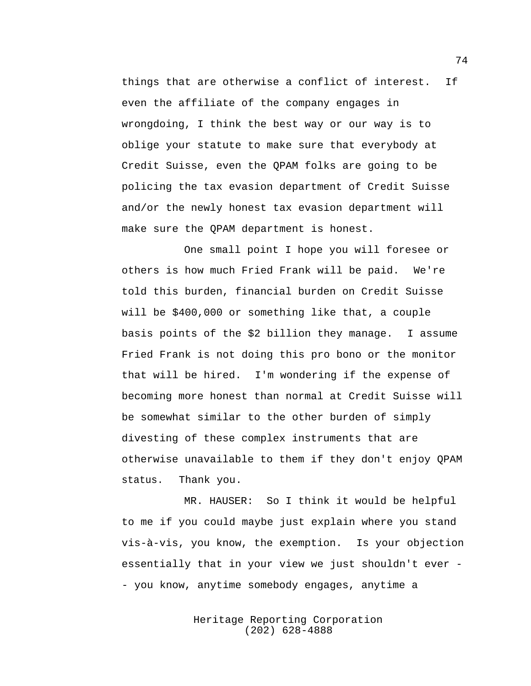things that are otherwise a conflict of interest. If even the affiliate of the company engages in wrongdoing, I think the best way or our way is to oblige your statute to make sure that everybody at Credit Suisse, even the QPAM folks are going to be policing the tax evasion department of Credit Suisse and/or the newly honest tax evasion department will make sure the QPAM department is honest.

One small point I hope you will foresee or others is how much Fried Frank will be paid. We're told this burden, financial burden on Credit Suisse will be \$400,000 or something like that, a couple basis points of the \$2 billion they manage. I assume Fried Frank is not doing this pro bono or the monitor that will be hired. I'm wondering if the expense of becoming more honest than normal at Credit Suisse will be somewhat similar to the other burden of simply divesting of these complex instruments that are otherwise unavailable to them if they don't enjoy QPAM status. Thank you.

MR. HAUSER: So I think it would be helpful to me if you could maybe just explain where you stand vis-à-vis, you know, the exemption. Is your objection essentially that in your view we just shouldn't ever - - you know, anytime somebody engages, anytime a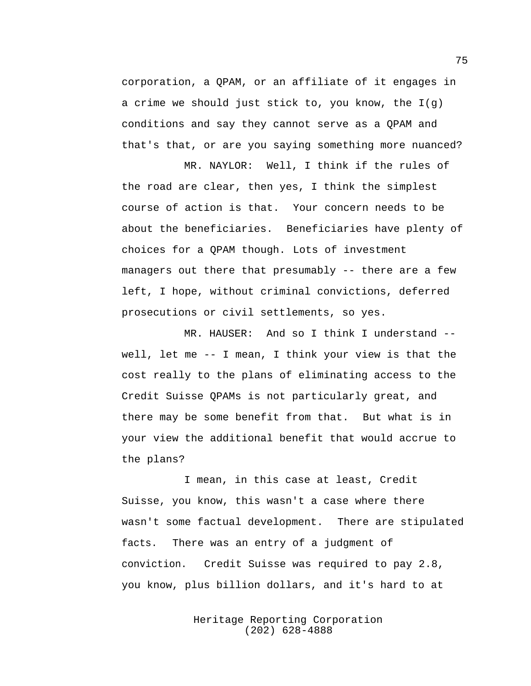corporation, a QPAM, or an affiliate of it engages in a crime we should just stick to, you know, the I(g) conditions and say they cannot serve as a QPAM and that's that, or are you saying something more nuanced?

MR. NAYLOR: Well, I think if the rules of the road are clear, then yes, I think the simplest course of action is that. Your concern needs to be about the beneficiaries. Beneficiaries have plenty of choices for a QPAM though. Lots of investment managers out there that presumably -- there are a few left, I hope, without criminal convictions, deferred prosecutions or civil settlements, so yes.

MR. HAUSER: And so I think I understand -well, let me -- I mean, I think your view is that the cost really to the plans of eliminating access to the Credit Suisse QPAMs is not particularly great, and there may be some benefit from that. But what is in your view the additional benefit that would accrue to the plans?

I mean, in this case at least, Credit Suisse, you know, this wasn't a case where there wasn't some factual development. There are stipulated facts. There was an entry of a judgment of conviction. Credit Suisse was required to pay 2.8, you know, plus billion dollars, and it's hard to at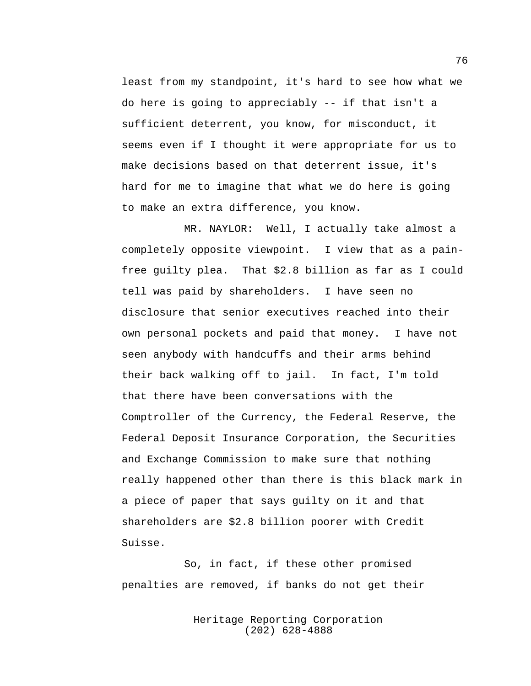least from my standpoint, it's hard to see how what we do here is going to appreciably -- if that isn't a sufficient deterrent, you know, for misconduct, it seems even if I thought it were appropriate for us to make decisions based on that deterrent issue, it's hard for me to imagine that what we do here is going to make an extra difference, you know.

MR. NAYLOR: Well, I actually take almost a completely opposite viewpoint. I view that as a painfree guilty plea. That \$2.8 billion as far as I could tell was paid by shareholders. I have seen no disclosure that senior executives reached into their own personal pockets and paid that money. I have not seen anybody with handcuffs and their arms behind their back walking off to jail. In fact, I'm told that there have been conversations with the Comptroller of the Currency, the Federal Reserve, the Federal Deposit Insurance Corporation, the Securities and Exchange Commission to make sure that nothing really happened other than there is this black mark in a piece of paper that says guilty on it and that shareholders are \$2.8 billion poorer with Credit Suisse.

So, in fact, if these other promised penalties are removed, if banks do not get their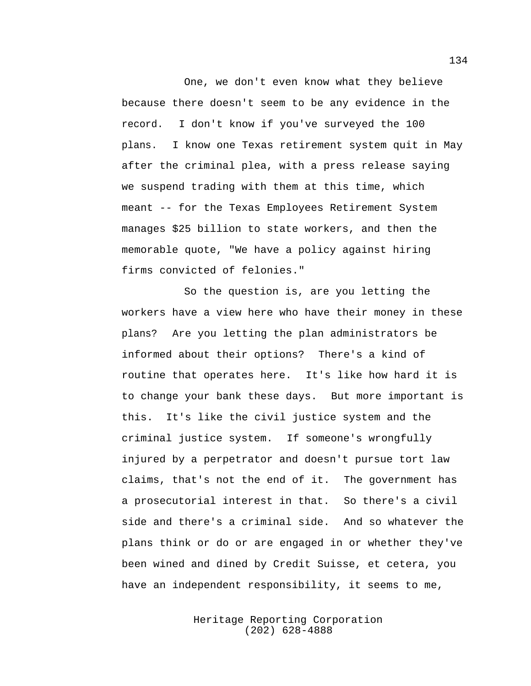One, we don't even know what they believe because there doesn't seem to be any evidence in the record. I don't know if you've surveyed the 100 plans. I know one Texas retirement system quit in May after the criminal plea, with a press release saying we suspend trading with them at this time, which meant -- for the Texas Employees Retirement System manages \$25 billion to state workers, and then the memorable quote, "We have a policy against hiring firms convicted of felonies."

So the question is, are you letting the workers have a view here who have their money in these plans? Are you letting the plan administrators be informed about their options? There's a kind of routine that operates here. It's like how hard it is to change your bank these days. But more important is this. It's like the civil justice system and the criminal justice system. If someone's wrongfully injured by a perpetrator and doesn't pursue tort law claims, that's not the end of it. The government has a prosecutorial interest in that. So there's a civil side and there's a criminal side. And so whatever the plans think or do or are engaged in or whether they've been wined and dined by Credit Suisse, et cetera, you have an independent responsibility, it seems to me,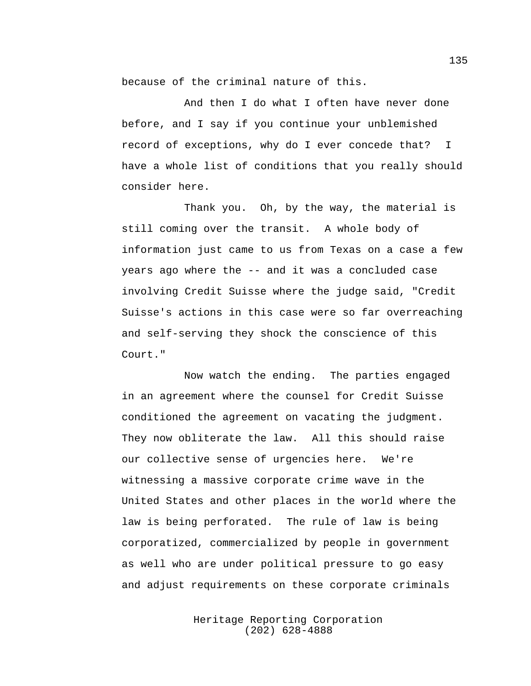because of the criminal nature of this.

And then I do what I often have never done before, and I say if you continue your unblemished record of exceptions, why do I ever concede that? I have a whole list of conditions that you really should consider here.

Thank you. Oh, by the way, the material is still coming over the transit. A whole body of information just came to us from Texas on a case a few years ago where the -- and it was a concluded case involving Credit Suisse where the judge said, "Credit Suisse's actions in this case were so far overreaching and self-serving they shock the conscience of this Court."

Now watch the ending. The parties engaged in an agreement where the counsel for Credit Suisse conditioned the agreement on vacating the judgment. They now obliterate the law. All this should raise our collective sense of urgencies here. We're witnessing a massive corporate crime wave in the United States and other places in the world where the law is being perforated. The rule of law is being corporatized, commercialized by people in government as well who are under political pressure to go easy and adjust requirements on these corporate criminals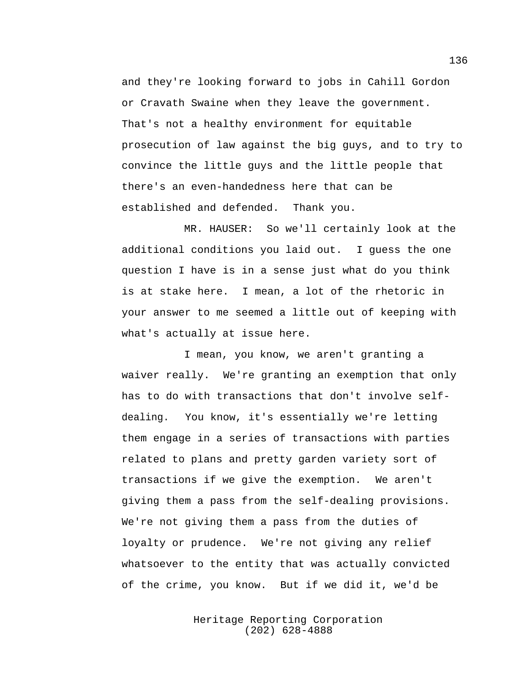and they're looking forward to jobs in Cahill Gordon or Cravath Swaine when they leave the government. That's not a healthy environment for equitable prosecution of law against the big guys, and to try to convince the little guys and the little people that there's an even-handedness here that can be established and defended. Thank you.

MR. HAUSER: So we'll certainly look at the additional conditions you laid out. I guess the one question I have is in a sense just what do you think is at stake here. I mean, a lot of the rhetoric in your answer to me seemed a little out of keeping with what's actually at issue here.

I mean, you know, we aren't granting a waiver really. We're granting an exemption that only has to do with transactions that don't involve selfdealing. You know, it's essentially we're letting them engage in a series of transactions with parties related to plans and pretty garden variety sort of transactions if we give the exemption. We aren't giving them a pass from the self-dealing provisions. We're not giving them a pass from the duties of loyalty or prudence. We're not giving any relief whatsoever to the entity that was actually convicted of the crime, you know. But if we did it, we'd be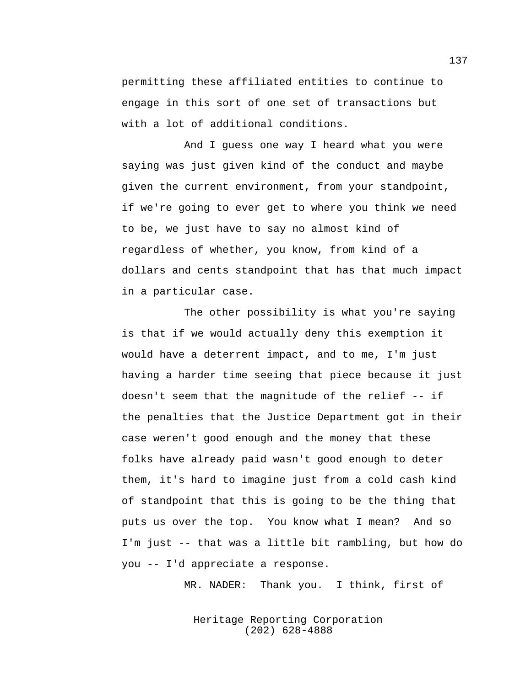permitting these affiliated entities to continue to engage in this sort of one set of transactions but with a lot of additional conditions.

And I guess one way I heard what you were saying was just given kind of the conduct and maybe given the current environment, from your standpoint, if we're going to ever get to where you think we need to be, we just have to say no almost kind of regardless of whether, you know, from kind of a dollars and cents standpoint that has that much impact in a particular case.

The other possibility is what you're saying is that if we would actually deny this exemption it would have a deterrent impact, and to me, I'm just having a harder time seeing that piece because it just doesn't seem that the magnitude of the relief -- if the penalties that the Justice Department got in their case weren't good enough and the money that these folks have already paid wasn't good enough to deter them, it's hard to imagine just from a cold cash kind of standpoint that this is going to be the thing that puts us over the top. You know what I mean? And so I'm just -- that was a little bit rambling, but how do you -- I'd appreciate a response.

MR. NADER: Thank you. I think, first of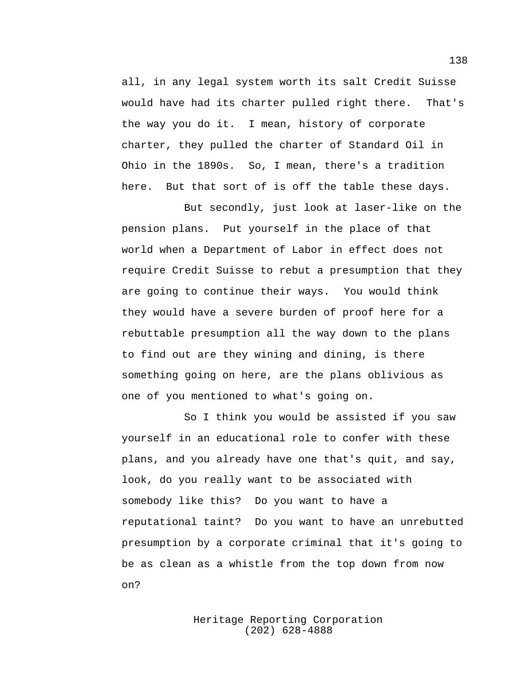all, in any legal system worth its salt Credit Suisse would have had its charter pulled right there. That's the way you do it. I mean, history of corporate charter, they pulled the charter of Standard Oil in Ohio in the 1890s. So, I mean, there's a tradition here. But that sort of is off the table these days.

But secondly, just look at laser-like on the pension plans. Put yourself in the place of that world when a Department of Labor in effect does not require Credit Suisse to rebut a presumption that they are going to continue their ways. You would think they would have a severe burden of proof here for a rebuttable presumption all the way down to the plans to find out are they wining and dining, is there something going on here, are the plans oblivious as one of you mentioned to what's going on.

So I think you would be assisted if you saw yourself in an educational role to confer with these plans, and you already have one that's quit, and say, look, do you really want to be associated with somebody like this? Do you want to have a reputational taint? Do you want to have an unrebutted presumption by a corporate criminal that it's going to be as clean as a whistle from the top down from now on?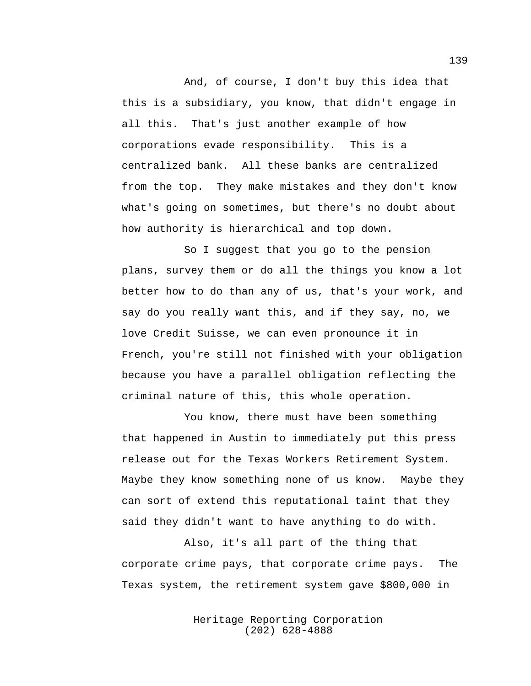And, of course, I don't buy this idea that this is a subsidiary, you know, that didn't engage in all this. That's just another example of how corporations evade responsibility. This is a centralized bank. All these banks are centralized from the top. They make mistakes and they don't know what's going on sometimes, but there's no doubt about how authority is hierarchical and top down.

So I suggest that you go to the pension plans, survey them or do all the things you know a lot better how to do than any of us, that's your work, and say do you really want this, and if they say, no, we love Credit Suisse, we can even pronounce it in French, you're still not finished with your obligation because you have a parallel obligation reflecting the criminal nature of this, this whole operation.

You know, there must have been something that happened in Austin to immediately put this press release out for the Texas Workers Retirement System. Maybe they know something none of us know. Maybe they can sort of extend this reputational taint that they said they didn't want to have anything to do with.

Also, it's all part of the thing that corporate crime pays, that corporate crime pays. The Texas system, the retirement system gave \$800,000 in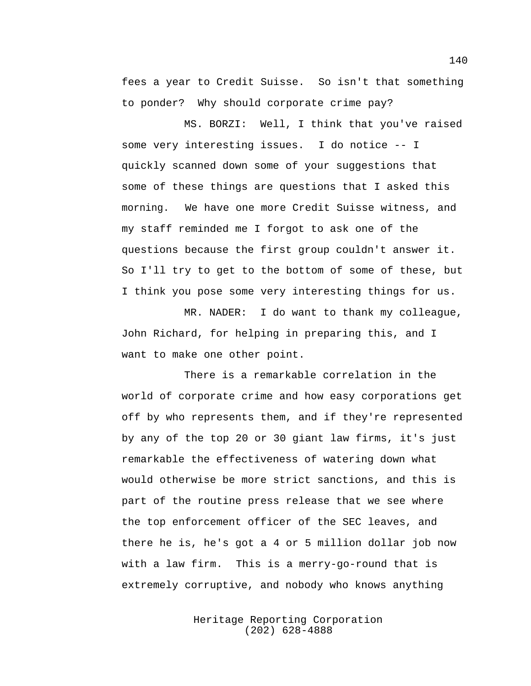fees a year to Credit Suisse. So isn't that something to ponder? Why should corporate crime pay?

MS. BORZI: Well, I think that you've raised some very interesting issues. I do notice -- I quickly scanned down some of your suggestions that some of these things are questions that I asked this morning. We have one more Credit Suisse witness, and my staff reminded me I forgot to ask one of the questions because the first group couldn't answer it. So I'll try to get to the bottom of some of these, but I think you pose some very interesting things for us.

MR. NADER: I do want to thank my colleague, John Richard, for helping in preparing this, and I want to make one other point.

There is a remarkable correlation in the world of corporate crime and how easy corporations get off by who represents them, and if they're represented by any of the top 20 or 30 giant law firms, it's just remarkable the effectiveness of watering down what would otherwise be more strict sanctions, and this is part of the routine press release that we see where the top enforcement officer of the SEC leaves, and there he is, he's got a 4 or 5 million dollar job now with a law firm. This is a merry-go-round that is extremely corruptive, and nobody who knows anything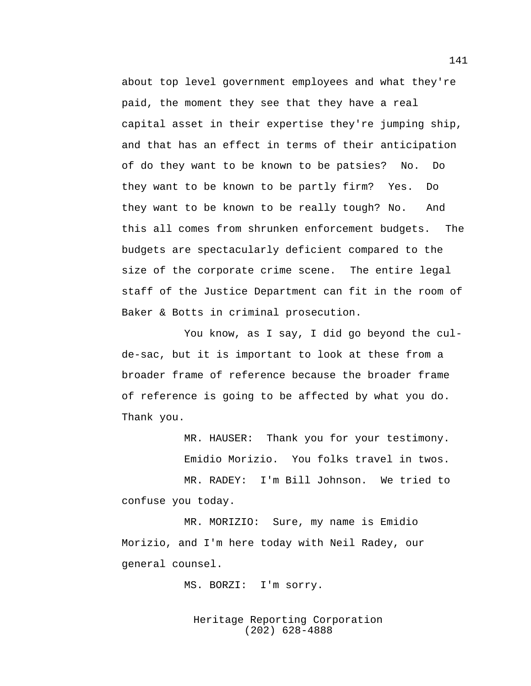about top level government employees and what they're paid, the moment they see that they have a real capital asset in their expertise they're jumping ship, and that has an effect in terms of their anticipation of do they want to be known to be patsies? No. Do they want to be known to be partly firm? Yes. Do they want to be known to be really tough? No. And this all comes from shrunken enforcement budgets. The budgets are spectacularly deficient compared to the size of the corporate crime scene. The entire legal staff of the Justice Department can fit in the room of Baker & Botts in criminal prosecution.

You know, as I say, I did go beyond the culde-sac, but it is important to look at these from a broader frame of reference because the broader frame of reference is going to be affected by what you do. Thank you.

MR. HAUSER: Thank you for your testimony.

Emidio Morizio. You folks travel in twos.

MR. RADEY: I'm Bill Johnson. We tried to confuse you today.

MR. MORIZIO: Sure, my name is Emidio Morizio, and I'm here today with Neil Radey, our general counsel.

MS. BORZI: I'm sorry.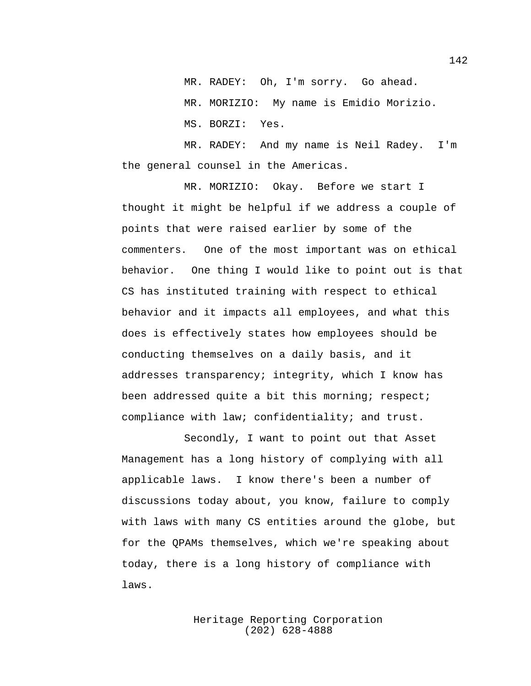MR. RADEY: Oh, I'm sorry. Go ahead. MR. MORIZIO: My name is Emidio Morizio. MS. BORZI: Yes.

MR. RADEY: And my name is Neil Radey. I'm the general counsel in the Americas.

MR. MORIZIO: Okay. Before we start I thought it might be helpful if we address a couple of points that were raised earlier by some of the commenters. One of the most important was on ethical behavior. One thing I would like to point out is that CS has instituted training with respect to ethical behavior and it impacts all employees, and what this does is effectively states how employees should be conducting themselves on a daily basis, and it addresses transparency; integrity, which I know has been addressed quite a bit this morning; respect; compliance with law; confidentiality; and trust.

Secondly, I want to point out that Asset Management has a long history of complying with all applicable laws. I know there's been a number of discussions today about, you know, failure to comply with laws with many CS entities around the globe, but for the QPAMs themselves, which we're speaking about today, there is a long history of compliance with laws.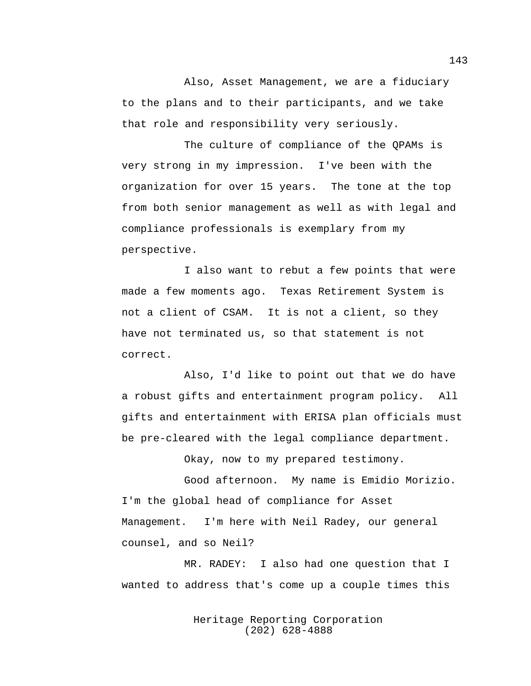Also, Asset Management, we are a fiduciary to the plans and to their participants, and we take that role and responsibility very seriously.

The culture of compliance of the QPAMs is very strong in my impression. I've been with the organization for over 15 years. The tone at the top from both senior management as well as with legal and compliance professionals is exemplary from my perspective.

I also want to rebut a few points that were made a few moments ago. Texas Retirement System is not a client of CSAM. It is not a client, so they have not terminated us, so that statement is not correct.

Also, I'd like to point out that we do have a robust gifts and entertainment program policy. All gifts and entertainment with ERISA plan officials must be pre-cleared with the legal compliance department.

Okay, now to my prepared testimony.

Good afternoon. My name is Emidio Morizio. I'm the global head of compliance for Asset Management. I'm here with Neil Radey, our general counsel, and so Neil?

MR. RADEY: I also had one question that I wanted to address that's come up a couple times this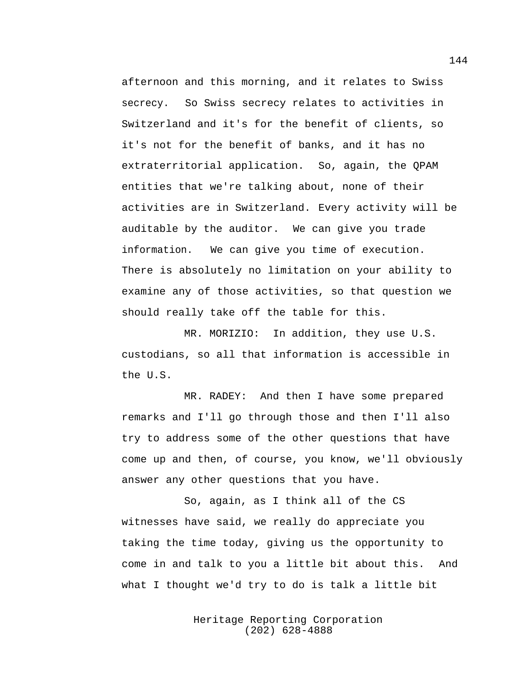afternoon and this morning, and it relates to Swiss secrecy. So Swiss secrecy relates to activities in Switzerland and it's for the benefit of clients, so it's not for the benefit of banks, and it has no extraterritorial application. So, again, the QPAM entities that we're talking about, none of their activities are in Switzerland. Every activity will be auditable by the auditor. We can give you trade information. We can give you time of execution. There is absolutely no limitation on your ability to examine any of those activities, so that question we should really take off the table for this.

MR. MORIZIO: In addition, they use U.S. custodians, so all that information is accessible in the U.S.

MR. RADEY: And then I have some prepared remarks and I'll go through those and then I'll also try to address some of the other questions that have come up and then, of course, you know, we'll obviously answer any other questions that you have.

So, again, as I think all of the CS witnesses have said, we really do appreciate you taking the time today, giving us the opportunity to come in and talk to you a little bit about this. And what I thought we'd try to do is talk a little bit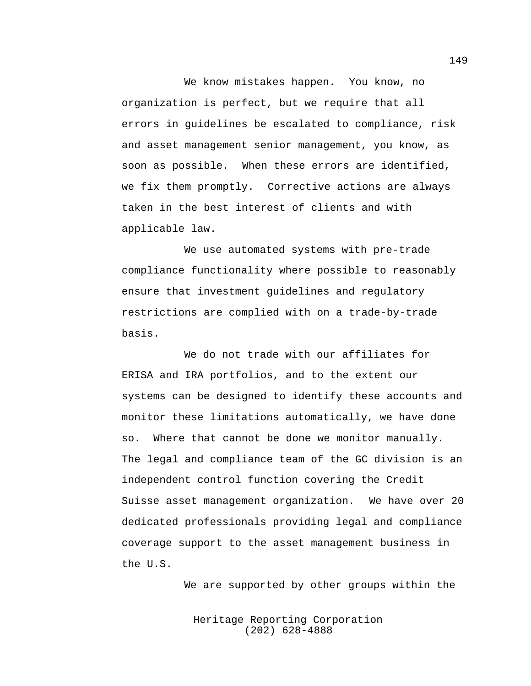We know mistakes happen. You know, no organization is perfect, but we require that all errors in guidelines be escalated to compliance, risk and asset management senior management, you know, as soon as possible. When these errors are identified, we fix them promptly. Corrective actions are always taken in the best interest of clients and with applicable law.

We use automated systems with pre-trade compliance functionality where possible to reasonably ensure that investment guidelines and regulatory restrictions are complied with on a trade-by-trade basis.

We do not trade with our affiliates for ERISA and IRA portfolios, and to the extent our systems can be designed to identify these accounts and monitor these limitations automatically, we have done so. Where that cannot be done we monitor manually. The legal and compliance team of the GC division is an independent control function covering the Credit Suisse asset management organization. We have over 20 dedicated professionals providing legal and compliance coverage support to the asset management business in the U.S.

We are supported by other groups within the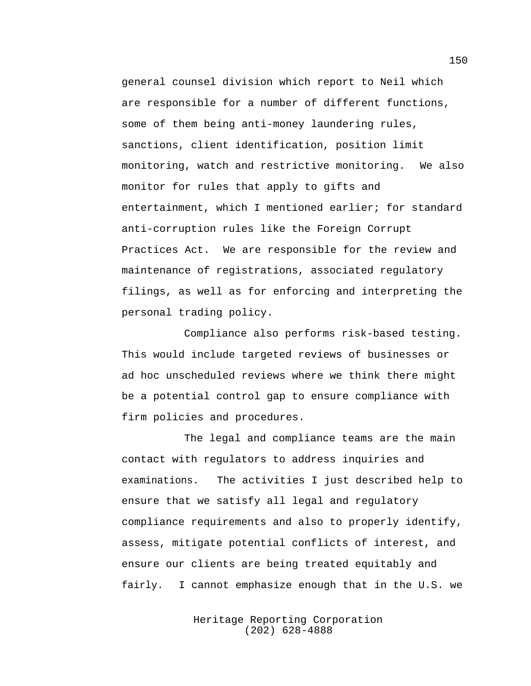general counsel division which report to Neil which are responsible for a number of different functions, some of them being anti-money laundering rules, sanctions, client identification, position limit monitoring, watch and restrictive monitoring. We also monitor for rules that apply to gifts and entertainment, which I mentioned earlier; for standard anti-corruption rules like the Foreign Corrupt Practices Act. We are responsible for the review and maintenance of registrations, associated regulatory filings, as well as for enforcing and interpreting the personal trading policy.

Compliance also performs risk-based testing. This would include targeted reviews of businesses or ad hoc unscheduled reviews where we think there might be a potential control gap to ensure compliance with firm policies and procedures.

The legal and compliance teams are the main contact with regulators to address inquiries and examinations. The activities I just described help to ensure that we satisfy all legal and regulatory compliance requirements and also to properly identify, assess, mitigate potential conflicts of interest, and ensure our clients are being treated equitably and fairly. I cannot emphasize enough that in the U.S. we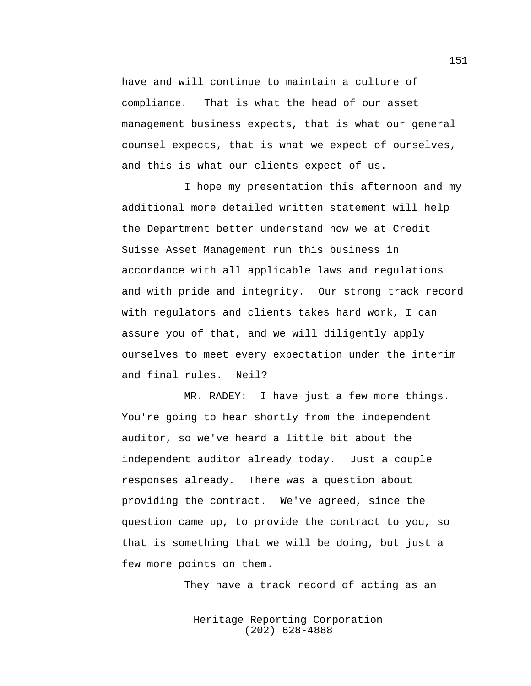have and will continue to maintain a culture of compliance. That is what the head of our asset management business expects, that is what our general counsel expects, that is what we expect of ourselves, and this is what our clients expect of us.

I hope my presentation this afternoon and my additional more detailed written statement will help the Department better understand how we at Credit Suisse Asset Management run this business in accordance with all applicable laws and regulations and with pride and integrity. Our strong track record with regulators and clients takes hard work, I can assure you of that, and we will diligently apply ourselves to meet every expectation under the interim and final rules. Neil?

MR. RADEY: I have just a few more things. You're going to hear shortly from the independent auditor, so we've heard a little bit about the independent auditor already today. Just a couple responses already. There was a question about providing the contract. We've agreed, since the question came up, to provide the contract to you, so that is something that we will be doing, but just a few more points on them.

They have a track record of acting as an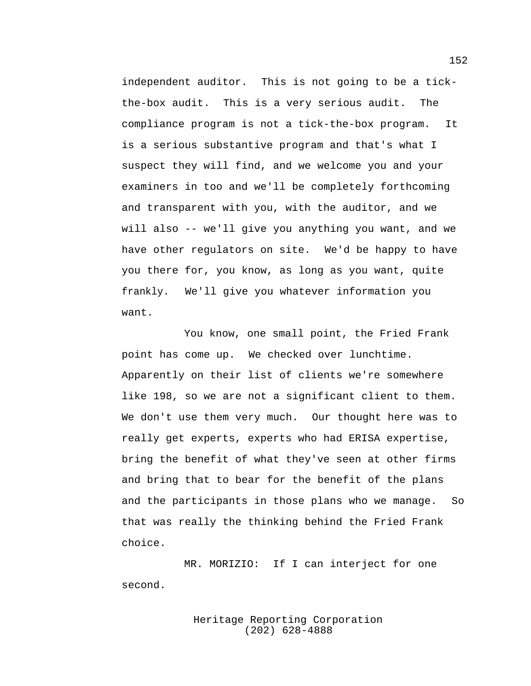independent auditor. This is not going to be a tickthe-box audit. This is a very serious audit. The compliance program is not a tick-the-box program. It is a serious substantive program and that's what I suspect they will find, and we welcome you and your examiners in too and we'll be completely forthcoming and transparent with you, with the auditor, and we will also -- we'll give you anything you want, and we have other regulators on site. We'd be happy to have you there for, you know, as long as you want, quite frankly. We'll give you whatever information you want.

You know, one small point, the Fried Frank point has come up. We checked over lunchtime. Apparently on their list of clients we're somewhere like 198, so we are not a significant client to them. We don't use them very much. Our thought here was to really get experts, experts who had ERISA expertise, bring the benefit of what they've seen at other firms and bring that to bear for the benefit of the plans and the participants in those plans who we manage. So that was really the thinking behind the Fried Frank choice.

MR. MORIZIO: If I can interject for one second.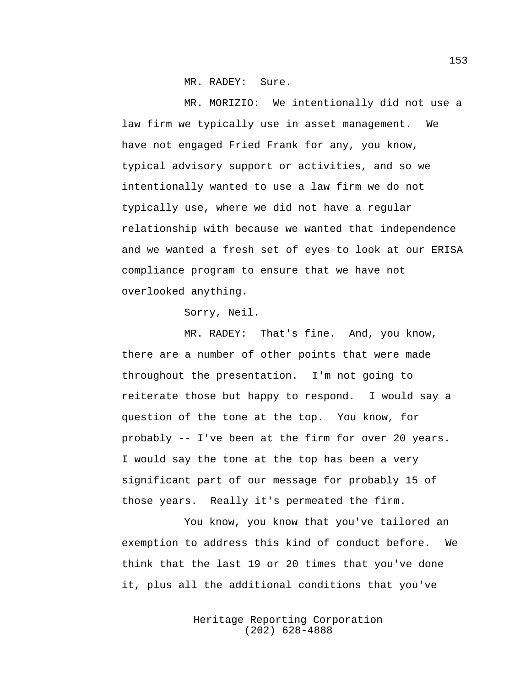MR. RADEY: Sure.

MR. MORIZIO: We intentionally did not use a law firm we typically use in asset management. We have not engaged Fried Frank for any, you know, typical advisory support or activities, and so we intentionally wanted to use a law firm we do not typically use, where we did not have a regular relationship with because we wanted that independence and we wanted a fresh set of eyes to look at our ERISA compliance program to ensure that we have not overlooked anything.

Sorry, Neil.

MR. RADEY: That's fine. And, you know, there are a number of other points that were made throughout the presentation. I'm not going to reiterate those but happy to respond. I would say a question of the tone at the top. You know, for probably -- I've been at the firm for over 20 years. I would say the tone at the top has been a very significant part of our message for probably 15 of those years. Really it's permeated the firm.

You know, you know that you've tailored an exemption to address this kind of conduct before. We think that the last 19 or 20 times that you've done it, plus all the additional conditions that you've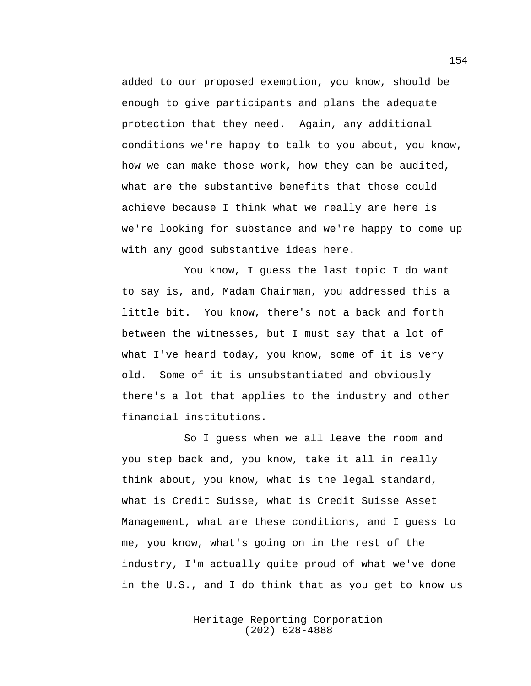added to our proposed exemption, you know, should be enough to give participants and plans the adequate protection that they need. Again, any additional conditions we're happy to talk to you about, you know, how we can make those work, how they can be audited, what are the substantive benefits that those could achieve because I think what we really are here is we're looking for substance and we're happy to come up with any good substantive ideas here.

You know, I guess the last topic I do want to say is, and, Madam Chairman, you addressed this a little bit. You know, there's not a back and forth between the witnesses, but I must say that a lot of what I've heard today, you know, some of it is very old. Some of it is unsubstantiated and obviously there's a lot that applies to the industry and other financial institutions.

So I guess when we all leave the room and you step back and, you know, take it all in really think about, you know, what is the legal standard, what is Credit Suisse, what is Credit Suisse Asset Management, what are these conditions, and I guess to me, you know, what's going on in the rest of the industry, I'm actually quite proud of what we've done in the U.S., and I do think that as you get to know us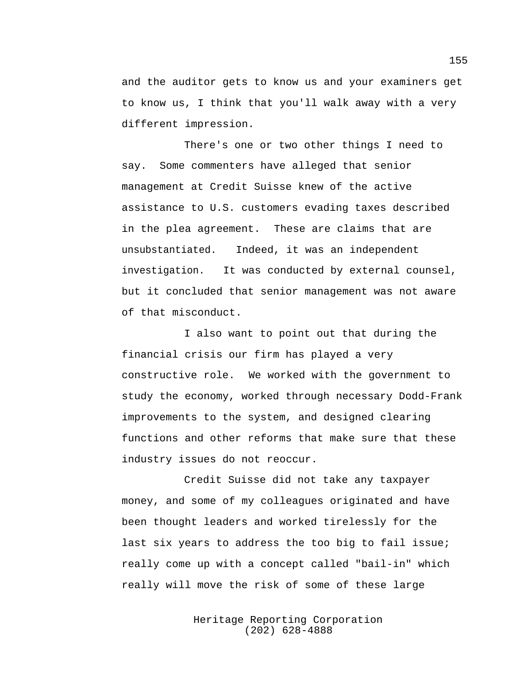and the auditor gets to know us and your examiners get to know us, I think that you'll walk away with a very different impression.

There's one or two other things I need to say. Some commenters have alleged that senior management at Credit Suisse knew of the active assistance to U.S. customers evading taxes described in the plea agreement. These are claims that are unsubstantiated. Indeed, it was an independent investigation. It was conducted by external counsel, but it concluded that senior management was not aware of that misconduct.

I also want to point out that during the financial crisis our firm has played a very constructive role. We worked with the government to study the economy, worked through necessary Dodd-Frank improvements to the system, and designed clearing functions and other reforms that make sure that these industry issues do not reoccur.

Credit Suisse did not take any taxpayer money, and some of my colleagues originated and have been thought leaders and worked tirelessly for the last six years to address the too big to fail issue; really come up with a concept called "bail-in" which really will move the risk of some of these large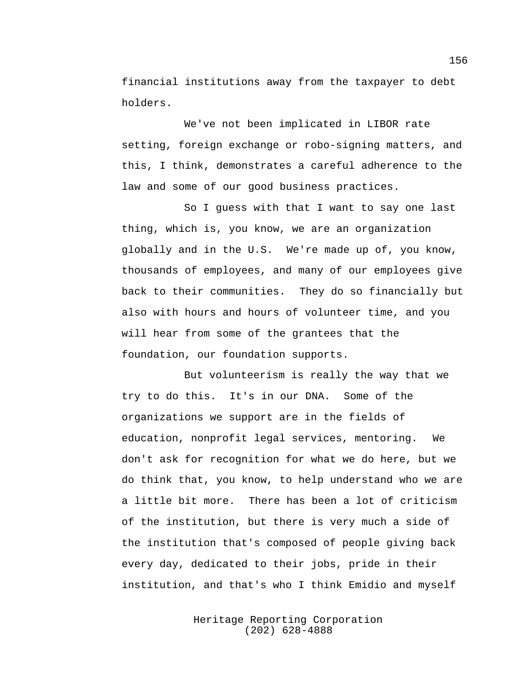financial institutions away from the taxpayer to debt holders.

We've not been implicated in LIBOR rate setting, foreign exchange or robo-signing matters, and this, I think, demonstrates a careful adherence to the law and some of our good business practices.

So I guess with that I want to say one last thing, which is, you know, we are an organization globally and in the U.S. We're made up of, you know, thousands of employees, and many of our employees give back to their communities. They do so financially but also with hours and hours of volunteer time, and you will hear from some of the grantees that the foundation, our foundation supports.

But volunteerism is really the way that we try to do this. It's in our DNA. Some of the organizations we support are in the fields of education, nonprofit legal services, mentoring. We don't ask for recognition for what we do here, but we do think that, you know, to help understand who we are a little bit more. There has been a lot of criticism of the institution, but there is very much a side of the institution that's composed of people giving back every day, dedicated to their jobs, pride in their institution, and that's who I think Emidio and myself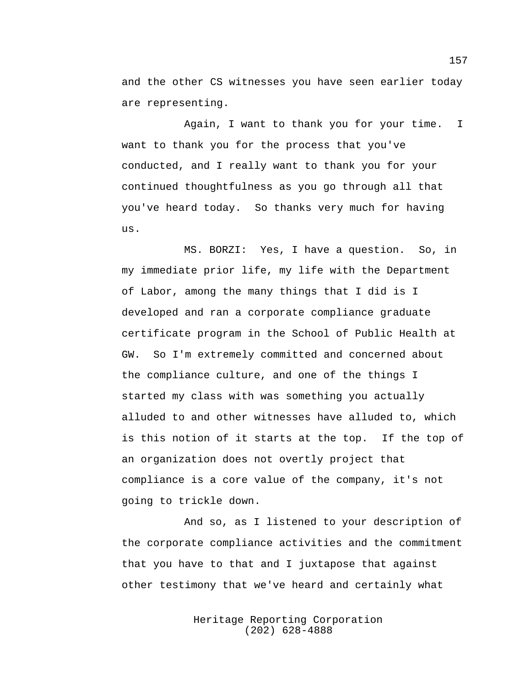and the other CS witnesses you have seen earlier today are representing.

Again, I want to thank you for your time. I want to thank you for the process that you've conducted, and I really want to thank you for your continued thoughtfulness as you go through all that you've heard today. So thanks very much for having us.

MS. BORZI: Yes, I have a question. So, in my immediate prior life, my life with the Department of Labor, among the many things that I did is I developed and ran a corporate compliance graduate certificate program in the School of Public Health at GW. So I'm extremely committed and concerned about the compliance culture, and one of the things I started my class with was something you actually alluded to and other witnesses have alluded to, which is this notion of it starts at the top. If the top of an organization does not overtly project that compliance is a core value of the company, it's not going to trickle down.

And so, as I listened to your description of the corporate compliance activities and the commitment that you have to that and I juxtapose that against other testimony that we've heard and certainly what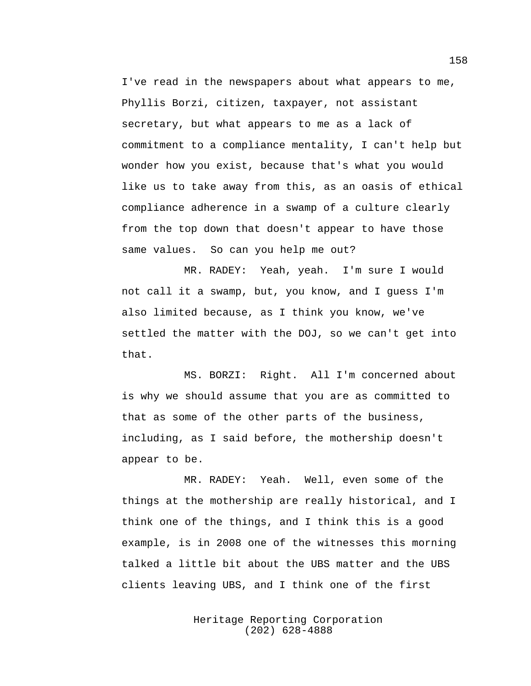I've read in the newspapers about what appears to me, Phyllis Borzi, citizen, taxpayer, not assistant secretary, but what appears to me as a lack of commitment to a compliance mentality, I can't help but wonder how you exist, because that's what you would like us to take away from this, as an oasis of ethical compliance adherence in a swamp of a culture clearly from the top down that doesn't appear to have those same values. So can you help me out?

MR. RADEY: Yeah, yeah. I'm sure I would not call it a swamp, but, you know, and I guess I'm also limited because, as I think you know, we've settled the matter with the DOJ, so we can't get into that.

MS. BORZI: Right. All I'm concerned about is why we should assume that you are as committed to that as some of the other parts of the business, including, as I said before, the mothership doesn't appear to be.

MR. RADEY: Yeah. Well, even some of the things at the mothership are really historical, and I think one of the things, and I think this is a good example, is in 2008 one of the witnesses this morning talked a little bit about the UBS matter and the UBS clients leaving UBS, and I think one of the first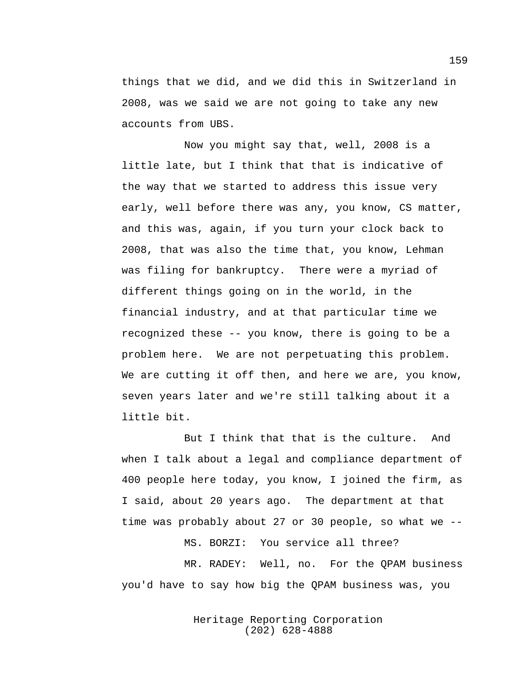things that we did, and we did this in Switzerland in 2008, was we said we are not going to take any new accounts from UBS.

Now you might say that, well, 2008 is a little late, but I think that that is indicative of the way that we started to address this issue very early, well before there was any, you know, CS matter, and this was, again, if you turn your clock back to 2008, that was also the time that, you know, Lehman was filing for bankruptcy. There were a myriad of different things going on in the world, in the financial industry, and at that particular time we recognized these -- you know, there is going to be a problem here. We are not perpetuating this problem. We are cutting it off then, and here we are, you know, seven years later and we're still talking about it a little bit.

But I think that that is the culture. And when I talk about a legal and compliance department of 400 people here today, you know, I joined the firm, as I said, about 20 years ago. The department at that time was probably about 27 or 30 people, so what we --

MS. BORZI: You service all three?

MR. RADEY: Well, no. For the QPAM business you'd have to say how big the QPAM business was, you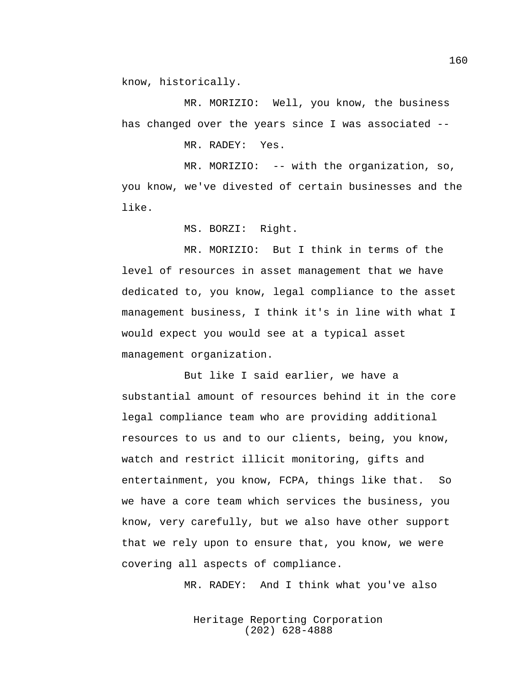know, historically.

MR. MORIZIO: Well, you know, the business has changed over the years since I was associated --

MR. RADEY: Yes.

MR. MORIZIO: -- with the organization, so, you know, we've divested of certain businesses and the like.

MS. BORZI: Right.

MR. MORIZIO: But I think in terms of the level of resources in asset management that we have dedicated to, you know, legal compliance to the asset management business, I think it's in line with what I would expect you would see at a typical asset management organization.

But like I said earlier, we have a substantial amount of resources behind it in the core legal compliance team who are providing additional resources to us and to our clients, being, you know, watch and restrict illicit monitoring, gifts and entertainment, you know, FCPA, things like that. So we have a core team which services the business, you know, very carefully, but we also have other support that we rely upon to ensure that, you know, we were covering all aspects of compliance.

MR. RADEY: And I think what you've also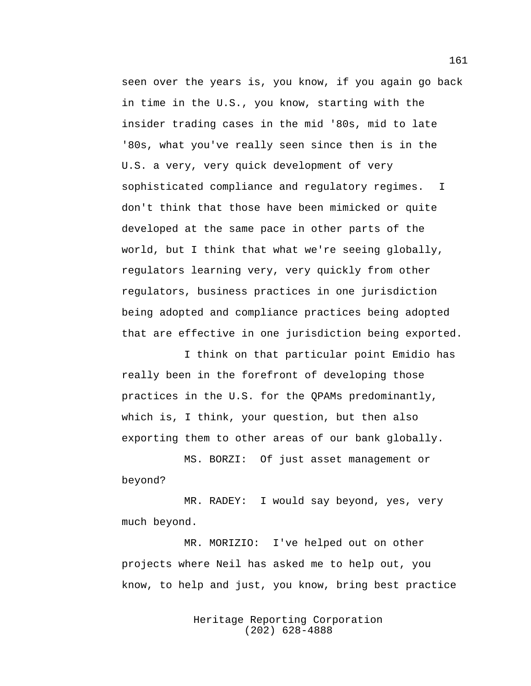seen over the years is, you know, if you again go back in time in the U.S., you know, starting with the insider trading cases in the mid '80s, mid to late '80s, what you've really seen since then is in the U.S. a very, very quick development of very sophisticated compliance and regulatory regimes. I don't think that those have been mimicked or quite developed at the same pace in other parts of the world, but I think that what we're seeing globally, regulators learning very, very quickly from other regulators, business practices in one jurisdiction being adopted and compliance practices being adopted that are effective in one jurisdiction being exported.

I think on that particular point Emidio has really been in the forefront of developing those practices in the U.S. for the QPAMs predominantly, which is, I think, your question, but then also exporting them to other areas of our bank globally.

MS. BORZI: Of just asset management or beyond?

MR. RADEY: I would say beyond, yes, very much beyond.

MR. MORIZIO: I've helped out on other projects where Neil has asked me to help out, you know, to help and just, you know, bring best practice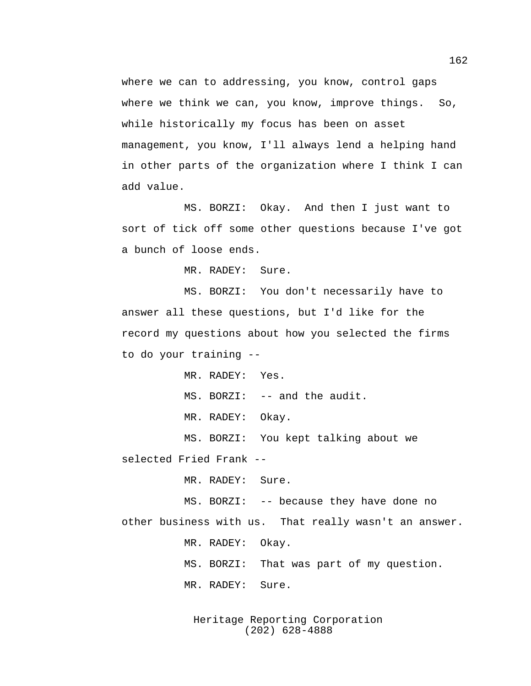where we can to addressing, you know, control gaps where we think we can, you know, improve things. So, while historically my focus has been on asset management, you know, I'll always lend a helping hand in other parts of the organization where I think I can add value.

MS. BORZI: Okay. And then I just want to sort of tick off some other questions because I've got a bunch of loose ends.

MR. RADEY: Sure.

MS. BORZI: You don't necessarily have to answer all these questions, but I'd like for the record my questions about how you selected the firms to do your training --

MR. RADEY: Yes.

MS. BORZI: -- and the audit.

MR. RADEY: Okay.

MS. BORZI: You kept talking about we selected Fried Frank --

MR. RADEY: Sure.

MS. BORZI: -- because they have done no other business with us. That really wasn't an answer.

MR. RADEY: Okay.

MS. BORZI: That was part of my question.

MR. RADEY: Sure.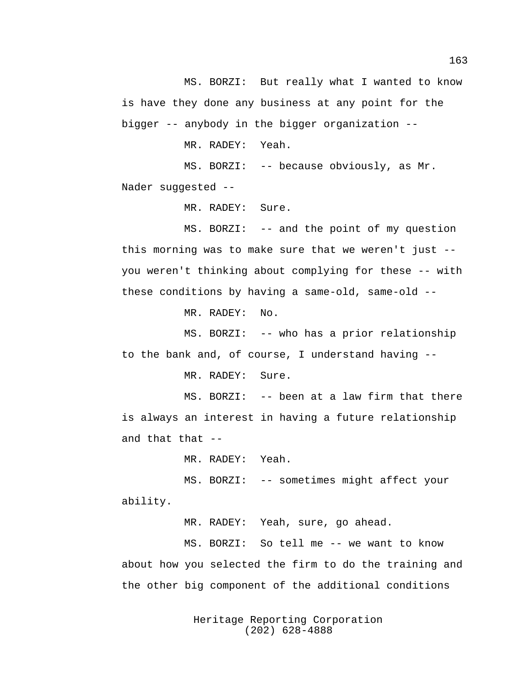MS. BORZI: But really what I wanted to know is have they done any business at any point for the bigger -- anybody in the bigger organization --

MR. RADEY: Yeah.

MS. BORZI: -- because obviously, as Mr. Nader suggested --

MR. RADEY: Sure.

MS. BORZI: -- and the point of my question this morning was to make sure that we weren't just - you weren't thinking about complying for these -- with these conditions by having a same-old, same-old --

MR. RADEY: No.

MS. BORZI: -- who has a prior relationship to the bank and, of course, I understand having --

MR. RADEY: Sure.

MS. BORZI: -- been at a law firm that there is always an interest in having a future relationship and that that --

MR. RADEY: Yeah.

MS. BORZI: -- sometimes might affect your ability.

MR. RADEY: Yeah, sure, go ahead.

MS. BORZI: So tell me -- we want to know about how you selected the firm to do the training and the other big component of the additional conditions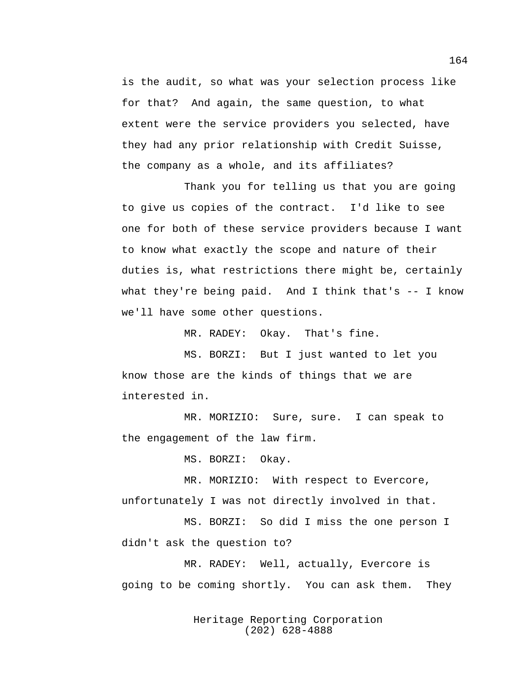is the audit, so what was your selection process like for that? And again, the same question, to what extent were the service providers you selected, have they had any prior relationship with Credit Suisse, the company as a whole, and its affiliates?

Thank you for telling us that you are going to give us copies of the contract. I'd like to see one for both of these service providers because I want to know what exactly the scope and nature of their duties is, what restrictions there might be, certainly what they're being paid. And I think that's  $-$  I know we'll have some other questions.

MR. RADEY: Okay. That's fine.

MS. BORZI: But I just wanted to let you know those are the kinds of things that we are interested in.

MR. MORIZIO: Sure, sure. I can speak to the engagement of the law firm.

MS. BORZI: Okay.

MR. MORIZIO: With respect to Evercore, unfortunately I was not directly involved in that.

MS. BORZI: So did I miss the one person I didn't ask the question to?

MR. RADEY: Well, actually, Evercore is going to be coming shortly. You can ask them. They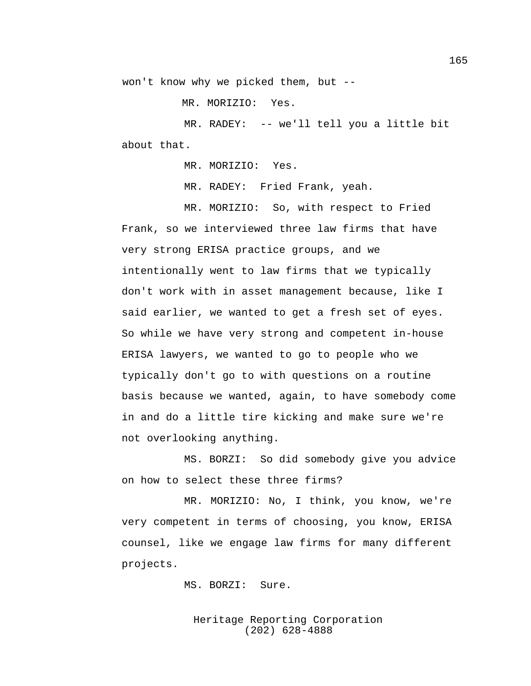won't know why we picked them, but --

MR. MORIZIO: Yes.

MR. RADEY: -- we'll tell you a little bit about that.

MR. MORIZIO: Yes.

MR. RADEY: Fried Frank, yeah.

MR. MORIZIO: So, with respect to Fried Frank, so we interviewed three law firms that have very strong ERISA practice groups, and we intentionally went to law firms that we typically don't work with in asset management because, like I said earlier, we wanted to get a fresh set of eyes. So while we have very strong and competent in-house ERISA lawyers, we wanted to go to people who we typically don't go to with questions on a routine basis because we wanted, again, to have somebody come in and do a little tire kicking and make sure we're not overlooking anything.

MS. BORZI: So did somebody give you advice on how to select these three firms?

MR. MORIZIO: No, I think, you know, we're very competent in terms of choosing, you know, ERISA counsel, like we engage law firms for many different projects.

MS. BORZI: Sure.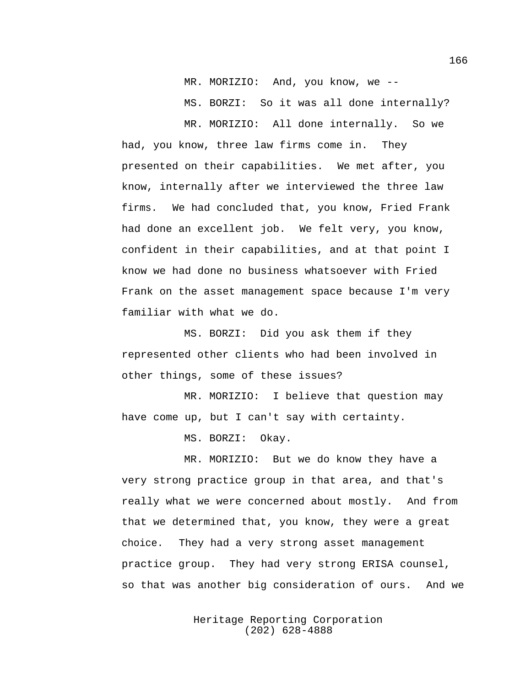MR. MORIZIO: And, you know, we --

MS. BORZI: So it was all done internally?

MR. MORIZIO: All done internally. So we had, you know, three law firms come in. They presented on their capabilities. We met after, you know, internally after we interviewed the three law firms. We had concluded that, you know, Fried Frank had done an excellent job. We felt very, you know, confident in their capabilities, and at that point I know we had done no business whatsoever with Fried Frank on the asset management space because I'm very familiar with what we do.

MS. BORZI: Did you ask them if they represented other clients who had been involved in other things, some of these issues?

MR. MORIZIO: I believe that question may have come up, but I can't say with certainty.

MS. BORZI: Okay.

MR. MORIZIO: But we do know they have a very strong practice group in that area, and that's really what we were concerned about mostly. And from that we determined that, you know, they were a great choice. They had a very strong asset management practice group. They had very strong ERISA counsel, so that was another big consideration of ours. And we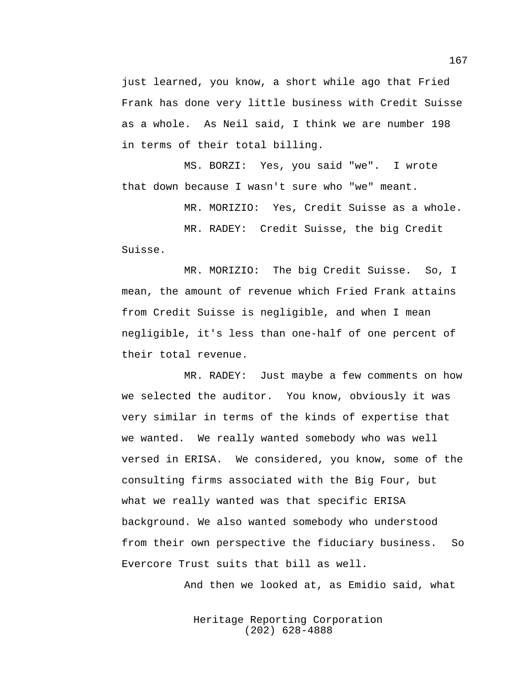just learned, you know, a short while ago that Fried Frank has done very little business with Credit Suisse as a whole. As Neil said, I think we are number 198 in terms of their total billing.

MS. BORZI: Yes, you said "we". I wrote that down because I wasn't sure who "we" meant.

MR. MORIZIO: Yes, Credit Suisse as a whole.

MR. RADEY: Credit Suisse, the big Credit Suisse.

MR. MORIZIO: The big Credit Suisse. So, I mean, the amount of revenue which Fried Frank attains from Credit Suisse is negligible, and when I mean negligible, it's less than one-half of one percent of their total revenue.

MR. RADEY: Just maybe a few comments on how we selected the auditor. You know, obviously it was very similar in terms of the kinds of expertise that we wanted. We really wanted somebody who was well versed in ERISA. We considered, you know, some of the consulting firms associated with the Big Four, but what we really wanted was that specific ERISA background. We also wanted somebody who understood from their own perspective the fiduciary business. So Evercore Trust suits that bill as well.

And then we looked at, as Emidio said, what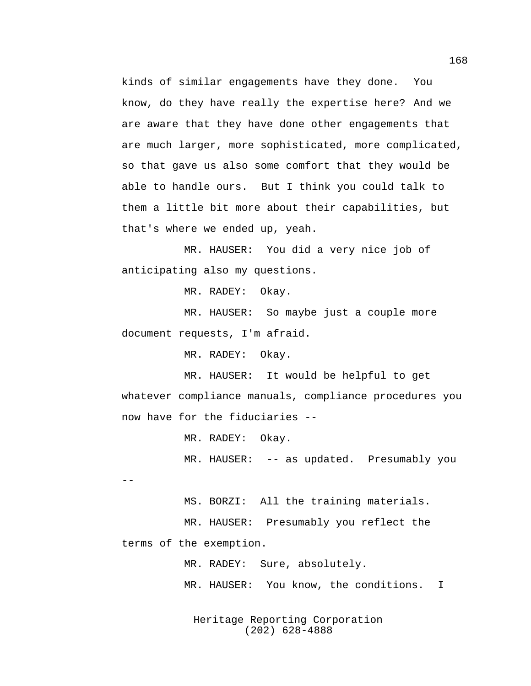kinds of similar engagements have they done. You know, do they have really the expertise here? And we are aware that they have done other engagements that are much larger, more sophisticated, more complicated, so that gave us also some comfort that they would be able to handle ours. But I think you could talk to them a little bit more about their capabilities, but that's where we ended up, yeah.

MR. HAUSER: You did a very nice job of anticipating also my questions.

MR. RADEY: Okay.

MR. HAUSER: So maybe just a couple more document requests, I'm afraid.

MR. RADEY: Okay.

MR. HAUSER: It would be helpful to get whatever compliance manuals, compliance procedures you now have for the fiduciaries --

MR. RADEY: Okay.

MR. HAUSER: -- as updated. Presumably you --

MS. BORZI: All the training materials. MR. HAUSER: Presumably you reflect the terms of the exemption.

> MR. RADEY: Sure, absolutely. MR. HAUSER: You know, the conditions. I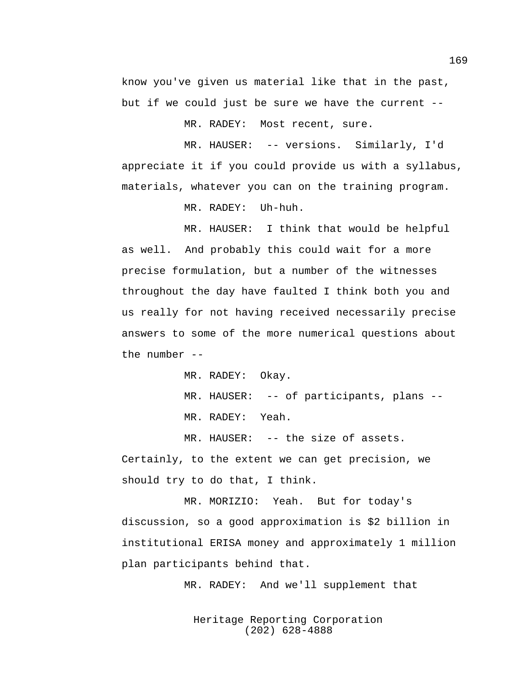know you've given us material like that in the past, but if we could just be sure we have the current --

MR. RADEY: Most recent, sure.

MR. HAUSER: -- versions. Similarly, I'd appreciate it if you could provide us with a syllabus, materials, whatever you can on the training program.

MR. RADEY: Uh-huh.

MR. HAUSER: I think that would be helpful as well. And probably this could wait for a more precise formulation, but a number of the witnesses throughout the day have faulted I think both you and us really for not having received necessarily precise answers to some of the more numerical questions about the number --

MR. RADEY: Okay.

MR. HAUSER: -- of participants, plans --

MR. RADEY: Yeah.

MR. HAUSER: -- the size of assets. Certainly, to the extent we can get precision, we should try to do that, I think.

MR. MORIZIO: Yeah. But for today's discussion, so a good approximation is \$2 billion in institutional ERISA money and approximately 1 million plan participants behind that.

MR. RADEY: And we'll supplement that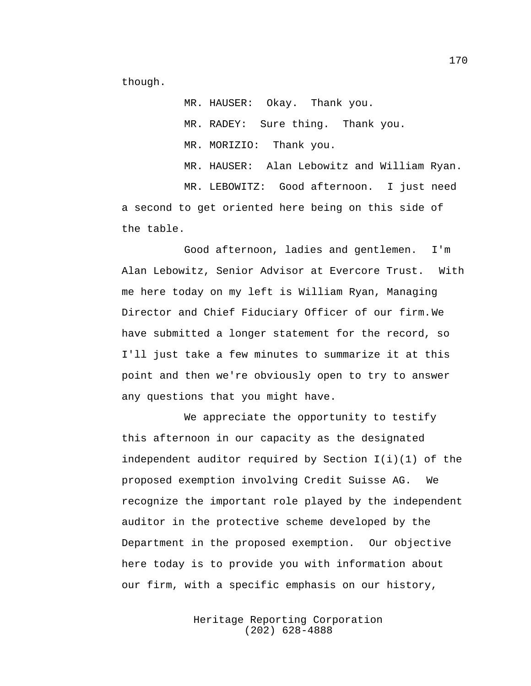though.

MR. HAUSER: Okay. Thank you. MR. RADEY: Sure thing. Thank you. MR. MORIZIO: Thank you. MR. HAUSER: Alan Lebowitz and William Ryan. MR. LEBOWITZ: Good afternoon. I just need a second to get oriented here being on this side of the table.

Good afternoon, ladies and gentlemen. I'm Alan Lebowitz, Senior Advisor at Evercore Trust. With me here today on my left is William Ryan, Managing Director and Chief Fiduciary Officer of our firm.We have submitted a longer statement for the record, so I'll just take a few minutes to summarize it at this point and then we're obviously open to try to answer any questions that you might have.

We appreciate the opportunity to testify this afternoon in our capacity as the designated independent auditor required by Section  $I(i)(1)$  of the proposed exemption involving Credit Suisse AG. We recognize the important role played by the independent auditor in the protective scheme developed by the Department in the proposed exemption. Our objective here today is to provide you with information about our firm, with a specific emphasis on our history,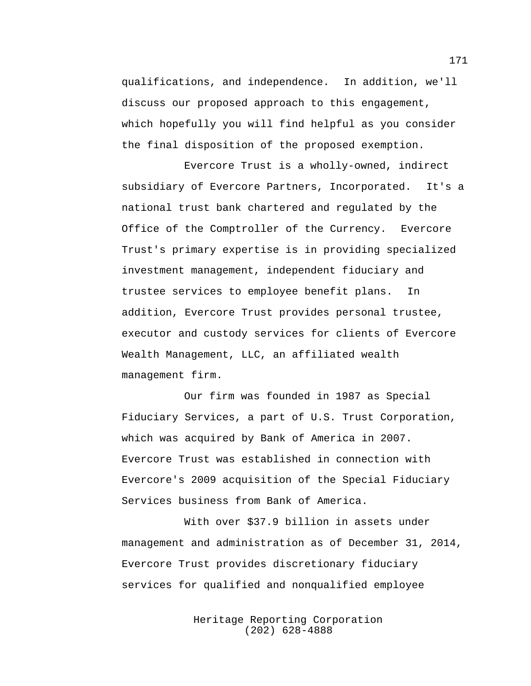qualifications, and independence. In addition, we'll discuss our proposed approach to this engagement, which hopefully you will find helpful as you consider the final disposition of the proposed exemption.

Evercore Trust is a wholly-owned, indirect subsidiary of Evercore Partners, Incorporated. It's a national trust bank chartered and regulated by the Office of the Comptroller of the Currency. Evercore Trust's primary expertise is in providing specialized investment management, independent fiduciary and trustee services to employee benefit plans. In addition, Evercore Trust provides personal trustee, executor and custody services for clients of Evercore Wealth Management, LLC, an affiliated wealth management firm.

Our firm was founded in 1987 as Special Fiduciary Services, a part of U.S. Trust Corporation, which was acquired by Bank of America in 2007. Evercore Trust was established in connection with Evercore's 2009 acquisition of the Special Fiduciary Services business from Bank of America.

With over \$37.9 billion in assets under management and administration as of December 31, 2014, Evercore Trust provides discretionary fiduciary services for qualified and nonqualified employee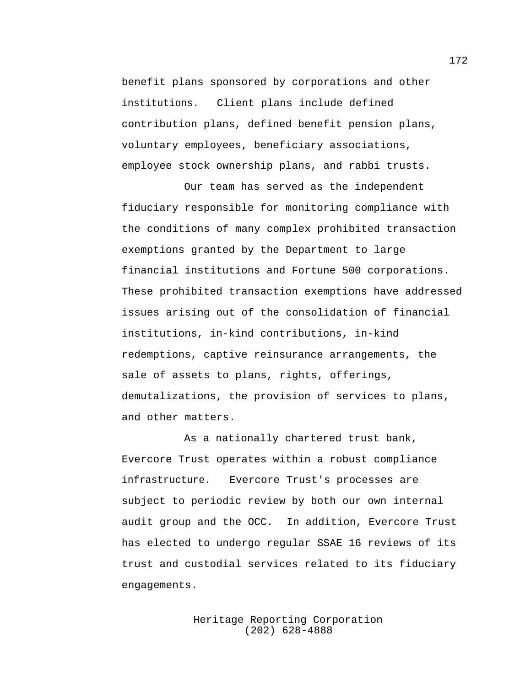benefit plans sponsored by corporations and other institutions. Client plans include defined contribution plans, defined benefit pension plans, voluntary employees, beneficiary associations, employee stock ownership plans, and rabbi trusts.

Our team has served as the independent fiduciary responsible for monitoring compliance with the conditions of many complex prohibited transaction exemptions granted by the Department to large financial institutions and Fortune 500 corporations. These prohibited transaction exemptions have addressed issues arising out of the consolidation of financial institutions, in-kind contributions, in-kind redemptions, captive reinsurance arrangements, the sale of assets to plans, rights, offerings, demutalizations, the provision of services to plans, and other matters.

As a nationally chartered trust bank, Evercore Trust operates within a robust compliance infrastructure. Evercore Trust's processes are subject to periodic review by both our own internal audit group and the OCC. In addition, Evercore Trust has elected to undergo regular SSAE 16 reviews of its trust and custodial services related to its fiduciary engagements.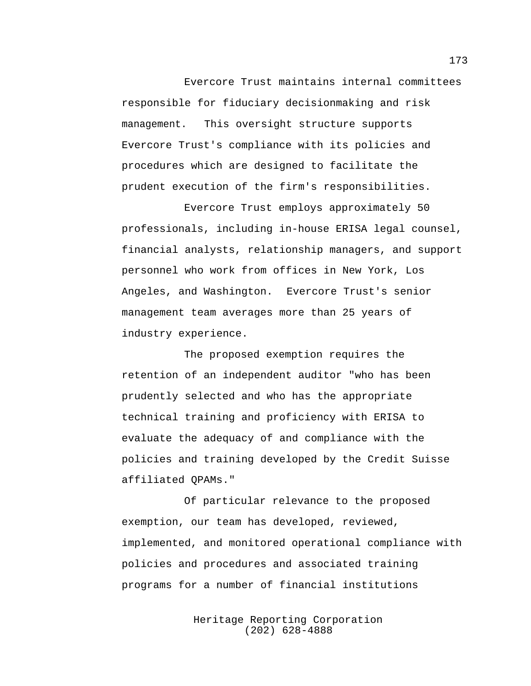Evercore Trust maintains internal committees responsible for fiduciary decisionmaking and risk management. This oversight structure supports Evercore Trust's compliance with its policies and procedures which are designed to facilitate the prudent execution of the firm's responsibilities.

Evercore Trust employs approximately 50 professionals, including in-house ERISA legal counsel, financial analysts, relationship managers, and support personnel who work from offices in New York, Los Angeles, and Washington. Evercore Trust's senior management team averages more than 25 years of industry experience.

The proposed exemption requires the retention of an independent auditor "who has been prudently selected and who has the appropriate technical training and proficiency with ERISA to evaluate the adequacy of and compliance with the policies and training developed by the Credit Suisse affiliated QPAMs."

Of particular relevance to the proposed exemption, our team has developed, reviewed, implemented, and monitored operational compliance with policies and procedures and associated training programs for a number of financial institutions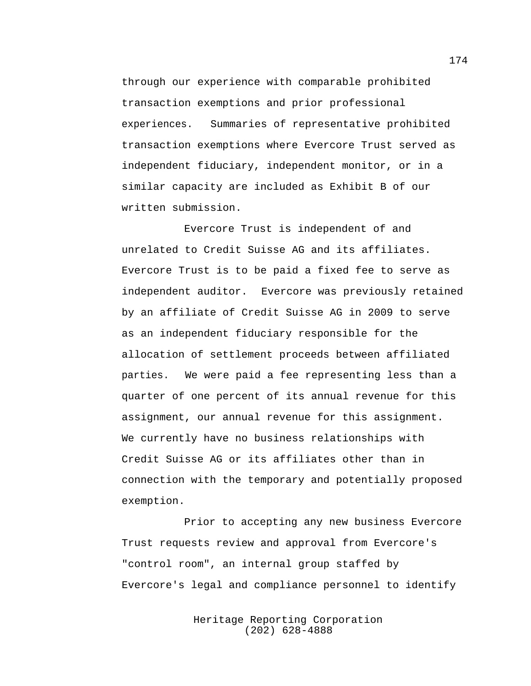through our experience with comparable prohibited transaction exemptions and prior professional experiences. Summaries of representative prohibited transaction exemptions where Evercore Trust served as independent fiduciary, independent monitor, or in a similar capacity are included as Exhibit B of our written submission.

Evercore Trust is independent of and unrelated to Credit Suisse AG and its affiliates. Evercore Trust is to be paid a fixed fee to serve as independent auditor. Evercore was previously retained by an affiliate of Credit Suisse AG in 2009 to serve as an independent fiduciary responsible for the allocation of settlement proceeds between affiliated parties. We were paid a fee representing less than a quarter of one percent of its annual revenue for this assignment, our annual revenue for this assignment. We currently have no business relationships with Credit Suisse AG or its affiliates other than in connection with the temporary and potentially proposed exemption.

Prior to accepting any new business Evercore Trust requests review and approval from Evercore's "control room", an internal group staffed by Evercore's legal and compliance personnel to identify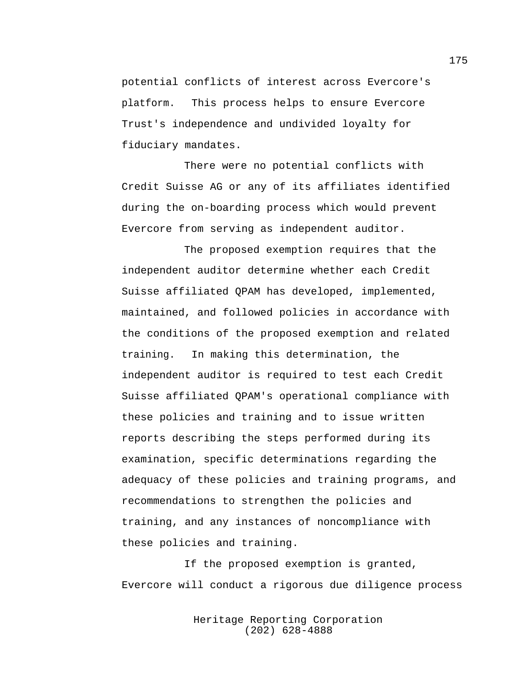potential conflicts of interest across Evercore's platform. This process helps to ensure Evercore Trust's independence and undivided loyalty for fiduciary mandates.

There were no potential conflicts with Credit Suisse AG or any of its affiliates identified during the on-boarding process which would prevent Evercore from serving as independent auditor.

The proposed exemption requires that the independent auditor determine whether each Credit Suisse affiliated QPAM has developed, implemented, maintained, and followed policies in accordance with the conditions of the proposed exemption and related training. In making this determination, the independent auditor is required to test each Credit Suisse affiliated QPAM's operational compliance with these policies and training and to issue written reports describing the steps performed during its examination, specific determinations regarding the adequacy of these policies and training programs, and recommendations to strengthen the policies and training, and any instances of noncompliance with these policies and training.

If the proposed exemption is granted, Evercore will conduct a rigorous due diligence process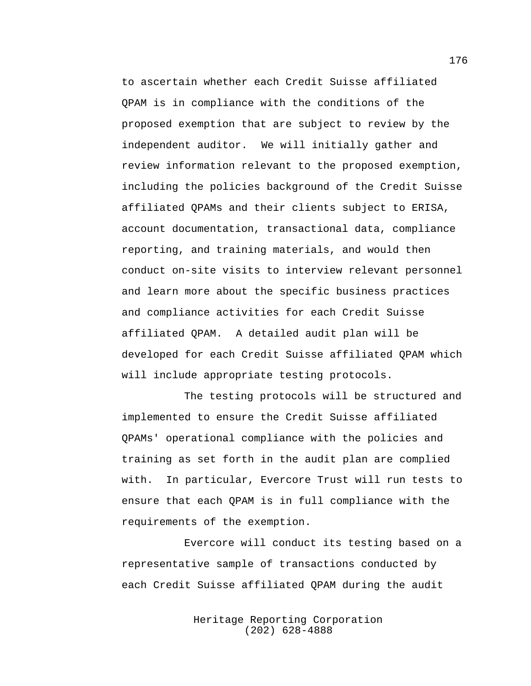to ascertain whether each Credit Suisse affiliated QPAM is in compliance with the conditions of the proposed exemption that are subject to review by the independent auditor. We will initially gather and review information relevant to the proposed exemption, including the policies background of the Credit Suisse affiliated QPAMs and their clients subject to ERISA, account documentation, transactional data, compliance reporting, and training materials, and would then conduct on-site visits to interview relevant personnel and learn more about the specific business practices and compliance activities for each Credit Suisse affiliated QPAM. A detailed audit plan will be developed for each Credit Suisse affiliated QPAM which will include appropriate testing protocols.

The testing protocols will be structured and implemented to ensure the Credit Suisse affiliated QPAMs' operational compliance with the policies and training as set forth in the audit plan are complied with. In particular, Evercore Trust will run tests to ensure that each QPAM is in full compliance with the requirements of the exemption.

Evercore will conduct its testing based on a representative sample of transactions conducted by each Credit Suisse affiliated QPAM during the audit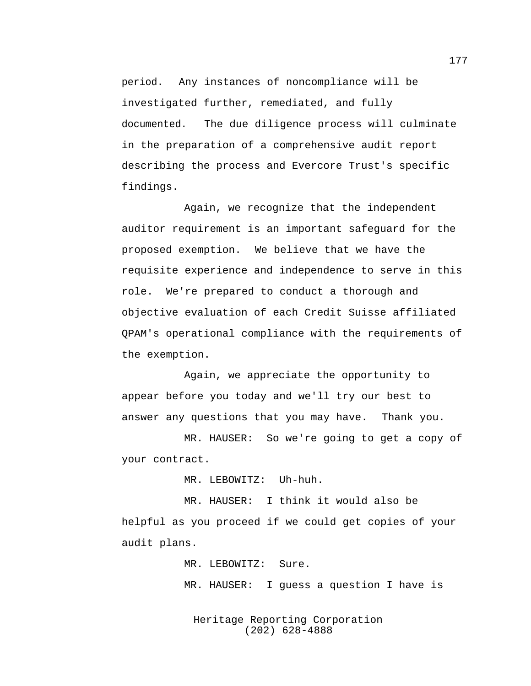period. Any instances of noncompliance will be investigated further, remediated, and fully documented. The due diligence process will culminate in the preparation of a comprehensive audit report describing the process and Evercore Trust's specific findings.

Again, we recognize that the independent auditor requirement is an important safeguard for the proposed exemption. We believe that we have the requisite experience and independence to serve in this role. We're prepared to conduct a thorough and objective evaluation of each Credit Suisse affiliated QPAM's operational compliance with the requirements of the exemption.

Again, we appreciate the opportunity to appear before you today and we'll try our best to answer any questions that you may have. Thank you.

MR. HAUSER: So we're going to get a copy of your contract.

MR. LEBOWITZ: Uh-huh.

MR. HAUSER: I think it would also be helpful as you proceed if we could get copies of your audit plans.

MR. LEBOWITZ: Sure.

MR. HAUSER: I guess a question I have is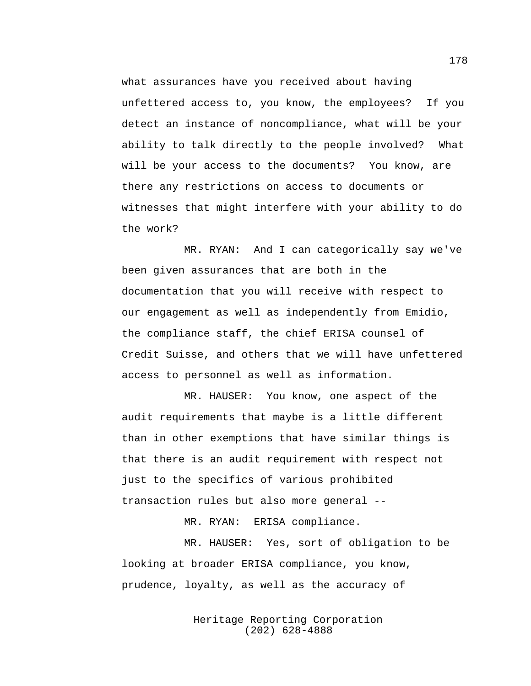what assurances have you received about having unfettered access to, you know, the employees? If you detect an instance of noncompliance, what will be your ability to talk directly to the people involved? What will be your access to the documents? You know, are there any restrictions on access to documents or witnesses that might interfere with your ability to do the work?

MR. RYAN: And I can categorically say we've been given assurances that are both in the documentation that you will receive with respect to our engagement as well as independently from Emidio, the compliance staff, the chief ERISA counsel of Credit Suisse, and others that we will have unfettered access to personnel as well as information.

MR. HAUSER: You know, one aspect of the audit requirements that maybe is a little different than in other exemptions that have similar things is that there is an audit requirement with respect not just to the specifics of various prohibited transaction rules but also more general --

MR. RYAN: ERISA compliance.

MR. HAUSER: Yes, sort of obligation to be looking at broader ERISA compliance, you know, prudence, loyalty, as well as the accuracy of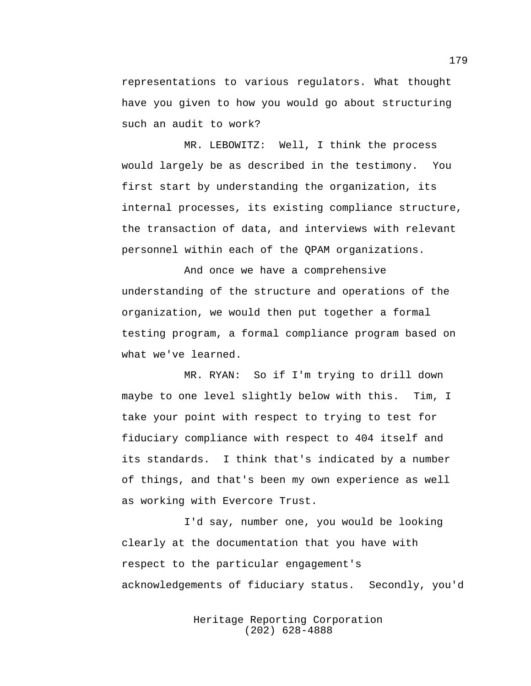representations to various regulators. What thought have you given to how you would go about structuring such an audit to work?

MR. LEBOWITZ: Well, I think the process would largely be as described in the testimony. You first start by understanding the organization, its internal processes, its existing compliance structure, the transaction of data, and interviews with relevant personnel within each of the QPAM organizations.

And once we have a comprehensive understanding of the structure and operations of the organization, we would then put together a formal testing program, a formal compliance program based on what we've learned.

MR. RYAN: So if I'm trying to drill down maybe to one level slightly below with this. Tim, I take your point with respect to trying to test for fiduciary compliance with respect to 404 itself and its standards. I think that's indicated by a number of things, and that's been my own experience as well as working with Evercore Trust.

I'd say, number one, you would be looking clearly at the documentation that you have with respect to the particular engagement's acknowledgements of fiduciary status. Secondly, you'd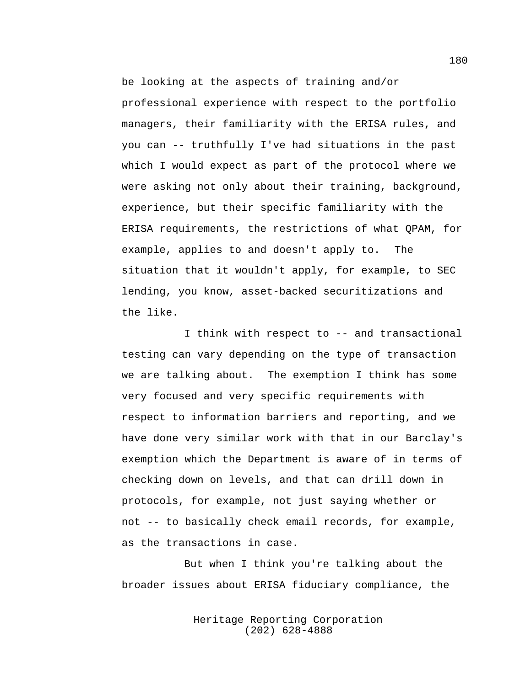be looking at the aspects of training and/or professional experience with respect to the portfolio managers, their familiarity with the ERISA rules, and you can -- truthfully I've had situations in the past which I would expect as part of the protocol where we were asking not only about their training, background, experience, but their specific familiarity with the ERISA requirements, the restrictions of what QPAM, for example, applies to and doesn't apply to. The situation that it wouldn't apply, for example, to SEC lending, you know, asset-backed securitizations and the like.

I think with respect to -- and transactional testing can vary depending on the type of transaction we are talking about. The exemption I think has some very focused and very specific requirements with respect to information barriers and reporting, and we have done very similar work with that in our Barclay's exemption which the Department is aware of in terms of checking down on levels, and that can drill down in protocols, for example, not just saying whether or not -- to basically check email records, for example, as the transactions in case.

But when I think you're talking about the broader issues about ERISA fiduciary compliance, the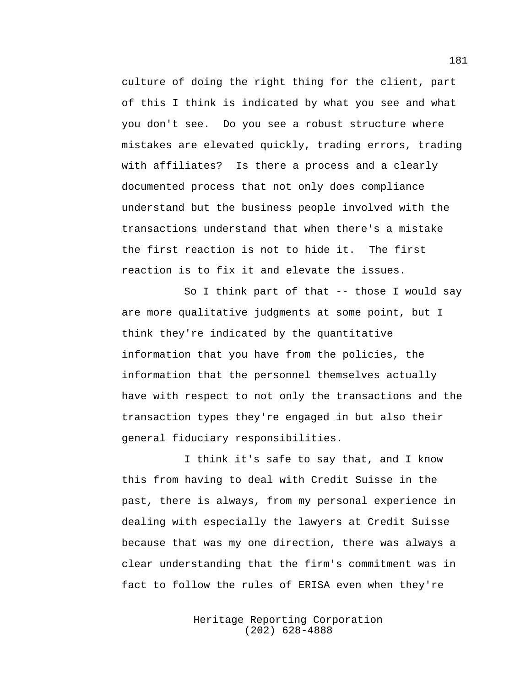culture of doing the right thing for the client, part of this I think is indicated by what you see and what you don't see. Do you see a robust structure where mistakes are elevated quickly, trading errors, trading with affiliates? Is there a process and a clearly documented process that not only does compliance understand but the business people involved with the transactions understand that when there's a mistake the first reaction is not to hide it. The first reaction is to fix it and elevate the issues.

So I think part of that -- those I would say are more qualitative judgments at some point, but I think they're indicated by the quantitative information that you have from the policies, the information that the personnel themselves actually have with respect to not only the transactions and the transaction types they're engaged in but also their general fiduciary responsibilities.

I think it's safe to say that, and I know this from having to deal with Credit Suisse in the past, there is always, from my personal experience in dealing with especially the lawyers at Credit Suisse because that was my one direction, there was always a clear understanding that the firm's commitment was in fact to follow the rules of ERISA even when they're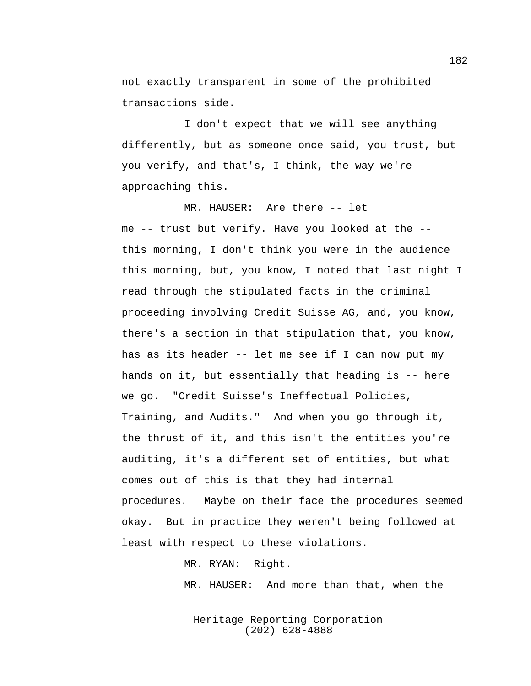not exactly transparent in some of the prohibited transactions side.

I don't expect that we will see anything differently, but as someone once said, you trust, but you verify, and that's, I think, the way we're approaching this.

MR. HAUSER: Are there -- let me -- trust but verify. Have you looked at the - this morning, I don't think you were in the audience this morning, but, you know, I noted that last night I read through the stipulated facts in the criminal proceeding involving Credit Suisse AG, and, you know, there's a section in that stipulation that, you know, has as its header -- let me see if I can now put my hands on it, but essentially that heading is -- here we go. "Credit Suisse's Ineffectual Policies, Training, and Audits." And when you go through it, the thrust of it, and this isn't the entities you're auditing, it's a different set of entities, but what comes out of this is that they had internal procedures. Maybe on their face the procedures seemed okay. But in practice they weren't being followed at least with respect to these violations.

MR. RYAN: Right.

MR. HAUSER: And more than that, when the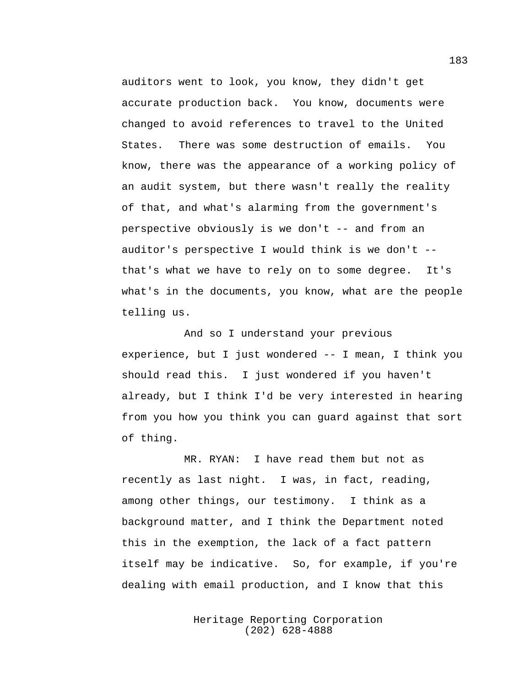auditors went to look, you know, they didn't get accurate production back. You know, documents were changed to avoid references to travel to the United States. There was some destruction of emails. You know, there was the appearance of a working policy of an audit system, but there wasn't really the reality of that, and what's alarming from the government's perspective obviously is we don't -- and from an auditor's perspective I would think is we don't - that's what we have to rely on to some degree. It's what's in the documents, you know, what are the people telling us.

And so I understand your previous experience, but I just wondered -- I mean, I think you should read this. I just wondered if you haven't already, but I think I'd be very interested in hearing from you how you think you can guard against that sort of thing.

MR. RYAN: I have read them but not as recently as last night. I was, in fact, reading, among other things, our testimony. I think as a background matter, and I think the Department noted this in the exemption, the lack of a fact pattern itself may be indicative. So, for example, if you're dealing with email production, and I know that this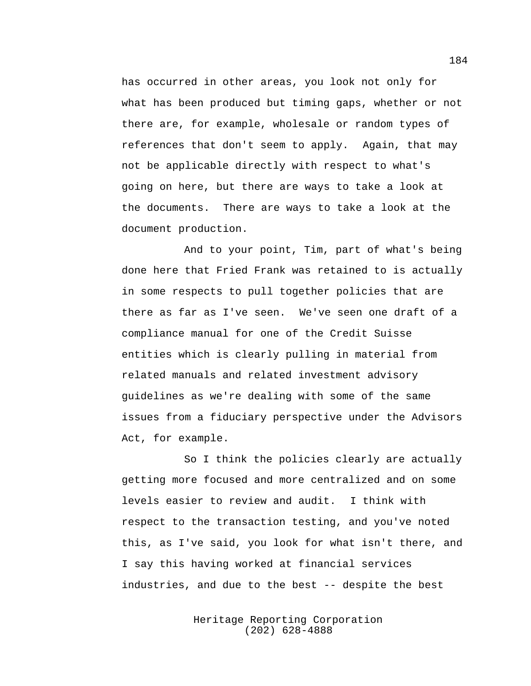has occurred in other areas, you look not only for what has been produced but timing gaps, whether or not there are, for example, wholesale or random types of references that don't seem to apply. Again, that may not be applicable directly with respect to what's going on here, but there are ways to take a look at the documents. There are ways to take a look at the document production.

And to your point, Tim, part of what's being done here that Fried Frank was retained to is actually in some respects to pull together policies that are there as far as I've seen. We've seen one draft of a compliance manual for one of the Credit Suisse entities which is clearly pulling in material from related manuals and related investment advisory guidelines as we're dealing with some of the same issues from a fiduciary perspective under the Advisors Act, for example.

So I think the policies clearly are actually getting more focused and more centralized and on some levels easier to review and audit. I think with respect to the transaction testing, and you've noted this, as I've said, you look for what isn't there, and I say this having worked at financial services industries, and due to the best -- despite the best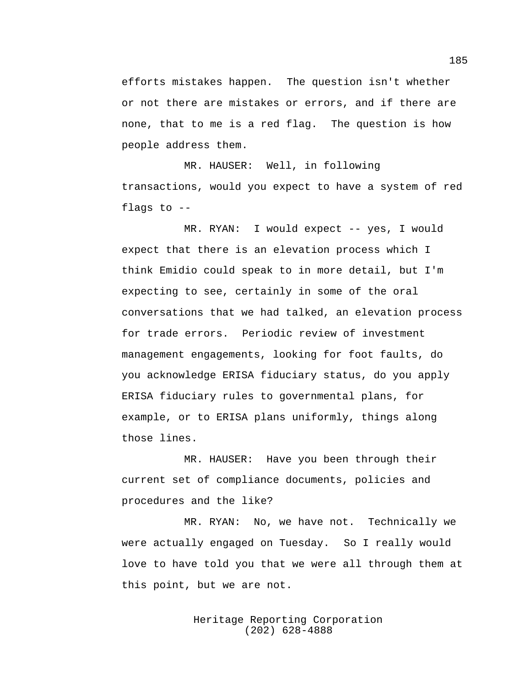efforts mistakes happen. The question isn't whether or not there are mistakes or errors, and if there are none, that to me is a red flag. The question is how people address them.

MR. HAUSER: Well, in following transactions, would you expect to have a system of red flags to --

MR. RYAN: I would expect -- yes, I would expect that there is an elevation process which I think Emidio could speak to in more detail, but I'm expecting to see, certainly in some of the oral conversations that we had talked, an elevation process for trade errors. Periodic review of investment management engagements, looking for foot faults, do you acknowledge ERISA fiduciary status, do you apply ERISA fiduciary rules to governmental plans, for example, or to ERISA plans uniformly, things along those lines.

MR. HAUSER: Have you been through their current set of compliance documents, policies and procedures and the like?

MR. RYAN: No, we have not. Technically we were actually engaged on Tuesday. So I really would love to have told you that we were all through them at this point, but we are not.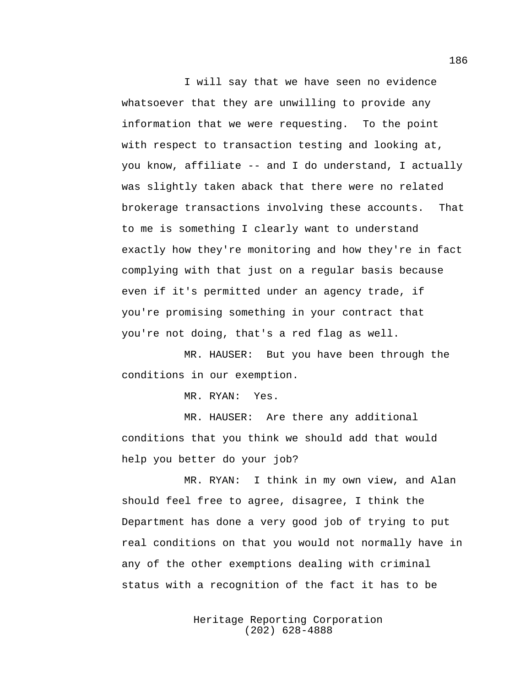I will say that we have seen no evidence whatsoever that they are unwilling to provide any information that we were requesting. To the point with respect to transaction testing and looking at, you know, affiliate -- and I do understand, I actually was slightly taken aback that there were no related brokerage transactions involving these accounts. That to me is something I clearly want to understand exactly how they're monitoring and how they're in fact complying with that just on a regular basis because even if it's permitted under an agency trade, if you're promising something in your contract that you're not doing, that's a red flag as well.

MR. HAUSER: But you have been through the conditions in our exemption.

MR. RYAN: Yes.

MR. HAUSER: Are there any additional conditions that you think we should add that would help you better do your job?

MR. RYAN: I think in my own view, and Alan should feel free to agree, disagree, I think the Department has done a very good job of trying to put real conditions on that you would not normally have in any of the other exemptions dealing with criminal status with a recognition of the fact it has to be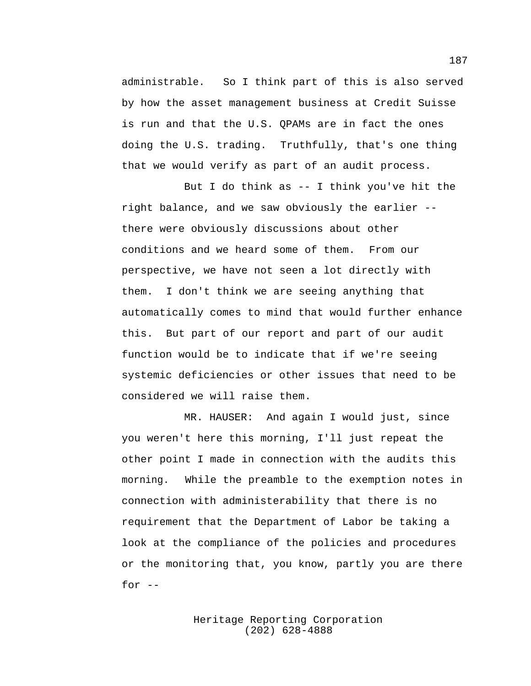administrable. So I think part of this is also served by how the asset management business at Credit Suisse is run and that the U.S. QPAMs are in fact the ones doing the U.S. trading. Truthfully, that's one thing that we would verify as part of an audit process.

But I do think as -- I think you've hit the right balance, and we saw obviously the earlier - there were obviously discussions about other conditions and we heard some of them. From our perspective, we have not seen a lot directly with them. I don't think we are seeing anything that automatically comes to mind that would further enhance this. But part of our report and part of our audit function would be to indicate that if we're seeing systemic deficiencies or other issues that need to be considered we will raise them.

MR. HAUSER: And again I would just, since you weren't here this morning, I'll just repeat the other point I made in connection with the audits this morning. While the preamble to the exemption notes in connection with administerability that there is no requirement that the Department of Labor be taking a look at the compliance of the policies and procedures or the monitoring that, you know, partly you are there for  $--$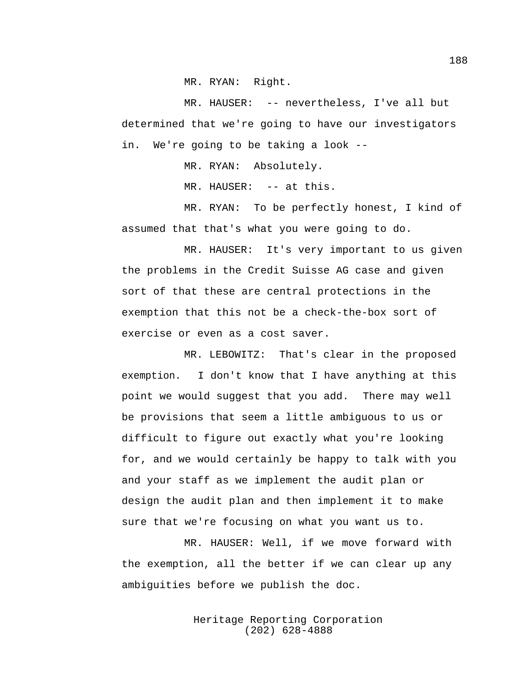MR. RYAN: Right.

MR. HAUSER: -- nevertheless, I've all but determined that we're going to have our investigators in. We're going to be taking a look --

MR. RYAN: Absolutely.

MR. HAUSER: -- at this.

MR. RYAN: To be perfectly honest, I kind of assumed that that's what you were going to do.

MR. HAUSER: It's very important to us given the problems in the Credit Suisse AG case and given sort of that these are central protections in the exemption that this not be a check-the-box sort of exercise or even as a cost saver.

MR. LEBOWITZ: That's clear in the proposed exemption. I don't know that I have anything at this point we would suggest that you add. There may well be provisions that seem a little ambiguous to us or difficult to figure out exactly what you're looking for, and we would certainly be happy to talk with you and your staff as we implement the audit plan or design the audit plan and then implement it to make sure that we're focusing on what you want us to.

MR. HAUSER: Well, if we move forward with the exemption, all the better if we can clear up any ambiguities before we publish the doc.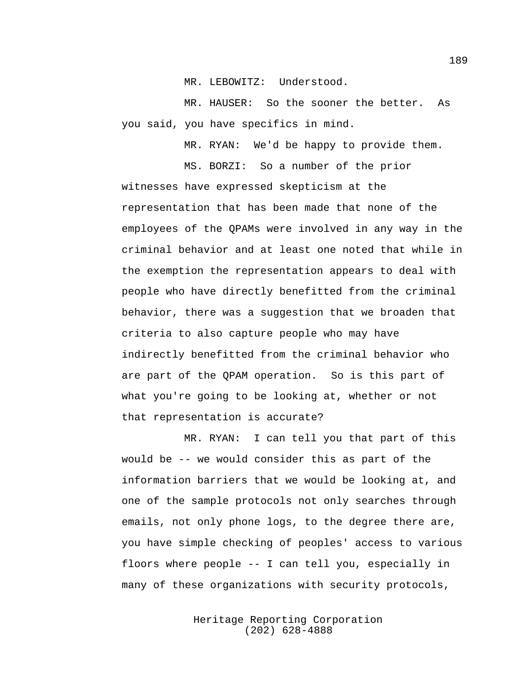MR. LEBOWITZ: Understood.

MR. HAUSER: So the sooner the better. As you said, you have specifics in mind.

MR. RYAN: We'd be happy to provide them.

MS. BORZI: So a number of the prior

witnesses have expressed skepticism at the representation that has been made that none of the employees of the QPAMs were involved in any way in the criminal behavior and at least one noted that while in the exemption the representation appears to deal with people who have directly benefitted from the criminal behavior, there was a suggestion that we broaden that criteria to also capture people who may have indirectly benefitted from the criminal behavior who are part of the QPAM operation. So is this part of what you're going to be looking at, whether or not that representation is accurate?

MR. RYAN: I can tell you that part of this would be -- we would consider this as part of the information barriers that we would be looking at, and one of the sample protocols not only searches through emails, not only phone logs, to the degree there are, you have simple checking of peoples' access to various floors where people -- I can tell you, especially in many of these organizations with security protocols,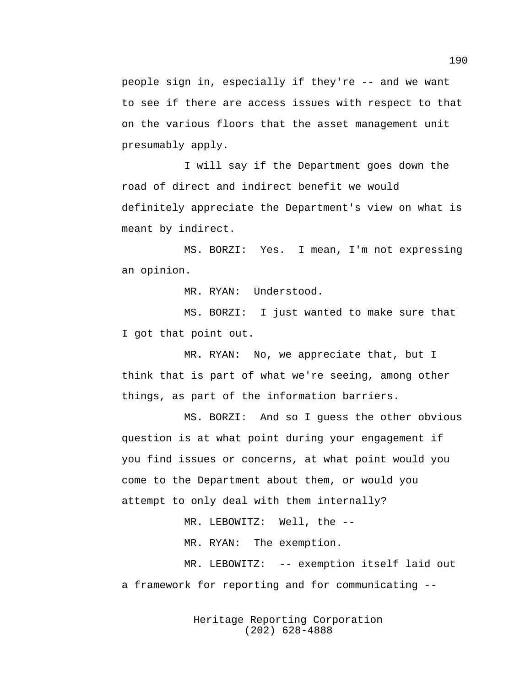people sign in, especially if they're -- and we want to see if there are access issues with respect to that on the various floors that the asset management unit presumably apply.

I will say if the Department goes down the road of direct and indirect benefit we would definitely appreciate the Department's view on what is meant by indirect.

MS. BORZI: Yes. I mean, I'm not expressing an opinion.

MR. RYAN: Understood.

MS. BORZI: I just wanted to make sure that I got that point out.

MR. RYAN: No, we appreciate that, but I think that is part of what we're seeing, among other things, as part of the information barriers.

MS. BORZI: And so I guess the other obvious question is at what point during your engagement if you find issues or concerns, at what point would you come to the Department about them, or would you attempt to only deal with them internally?

MR. LEBOWITZ: Well, the --

MR. RYAN: The exemption.

MR. LEBOWITZ: -- exemption itself laid out a framework for reporting and for communicating --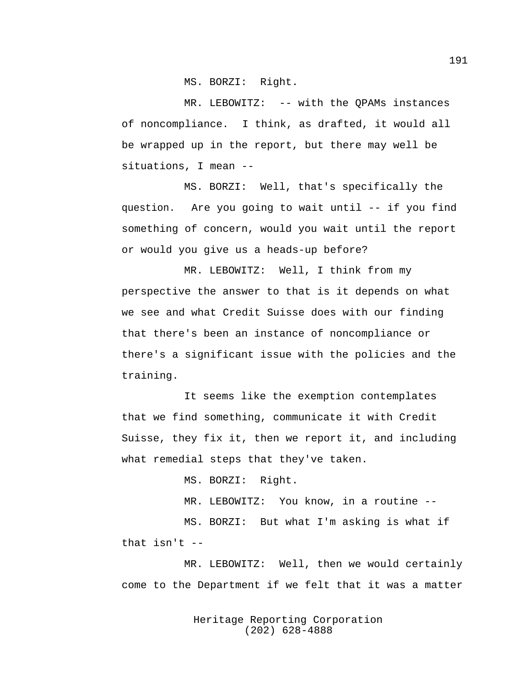MS. BORZI: Right.

MR. LEBOWITZ: -- with the QPAMs instances of noncompliance. I think, as drafted, it would all be wrapped up in the report, but there may well be situations, I mean --

MS. BORZI: Well, that's specifically the question. Are you going to wait until -- if you find something of concern, would you wait until the report or would you give us a heads-up before?

MR. LEBOWITZ: Well, I think from my perspective the answer to that is it depends on what we see and what Credit Suisse does with our finding that there's been an instance of noncompliance or there's a significant issue with the policies and the training.

It seems like the exemption contemplates that we find something, communicate it with Credit Suisse, they fix it, then we report it, and including what remedial steps that they've taken.

MS. BORZI: Right.

MR. LEBOWITZ: You know, in a routine --

MS. BORZI: But what I'm asking is what if that isn't --

MR. LEBOWITZ: Well, then we would certainly come to the Department if we felt that it was a matter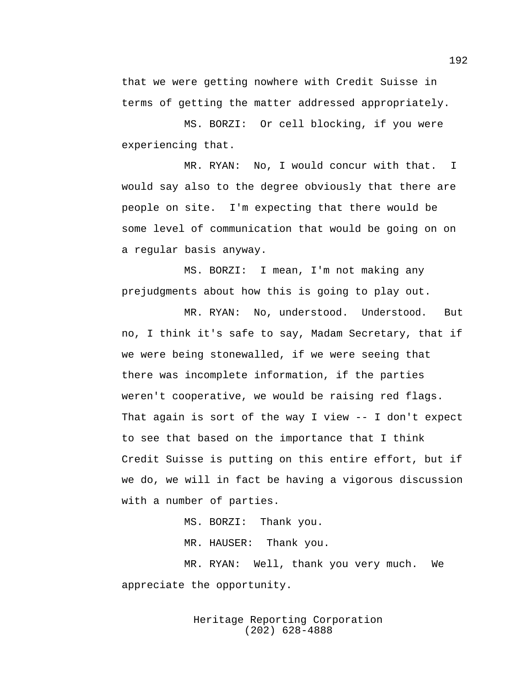that we were getting nowhere with Credit Suisse in terms of getting the matter addressed appropriately.

MS. BORZI: Or cell blocking, if you were experiencing that.

MR. RYAN: No, I would concur with that. I would say also to the degree obviously that there are people on site. I'm expecting that there would be some level of communication that would be going on on a regular basis anyway.

MS. BORZI: I mean, I'm not making any prejudgments about how this is going to play out.

MR. RYAN: No, understood. Understood. But no, I think it's safe to say, Madam Secretary, that if we were being stonewalled, if we were seeing that there was incomplete information, if the parties weren't cooperative, we would be raising red flags. That again is sort of the way I view -- I don't expect to see that based on the importance that I think Credit Suisse is putting on this entire effort, but if we do, we will in fact be having a vigorous discussion with a number of parties.

MS. BORZI: Thank you.

MR. HAUSER: Thank you.

MR. RYAN: Well, thank you very much. We appreciate the opportunity.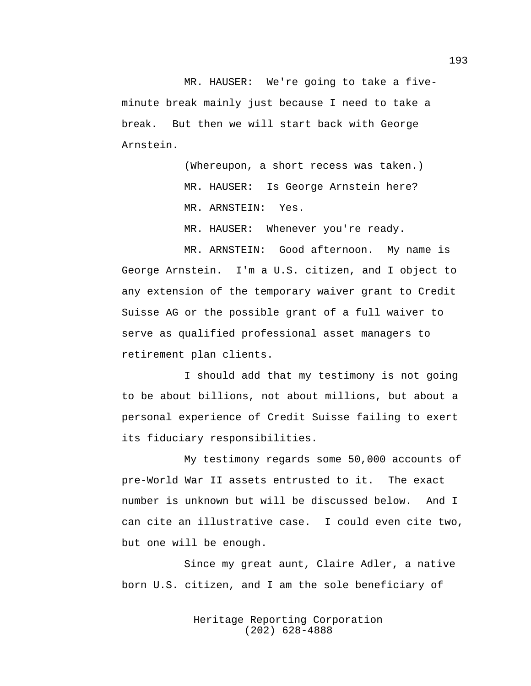MR. HAUSER: We're going to take a fiveminute break mainly just because I need to take a break. But then we will start back with George Arnstein.

> (Whereupon, a short recess was taken.) MR. HAUSER: Is George Arnstein here? MR. ARNSTEIN: Yes.

MR. HAUSER: Whenever you're ready.

MR. ARNSTEIN: Good afternoon. My name is George Arnstein. I'm a U.S. citizen, and I object to any extension of the temporary waiver grant to Credit Suisse AG or the possible grant of a full waiver to serve as qualified professional asset managers to retirement plan clients.

I should add that my testimony is not going to be about billions, not about millions, but about a personal experience of Credit Suisse failing to exert its fiduciary responsibilities.

My testimony regards some 50,000 accounts of pre-World War II assets entrusted to it. The exact number is unknown but will be discussed below. And I can cite an illustrative case. I could even cite two, but one will be enough.

Since my great aunt, Claire Adler, a native born U.S. citizen, and I am the sole beneficiary of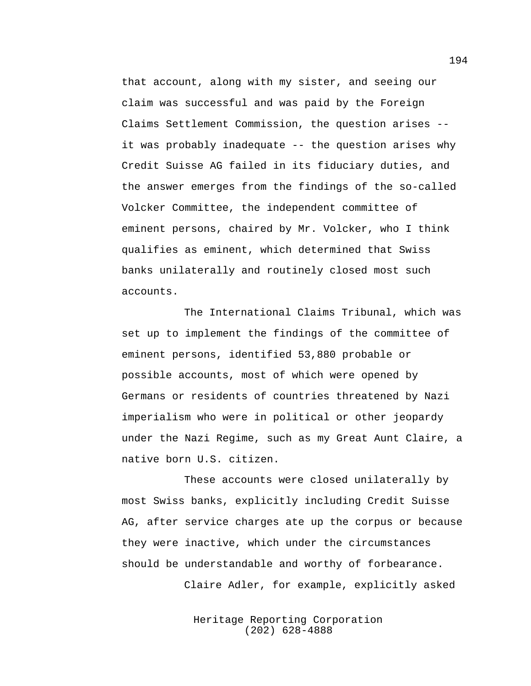that account, along with my sister, and seeing our claim was successful and was paid by the Foreign Claims Settlement Commission, the question arises - it was probably inadequate -- the question arises why Credit Suisse AG failed in its fiduciary duties, and the answer emerges from the findings of the so-called Volcker Committee, the independent committee of eminent persons, chaired by Mr. Volcker, who I think qualifies as eminent, which determined that Swiss banks unilaterally and routinely closed most such accounts.

The International Claims Tribunal, which was set up to implement the findings of the committee of eminent persons, identified 53,880 probable or possible accounts, most of which were opened by Germans or residents of countries threatened by Nazi imperialism who were in political or other jeopardy under the Nazi Regime, such as my Great Aunt Claire, a native born U.S. citizen.

These accounts were closed unilaterally by most Swiss banks, explicitly including Credit Suisse AG, after service charges ate up the corpus or because they were inactive, which under the circumstances should be understandable and worthy of forbearance.

Claire Adler, for example, explicitly asked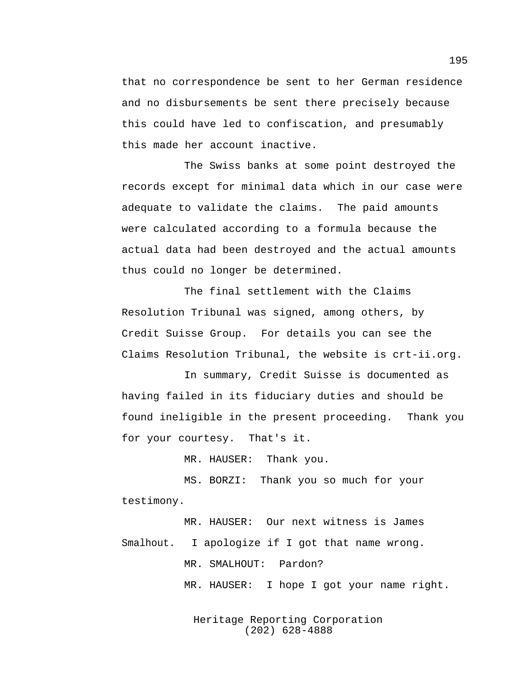that no correspondence be sent to her German residence and no disbursements be sent there precisely because this could have led to confiscation, and presumably this made her account inactive.

The Swiss banks at some point destroyed the records except for minimal data which in our case were adequate to validate the claims. The paid amounts were calculated according to a formula because the actual data had been destroyed and the actual amounts thus could no longer be determined.

The final settlement with the Claims Resolution Tribunal was signed, among others, by Credit Suisse Group. For details you can see the Claims Resolution Tribunal, the website is crt-ii.org.

In summary, Credit Suisse is documented as having failed in its fiduciary duties and should be found ineligible in the present proceeding. Thank you for your courtesy. That's it.

MR. HAUSER: Thank you.

MS. BORZI: Thank you so much for your testimony.

MR. HAUSER: Our next witness is James Smalhout. I apologize if I got that name wrong. MR. SMALHOUT: Pardon? MR. HAUSER: I hope I got your name right.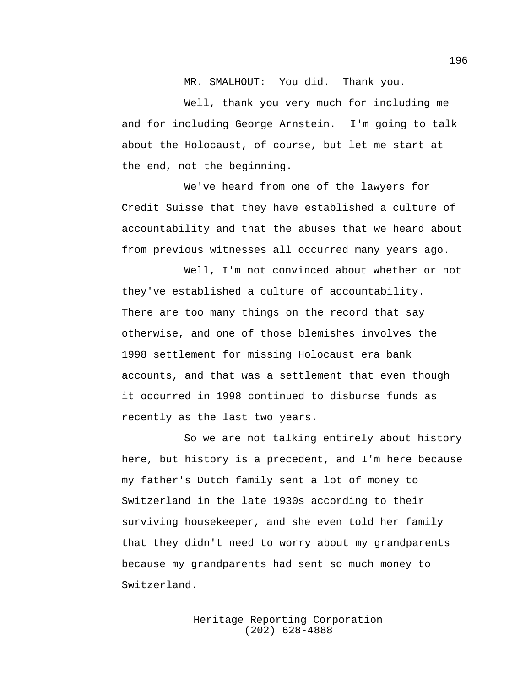MR. SMALHOUT: You did. Thank you.

Well, thank you very much for including me and for including George Arnstein. I'm going to talk about the Holocaust, of course, but let me start at the end, not the beginning.

We've heard from one of the lawyers for Credit Suisse that they have established a culture of accountability and that the abuses that we heard about from previous witnesses all occurred many years ago.

Well, I'm not convinced about whether or not they've established a culture of accountability. There are too many things on the record that say otherwise, and one of those blemishes involves the 1998 settlement for missing Holocaust era bank accounts, and that was a settlement that even though it occurred in 1998 continued to disburse funds as recently as the last two years.

So we are not talking entirely about history here, but history is a precedent, and I'm here because my father's Dutch family sent a lot of money to Switzerland in the late 1930s according to their surviving housekeeper, and she even told her family that they didn't need to worry about my grandparents because my grandparents had sent so much money to Switzerland.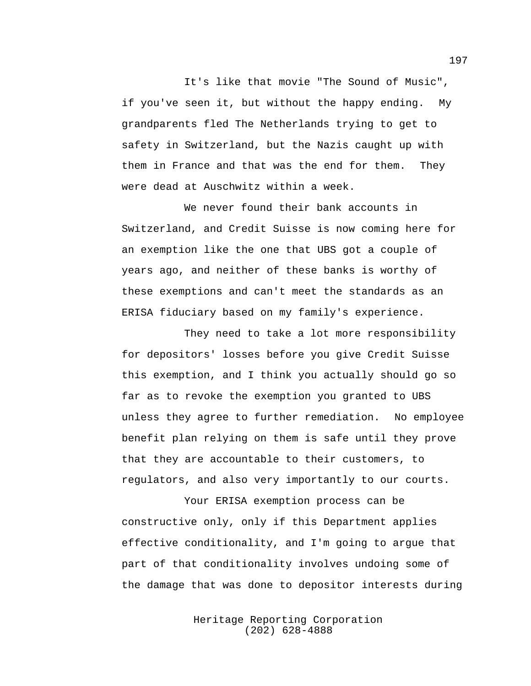It's like that movie "The Sound of Music", if you've seen it, but without the happy ending. My grandparents fled The Netherlands trying to get to safety in Switzerland, but the Nazis caught up with them in France and that was the end for them. They were dead at Auschwitz within a week.

We never found their bank accounts in Switzerland, and Credit Suisse is now coming here for an exemption like the one that UBS got a couple of years ago, and neither of these banks is worthy of these exemptions and can't meet the standards as an ERISA fiduciary based on my family's experience.

They need to take a lot more responsibility for depositors' losses before you give Credit Suisse this exemption, and I think you actually should go so far as to revoke the exemption you granted to UBS unless they agree to further remediation. No employee benefit plan relying on them is safe until they prove that they are accountable to their customers, to regulators, and also very importantly to our courts.

Your ERISA exemption process can be constructive only, only if this Department applies effective conditionality, and I'm going to argue that part of that conditionality involves undoing some of the damage that was done to depositor interests during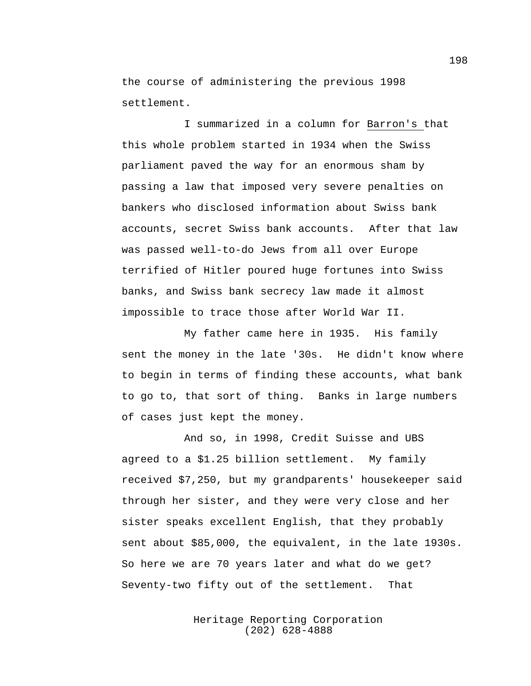the course of administering the previous 1998 settlement.

I summarized in a column for Barron's that this whole problem started in 1934 when the Swiss parliament paved the way for an enormous sham by passing a law that imposed very severe penalties on bankers who disclosed information about Swiss bank accounts, secret Swiss bank accounts. After that law was passed well-to-do Jews from all over Europe terrified of Hitler poured huge fortunes into Swiss banks, and Swiss bank secrecy law made it almost impossible to trace those after World War II.

My father came here in 1935. His family sent the money in the late '30s. He didn't know where to begin in terms of finding these accounts, what bank to go to, that sort of thing. Banks in large numbers of cases just kept the money.

And so, in 1998, Credit Suisse and UBS agreed to a \$1.25 billion settlement. My family received \$7,250, but my grandparents' housekeeper said through her sister, and they were very close and her sister speaks excellent English, that they probably sent about \$85,000, the equivalent, in the late 1930s. So here we are 70 years later and what do we get? Seventy-two fifty out of the settlement. That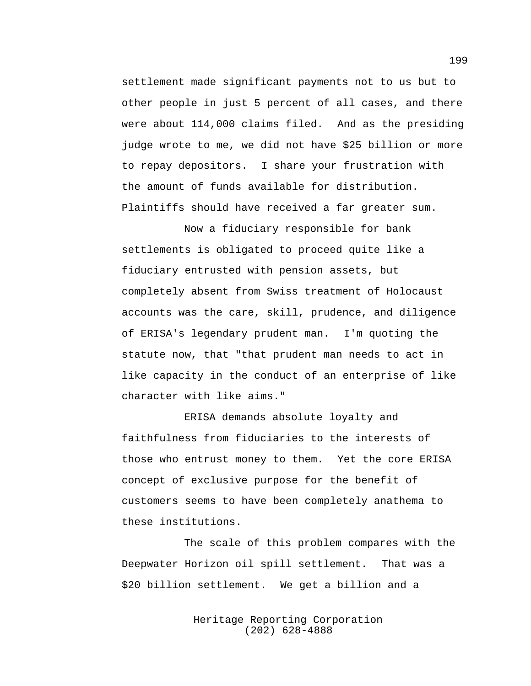settlement made significant payments not to us but to other people in just 5 percent of all cases, and there were about 114,000 claims filed. And as the presiding judge wrote to me, we did not have \$25 billion or more to repay depositors. I share your frustration with the amount of funds available for distribution. Plaintiffs should have received a far greater sum.

Now a fiduciary responsible for bank settlements is obligated to proceed quite like a fiduciary entrusted with pension assets, but completely absent from Swiss treatment of Holocaust accounts was the care, skill, prudence, and diligence of ERISA's legendary prudent man. I'm quoting the statute now, that "that prudent man needs to act in like capacity in the conduct of an enterprise of like character with like aims."

ERISA demands absolute loyalty and faithfulness from fiduciaries to the interests of those who entrust money to them. Yet the core ERISA concept of exclusive purpose for the benefit of customers seems to have been completely anathema to these institutions.

The scale of this problem compares with the Deepwater Horizon oil spill settlement. That was a \$20 billion settlement. We get a billion and a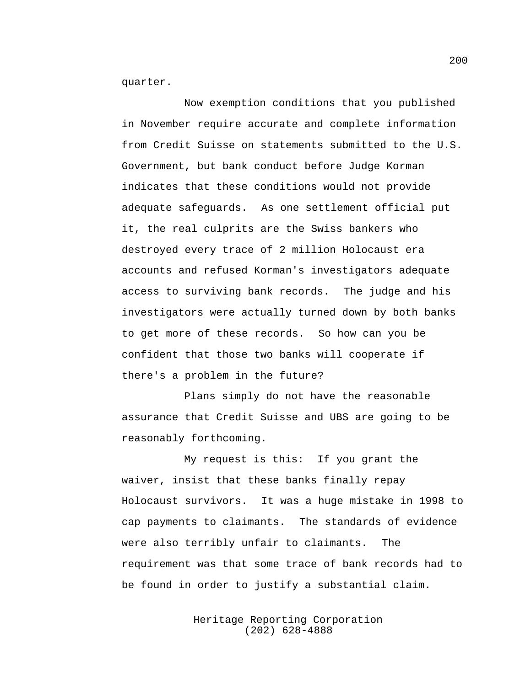quarter.

Now exemption conditions that you published in November require accurate and complete information from Credit Suisse on statements submitted to the U.S. Government, but bank conduct before Judge Korman indicates that these conditions would not provide adequate safeguards. As one settlement official put it, the real culprits are the Swiss bankers who destroyed every trace of 2 million Holocaust era accounts and refused Korman's investigators adequate access to surviving bank records. The judge and his investigators were actually turned down by both banks to get more of these records. So how can you be confident that those two banks will cooperate if there's a problem in the future?

Plans simply do not have the reasonable assurance that Credit Suisse and UBS are going to be reasonably forthcoming.

My request is this: If you grant the waiver, insist that these banks finally repay Holocaust survivors. It was a huge mistake in 1998 to cap payments to claimants. The standards of evidence were also terribly unfair to claimants. The requirement was that some trace of bank records had to be found in order to justify a substantial claim.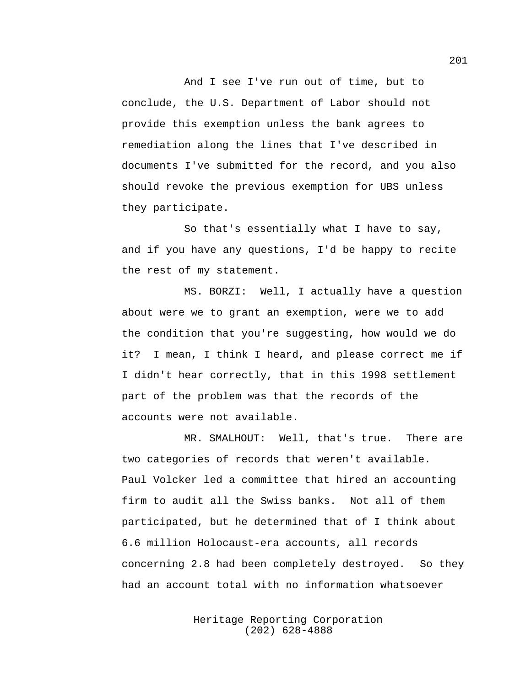And I see I've run out of time, but to conclude, the U.S. Department of Labor should not provide this exemption unless the bank agrees to remediation along the lines that I've described in documents I've submitted for the record, and you also should revoke the previous exemption for UBS unless they participate.

So that's essentially what I have to say, and if you have any questions, I'd be happy to recite the rest of my statement.

MS. BORZI: Well, I actually have a question about were we to grant an exemption, were we to add the condition that you're suggesting, how would we do it? I mean, I think I heard, and please correct me if I didn't hear correctly, that in this 1998 settlement part of the problem was that the records of the accounts were not available.

MR. SMALHOUT: Well, that's true. There are two categories of records that weren't available. Paul Volcker led a committee that hired an accounting firm to audit all the Swiss banks. Not all of them participated, but he determined that of I think about 6.6 million Holocaust-era accounts, all records concerning 2.8 had been completely destroyed. So they had an account total with no information whatsoever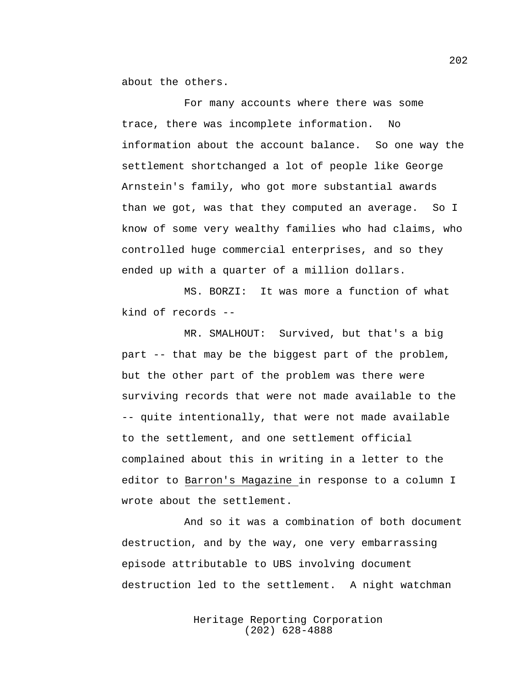about the others.

For many accounts where there was some trace, there was incomplete information. No information about the account balance. So one way the settlement shortchanged a lot of people like George Arnstein's family, who got more substantial awards than we got, was that they computed an average. So I know of some very wealthy families who had claims, who controlled huge commercial enterprises, and so they ended up with a quarter of a million dollars.

MS. BORZI: It was more a function of what kind of records --

MR. SMALHOUT: Survived, but that's a big part -- that may be the biggest part of the problem, but the other part of the problem was there were surviving records that were not made available to the -- quite intentionally, that were not made available to the settlement, and one settlement official complained about this in writing in a letter to the editor to Barron's Magazine in response to a column I wrote about the settlement.

And so it was a combination of both document destruction, and by the way, one very embarrassing episode attributable to UBS involving document destruction led to the settlement. A night watchman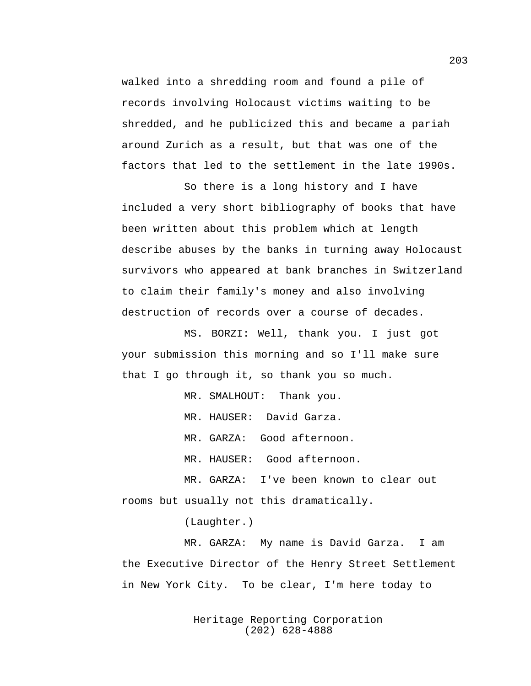walked into a shredding room and found a pile of records involving Holocaust victims waiting to be shredded, and he publicized this and became a pariah around Zurich as a result, but that was one of the factors that led to the settlement in the late 1990s.

So there is a long history and I have included a very short bibliography of books that have been written about this problem which at length describe abuses by the banks in turning away Holocaust survivors who appeared at bank branches in Switzerland to claim their family's money and also involving destruction of records over a course of decades.

MS. BORZI: Well, thank you. I just got your submission this morning and so I'll make sure that I go through it, so thank you so much.

MR. SMALHOUT: Thank you.

MR. HAUSER: David Garza.

MR. GARZA: Good afternoon.

MR. HAUSER: Good afternoon.

MR. GARZA: I've been known to clear out rooms but usually not this dramatically.

(Laughter.)

MR. GARZA: My name is David Garza. I am the Executive Director of the Henry Street Settlement in New York City. To be clear, I'm here today to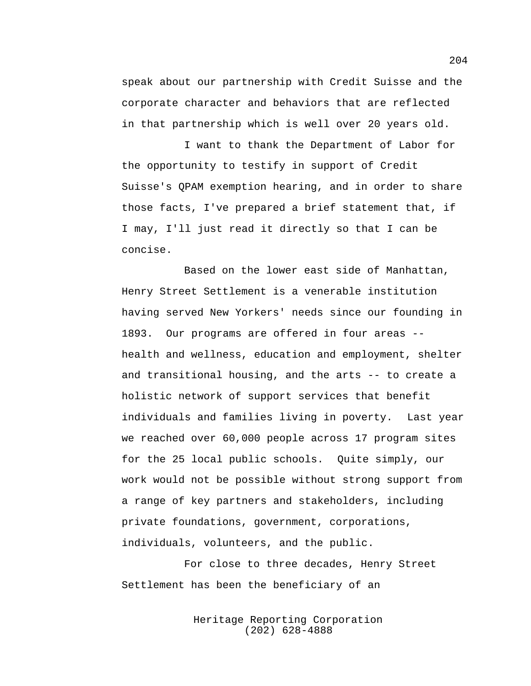speak about our partnership with Credit Suisse and the corporate character and behaviors that are reflected in that partnership which is well over 20 years old.

I want to thank the Department of Labor for the opportunity to testify in support of Credit Suisse's QPAM exemption hearing, and in order to share those facts, I've prepared a brief statement that, if I may, I'll just read it directly so that I can be concise.

Based on the lower east side of Manhattan, Henry Street Settlement is a venerable institution having served New Yorkers' needs since our founding in 1893. Our programs are offered in four areas - health and wellness, education and employment, shelter and transitional housing, and the arts -- to create a holistic network of support services that benefit individuals and families living in poverty. Last year we reached over 60,000 people across 17 program sites for the 25 local public schools. Quite simply, our work would not be possible without strong support from a range of key partners and stakeholders, including private foundations, government, corporations, individuals, volunteers, and the public.

For close to three decades, Henry Street Settlement has been the beneficiary of an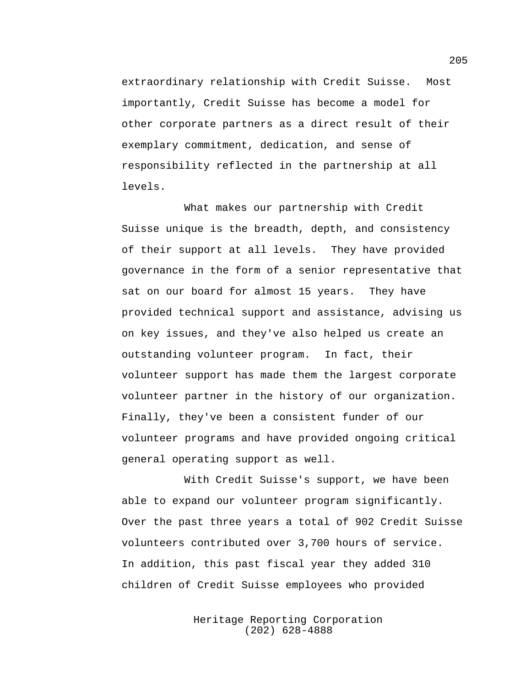extraordinary relationship with Credit Suisse. Most importantly, Credit Suisse has become a model for other corporate partners as a direct result of their exemplary commitment, dedication, and sense of responsibility reflected in the partnership at all levels.

What makes our partnership with Credit Suisse unique is the breadth, depth, and consistency of their support at all levels. They have provided governance in the form of a senior representative that sat on our board for almost 15 years. They have provided technical support and assistance, advising us on key issues, and they've also helped us create an outstanding volunteer program. In fact, their volunteer support has made them the largest corporate volunteer partner in the history of our organization. Finally, they've been a consistent funder of our volunteer programs and have provided ongoing critical general operating support as well.

With Credit Suisse's support, we have been able to expand our volunteer program significantly. Over the past three years a total of 902 Credit Suisse volunteers contributed over 3,700 hours of service. In addition, this past fiscal year they added 310 children of Credit Suisse employees who provided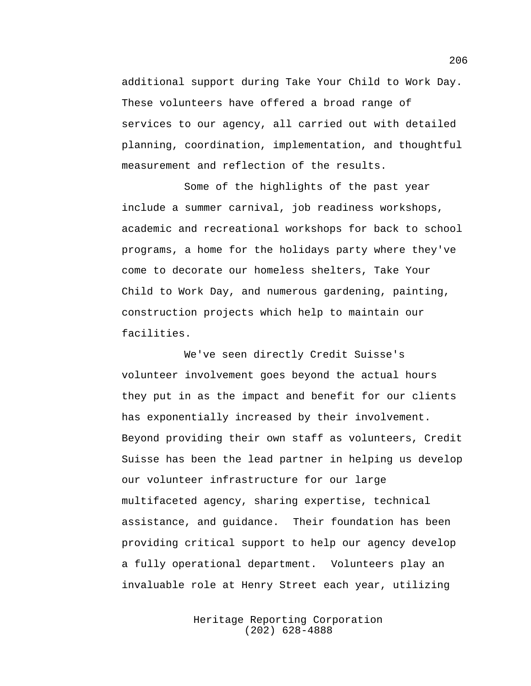additional support during Take Your Child to Work Day. These volunteers have offered a broad range of services to our agency, all carried out with detailed planning, coordination, implementation, and thoughtful measurement and reflection of the results.

Some of the highlights of the past year include a summer carnival, job readiness workshops, academic and recreational workshops for back to school programs, a home for the holidays party where they've come to decorate our homeless shelters, Take Your Child to Work Day, and numerous gardening, painting, construction projects which help to maintain our facilities.

We've seen directly Credit Suisse's volunteer involvement goes beyond the actual hours they put in as the impact and benefit for our clients has exponentially increased by their involvement. Beyond providing their own staff as volunteers, Credit Suisse has been the lead partner in helping us develop our volunteer infrastructure for our large multifaceted agency, sharing expertise, technical assistance, and guidance. Their foundation has been providing critical support to help our agency develop a fully operational department. Volunteers play an invaluable role at Henry Street each year, utilizing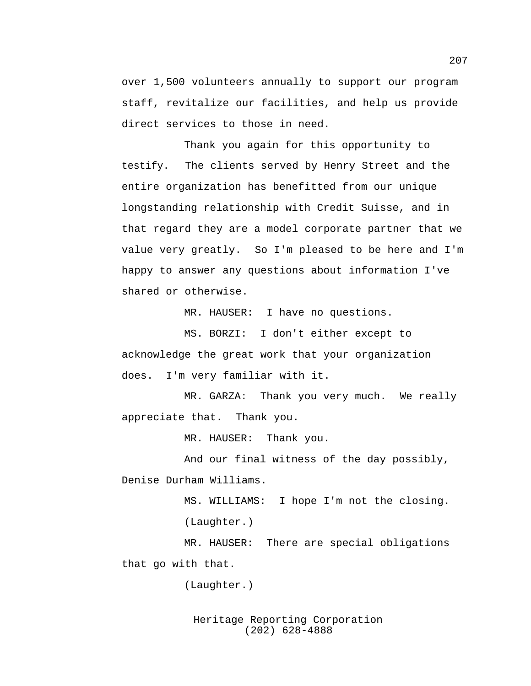over 1,500 volunteers annually to support our program staff, revitalize our facilities, and help us provide direct services to those in need.

Thank you again for this opportunity to testify. The clients served by Henry Street and the entire organization has benefitted from our unique longstanding relationship with Credit Suisse, and in that regard they are a model corporate partner that we value very greatly. So I'm pleased to be here and I'm happy to answer any questions about information I've shared or otherwise.

MR. HAUSER: I have no questions.

MS. BORZI: I don't either except to acknowledge the great work that your organization does. I'm very familiar with it.

MR. GARZA: Thank you very much. We really appreciate that. Thank you.

MR. HAUSER: Thank you.

And our final witness of the day possibly, Denise Durham Williams.

MS. WILLIAMS: I hope I'm not the closing.

(Laughter.)

MR. HAUSER: There are special obligations that go with that.

(Laughter.)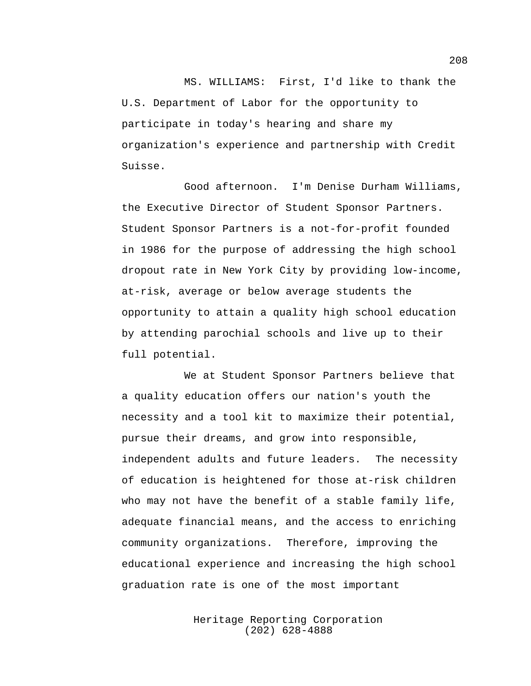MS. WILLIAMS: First, I'd like to thank the U.S. Department of Labor for the opportunity to participate in today's hearing and share my organization's experience and partnership with Credit Suisse.

Good afternoon. I'm Denise Durham Williams, the Executive Director of Student Sponsor Partners. Student Sponsor Partners is a not-for-profit founded in 1986 for the purpose of addressing the high school dropout rate in New York City by providing low-income, at-risk, average or below average students the opportunity to attain a quality high school education by attending parochial schools and live up to their full potential.

We at Student Sponsor Partners believe that a quality education offers our nation's youth the necessity and a tool kit to maximize their potential, pursue their dreams, and grow into responsible, independent adults and future leaders. The necessity of education is heightened for those at-risk children who may not have the benefit of a stable family life, adequate financial means, and the access to enriching community organizations. Therefore, improving the educational experience and increasing the high school graduation rate is one of the most important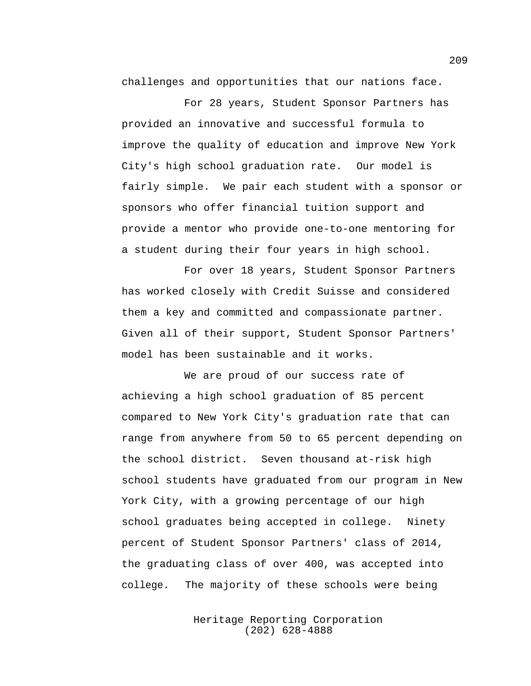challenges and opportunities that our nations face.

For 28 years, Student Sponsor Partners has provided an innovative and successful formula to improve the quality of education and improve New York City's high school graduation rate. Our model is fairly simple. We pair each student with a sponsor or sponsors who offer financial tuition support and provide a mentor who provide one-to-one mentoring for a student during their four years in high school.

For over 18 years, Student Sponsor Partners has worked closely with Credit Suisse and considered them a key and committed and compassionate partner. Given all of their support, Student Sponsor Partners' model has been sustainable and it works.

We are proud of our success rate of achieving a high school graduation of 85 percent compared to New York City's graduation rate that can range from anywhere from 50 to 65 percent depending on the school district. Seven thousand at-risk high school students have graduated from our program in New York City, with a growing percentage of our high school graduates being accepted in college. Ninety percent of Student Sponsor Partners' class of 2014, the graduating class of over 400, was accepted into college. The majority of these schools were being

> Heritage Reporting Corporation (202) 628-4888

209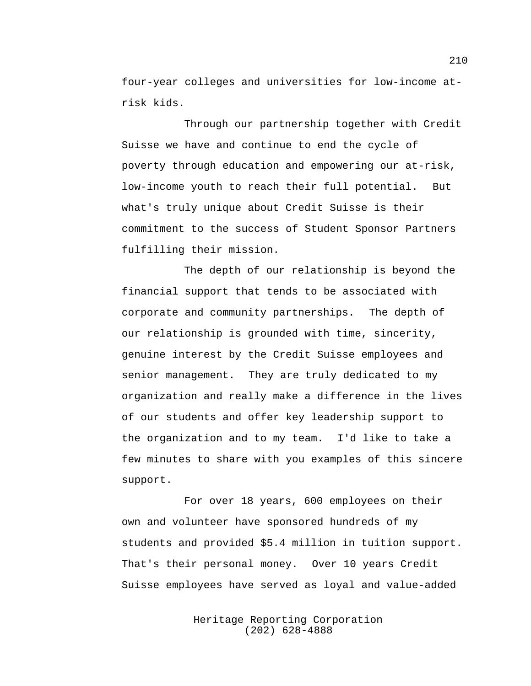four-year colleges and universities for low-income atrisk kids.

Through our partnership together with Credit Suisse we have and continue to end the cycle of poverty through education and empowering our at-risk, low-income youth to reach their full potential. But what's truly unique about Credit Suisse is their commitment to the success of Student Sponsor Partners fulfilling their mission.

The depth of our relationship is beyond the financial support that tends to be associated with corporate and community partnerships. The depth of our relationship is grounded with time, sincerity, genuine interest by the Credit Suisse employees and senior management. They are truly dedicated to my organization and really make a difference in the lives of our students and offer key leadership support to the organization and to my team. I'd like to take a few minutes to share with you examples of this sincere support.

For over 18 years, 600 employees on their own and volunteer have sponsored hundreds of my students and provided \$5.4 million in tuition support. That's their personal money. Over 10 years Credit Suisse employees have served as loyal and value-added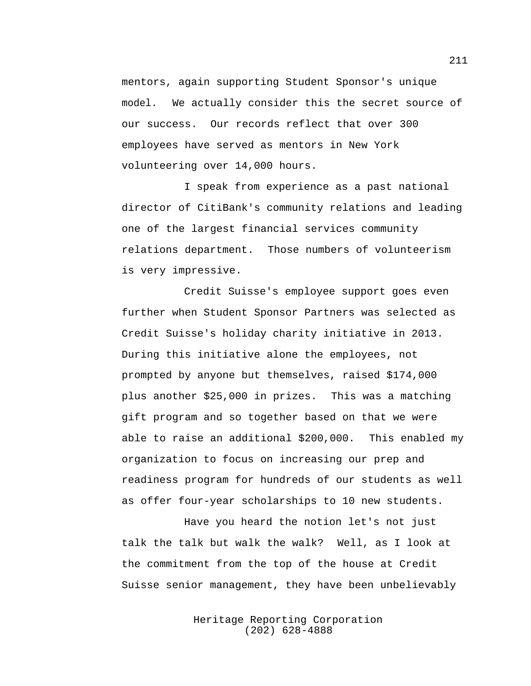mentors, again supporting Student Sponsor's unique model. We actually consider this the secret source of our success. Our records reflect that over 300 employees have served as mentors in New York volunteering over 14,000 hours.

I speak from experience as a past national director of CitiBank's community relations and leading one of the largest financial services community relations department. Those numbers of volunteerism is very impressive.

Credit Suisse's employee support goes even further when Student Sponsor Partners was selected as Credit Suisse's holiday charity initiative in 2013. During this initiative alone the employees, not prompted by anyone but themselves, raised \$174,000 plus another \$25,000 in prizes. This was a matching gift program and so together based on that we were able to raise an additional \$200,000. This enabled my organization to focus on increasing our prep and readiness program for hundreds of our students as well as offer four-year scholarships to 10 new students.

Have you heard the notion let's not just talk the talk but walk the walk? Well, as I look at the commitment from the top of the house at Credit Suisse senior management, they have been unbelievably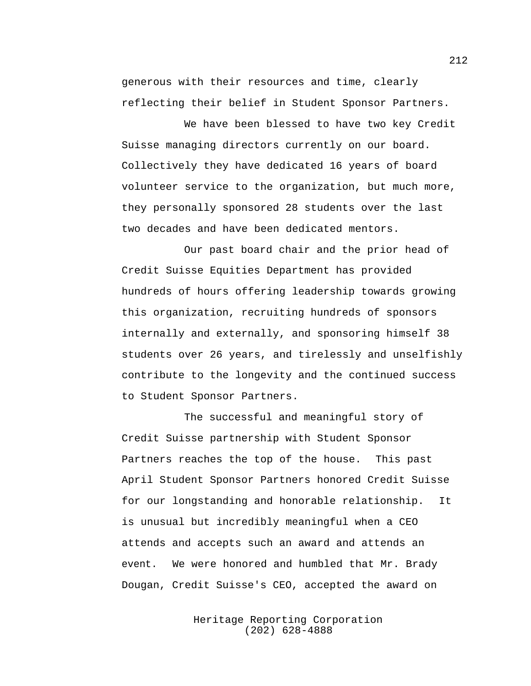generous with their resources and time, clearly reflecting their belief in Student Sponsor Partners.

We have been blessed to have two key Credit Suisse managing directors currently on our board. Collectively they have dedicated 16 years of board volunteer service to the organization, but much more, they personally sponsored 28 students over the last two decades and have been dedicated mentors.

Our past board chair and the prior head of Credit Suisse Equities Department has provided hundreds of hours offering leadership towards growing this organization, recruiting hundreds of sponsors internally and externally, and sponsoring himself 38 students over 26 years, and tirelessly and unselfishly contribute to the longevity and the continued success to Student Sponsor Partners.

The successful and meaningful story of Credit Suisse partnership with Student Sponsor Partners reaches the top of the house. This past April Student Sponsor Partners honored Credit Suisse for our longstanding and honorable relationship. It is unusual but incredibly meaningful when a CEO attends and accepts such an award and attends an event. We were honored and humbled that Mr. Brady Dougan, Credit Suisse's CEO, accepted the award on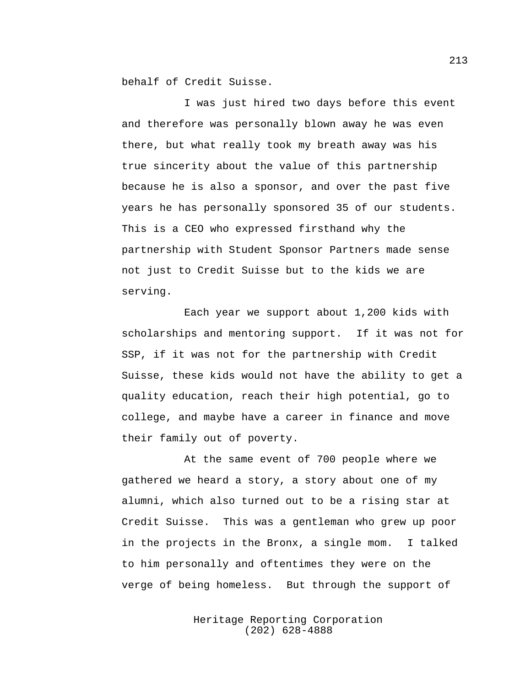behalf of Credit Suisse.

I was just hired two days before this event and therefore was personally blown away he was even there, but what really took my breath away was his true sincerity about the value of this partnership because he is also a sponsor, and over the past five years he has personally sponsored 35 of our students. This is a CEO who expressed firsthand why the partnership with Student Sponsor Partners made sense not just to Credit Suisse but to the kids we are serving.

Each year we support about 1,200 kids with scholarships and mentoring support. If it was not for SSP, if it was not for the partnership with Credit Suisse, these kids would not have the ability to get a quality education, reach their high potential, go to college, and maybe have a career in finance and move their family out of poverty.

At the same event of 700 people where we gathered we heard a story, a story about one of my alumni, which also turned out to be a rising star at Credit Suisse. This was a gentleman who grew up poor in the projects in the Bronx, a single mom. I talked to him personally and oftentimes they were on the verge of being homeless. But through the support of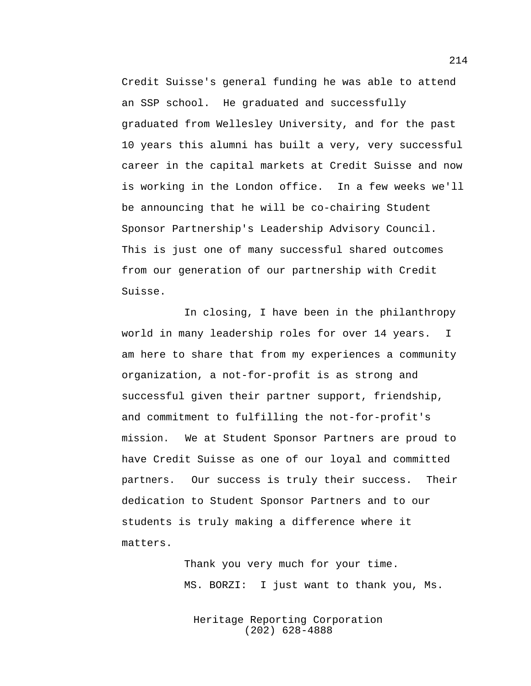Credit Suisse's general funding he was able to attend an SSP school. He graduated and successfully graduated from Wellesley University, and for the past 10 years this alumni has built a very, very successful career in the capital markets at Credit Suisse and now is working in the London office. In a few weeks we'll be announcing that he will be co-chairing Student Sponsor Partnership's Leadership Advisory Council. This is just one of many successful shared outcomes from our generation of our partnership with Credit Suisse.

In closing, I have been in the philanthropy world in many leadership roles for over 14 years. I am here to share that from my experiences a community organization, a not-for-profit is as strong and successful given their partner support, friendship, and commitment to fulfilling the not-for-profit's mission. We at Student Sponsor Partners are proud to have Credit Suisse as one of our loyal and committed partners. Our success is truly their success. Their dedication to Student Sponsor Partners and to our students is truly making a difference where it matters.

> Thank you very much for your time. MS. BORZI: I just want to thank you, Ms.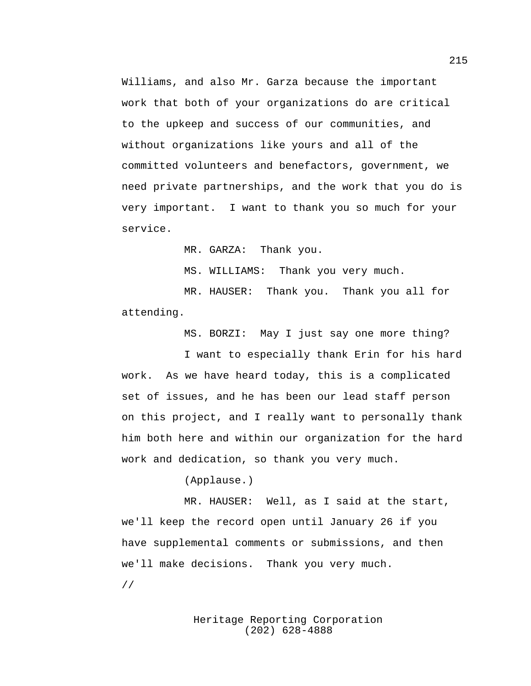Williams, and also Mr. Garza because the important work that both of your organizations do are critical to the upkeep and success of our communities, and without organizations like yours and all of the committed volunteers and benefactors, government, we need private partnerships, and the work that you do is very important. I want to thank you so much for your service.

MR. GARZA: Thank you.

MS. WILLIAMS: Thank you very much.

MR. HAUSER: Thank you. Thank you all for attending.

MS. BORZI: May I just say one more thing?

I want to especially thank Erin for his hard work. As we have heard today, this is a complicated set of issues, and he has been our lead staff person on this project, and I really want to personally thank him both here and within our organization for the hard work and dedication, so thank you very much.

(Applause.)

MR. HAUSER: Well, as I said at the start, we'll keep the record open until January 26 if you have supplemental comments or submissions, and then we'll make decisions. Thank you very much.

//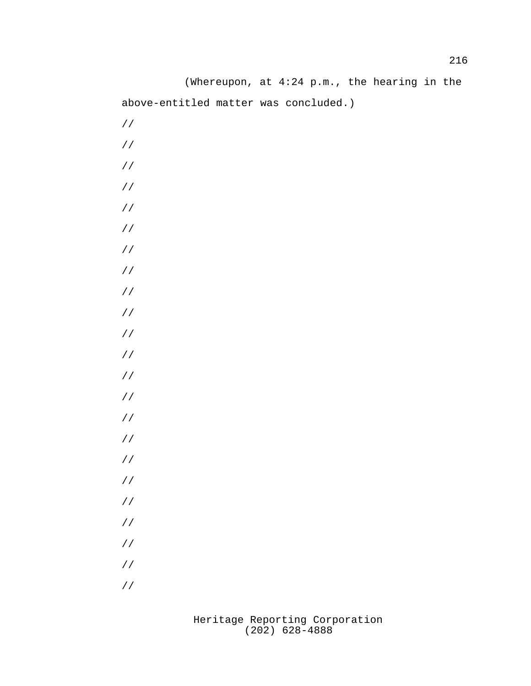(Whereupon, at 4:24 p.m., the hearing in the above-entitled matter was concluded.) // // // // // // // // // // // // // // // // // // // // // // //